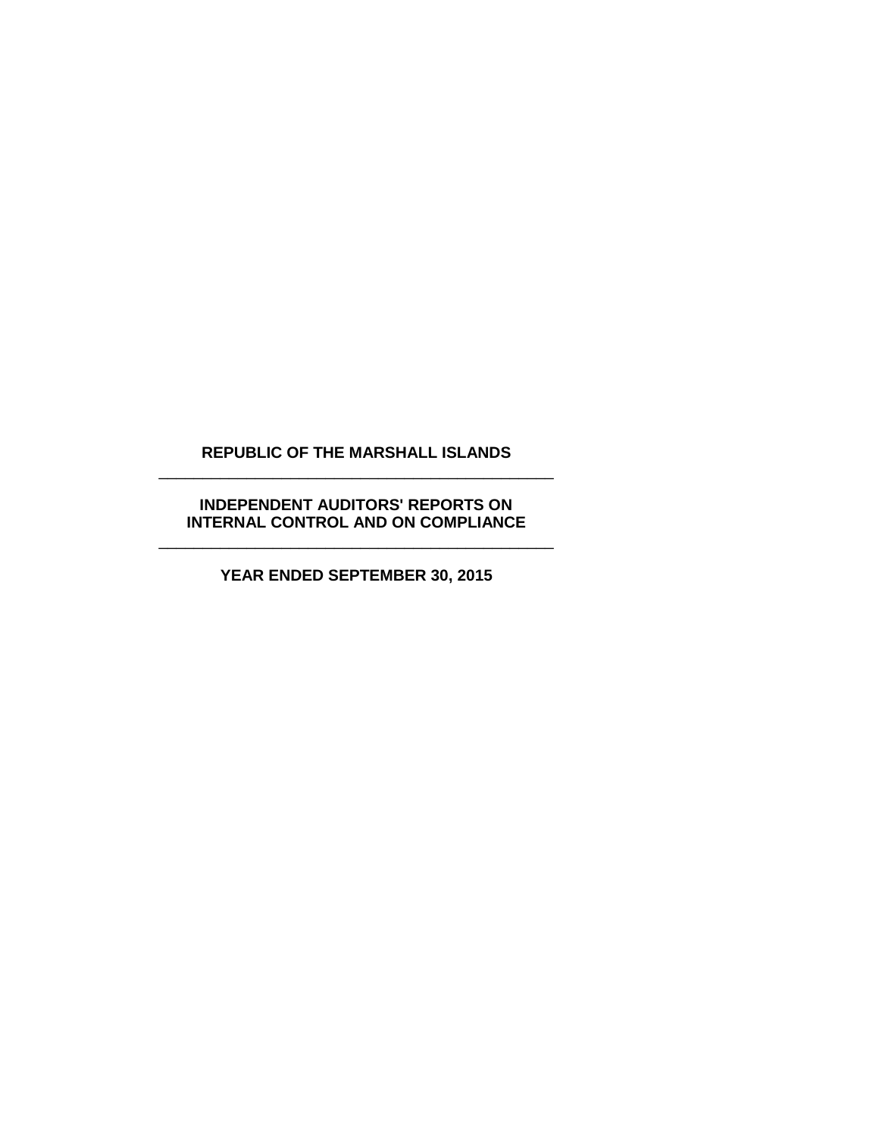# **REPUBLIC OF THE MARSHALL ISLANDS** \_\_\_\_\_\_\_\_\_\_\_\_\_\_\_\_\_\_\_\_\_\_\_\_\_\_\_\_\_\_\_\_\_\_\_\_\_\_\_\_\_\_\_\_\_

# **INDEPENDENT AUDITORS' REPORTS ON INTERNAL CONTROL AND ON COMPLIANCE** \_\_\_\_\_\_\_\_\_\_\_\_\_\_\_\_\_\_\_\_\_\_\_\_\_\_\_\_\_\_\_\_\_\_\_\_\_\_\_\_\_\_\_\_\_

**YEAR ENDED SEPTEMBER 30, 2015**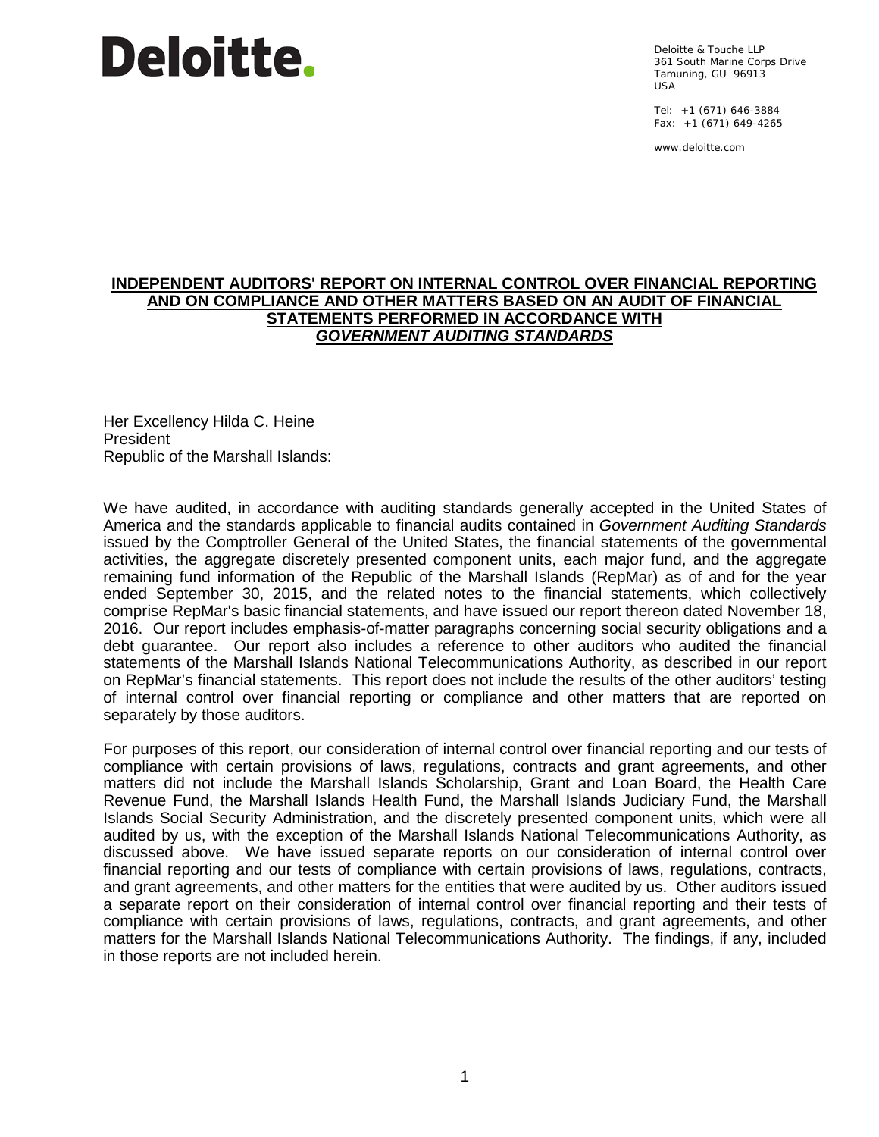Deloitte & Touche LLP 361 South Marine Corps Drive Tamuning, GU 96913 USA

Tel: +1 (671) 646-3884 Fax: +1 (671) 649-4265

www.deloitte.com

#### **INDEPENDENT AUDITORS' REPORT ON INTERNAL CONTROL OVER FINANCIAL REPORTING AND ON COMPLIANCE AND OTHER MATTERS BASED ON AN AUDIT OF FINANCIAL STATEMENTS PERFORMED IN ACCORDANCE WITH** *GOVERNMENT AUDITING STANDARDS*

Her Excellency Hilda C. Heine President Republic of the Marshall Islands:

We have audited, in accordance with auditing standards generally accepted in the United States of America and the standards applicable to financial audits contained in *Government Auditing Standards* issued by the Comptroller General of the United States, the financial statements of the governmental activities, the aggregate discretely presented component units, each major fund, and the aggregate remaining fund information of the Republic of the Marshall Islands (RepMar) as of and for the year ended September 30, 2015, and the related notes to the financial statements, which collectively comprise RepMar's basic financial statements, and have issued our report thereon dated November 18, 2016. Our report includes emphasis-of-matter paragraphs concerning social security obligations and a debt guarantee. Our report also includes a reference to other auditors who audited the financial statements of the Marshall Islands National Telecommunications Authority, as described in our report on RepMar's financial statements. This report does not include the results of the other auditors' testing of internal control over financial reporting or compliance and other matters that are reported on separately by those auditors.

For purposes of this report, our consideration of internal control over financial reporting and our tests of compliance with certain provisions of laws, regulations, contracts and grant agreements, and other matters did not include the Marshall Islands Scholarship, Grant and Loan Board, the Health Care Revenue Fund, the Marshall Islands Health Fund, the Marshall Islands Judiciary Fund, the Marshall Islands Social Security Administration, and the discretely presented component units, which were all audited by us, with the exception of the Marshall Islands National Telecommunications Authority, as discussed above. We have issued separate reports on our consideration of internal control over financial reporting and our tests of compliance with certain provisions of laws, regulations, contracts, and grant agreements, and other matters for the entities that were audited by us. Other auditors issued a separate report on their consideration of internal control over financial reporting and their tests of compliance with certain provisions of laws, regulations, contracts, and grant agreements, and other matters for the Marshall Islands National Telecommunications Authority. The findings, if any, included in those reports are not included herein.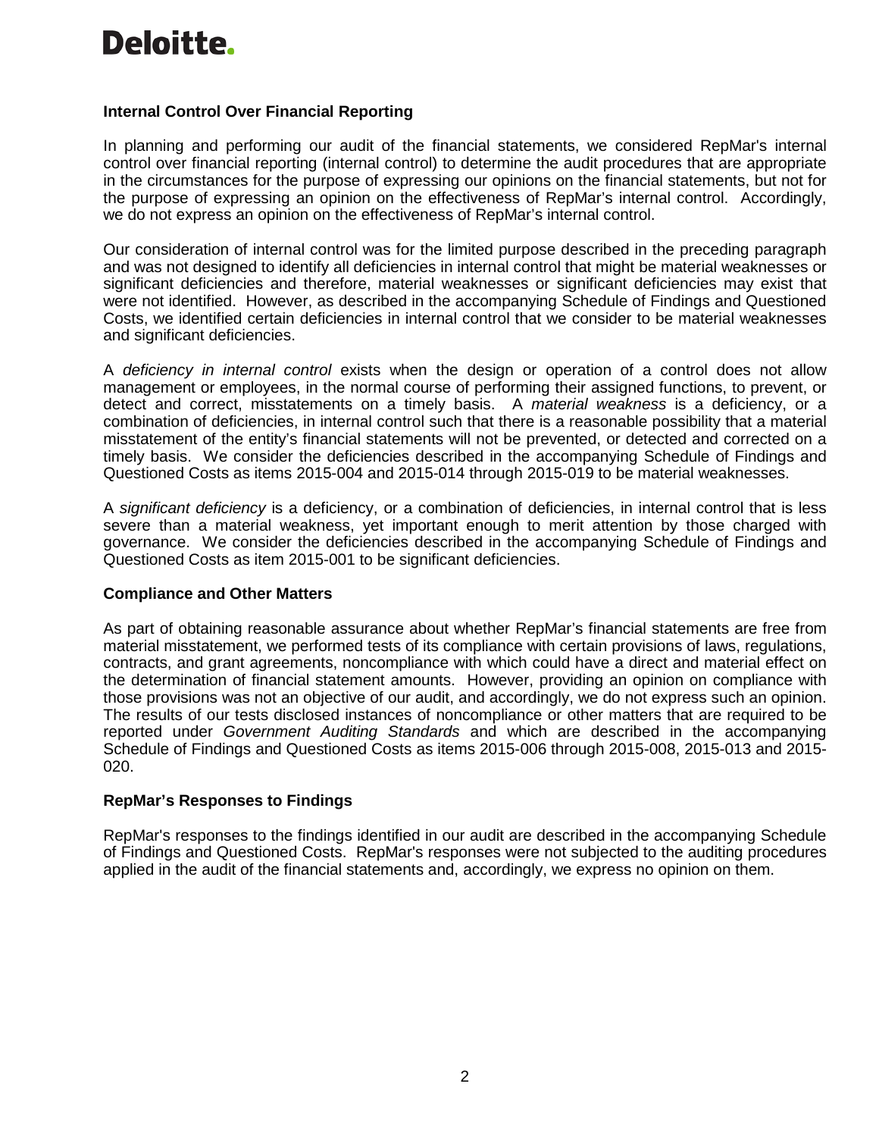# **Internal Control Over Financial Reporting**

In planning and performing our audit of the financial statements, we considered RepMar's internal control over financial reporting (internal control) to determine the audit procedures that are appropriate in the circumstances for the purpose of expressing our opinions on the financial statements, but not for the purpose of expressing an opinion on the effectiveness of RepMar's internal control. Accordingly, we do not express an opinion on the effectiveness of RepMar's internal control.

Our consideration of internal control was for the limited purpose described in the preceding paragraph and was not designed to identify all deficiencies in internal control that might be material weaknesses or significant deficiencies and therefore, material weaknesses or significant deficiencies may exist that were not identified. However, as described in the accompanying Schedule of Findings and Questioned Costs, we identified certain deficiencies in internal control that we consider to be material weaknesses and significant deficiencies.

A *deficiency in internal control* exists when the design or operation of a control does not allow management or employees, in the normal course of performing their assigned functions, to prevent, or detect and correct, misstatements on a timely basis. A *material weakness* is a deficiency, or a combination of deficiencies, in internal control such that there is a reasonable possibility that a material misstatement of the entity's financial statements will not be prevented, or detected and corrected on a timely basis. We consider the deficiencies described in the accompanying Schedule of Findings and Questioned Costs as items 2015-004 and 2015-014 through 2015-019 to be material weaknesses.

A *significant deficiency* is a deficiency, or a combination of deficiencies, in internal control that is less severe than a material weakness, yet important enough to merit attention by those charged with governance. We consider the deficiencies described in the accompanying Schedule of Findings and Questioned Costs as item 2015-001 to be significant deficiencies.

# **Compliance and Other Matters**

As part of obtaining reasonable assurance about whether RepMar's financial statements are free from material misstatement, we performed tests of its compliance with certain provisions of laws, regulations, contracts, and grant agreements, noncompliance with which could have a direct and material effect on the determination of financial statement amounts. However, providing an opinion on compliance with those provisions was not an objective of our audit, and accordingly, we do not express such an opinion. The results of our tests disclosed instances of noncompliance or other matters that are required to be reported under *Government Auditing Standards* and which are described in the accompanying Schedule of Findings and Questioned Costs as items 2015-006 through 2015-008, 2015-013 and 2015- 020.

# **RepMar's Responses to Findings**

RepMar's responses to the findings identified in our audit are described in the accompanying Schedule of Findings and Questioned Costs. RepMar's responses were not subjected to the auditing procedures applied in the audit of the financial statements and, accordingly, we express no opinion on them.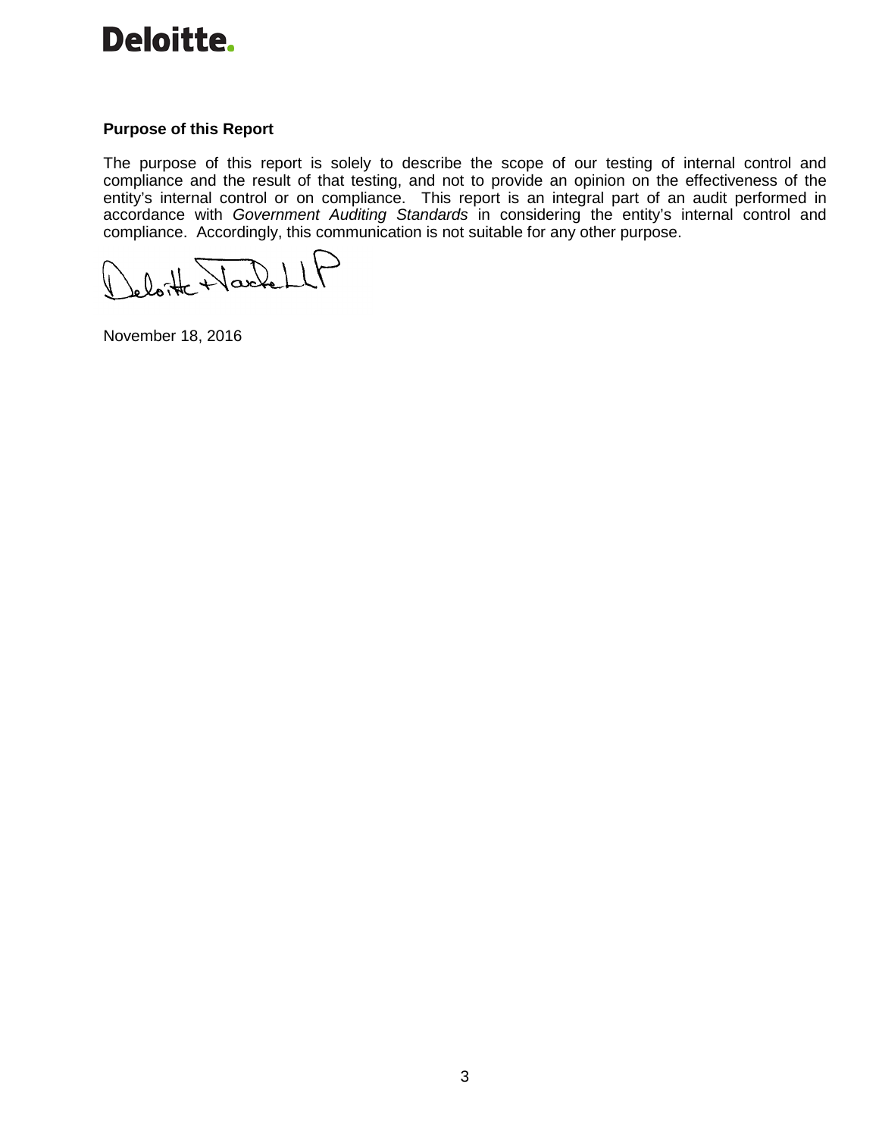

#### **Purpose of this Report**

The purpose of this report is solely to describe the scope of our testing of internal control and compliance and the result of that testing, and not to provide an opinion on the effectiveness of the entity's internal control or on compliance. This report is an integral part of an audit performed in accordance with *Government Auditing Standards* in considering the entity's internal control and compliance. Accordingly, this communication is not suitable for any other purpose.

lette Nachel

November 18, 2016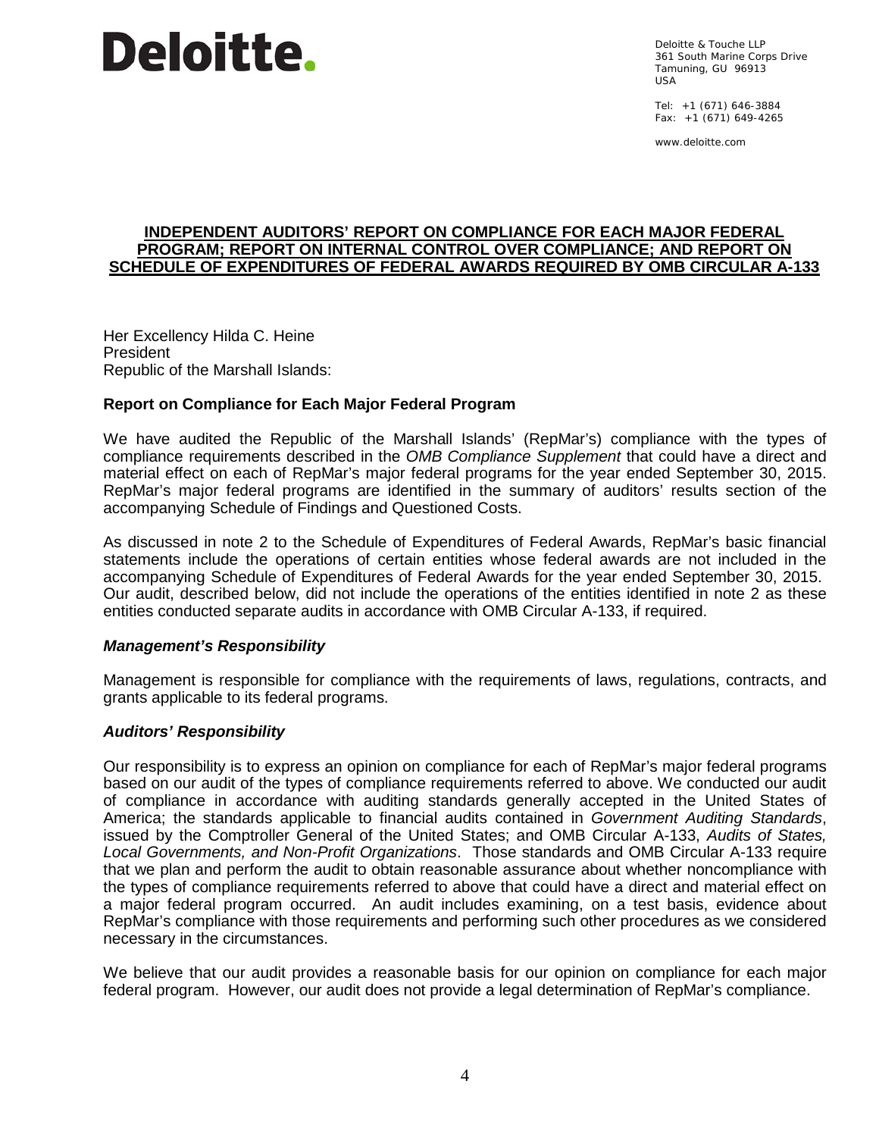Deloitte & Touche LLP 361 South Marine Corps Drive Tamuning, GU 96913 USA

Tel: +1 (671) 646-3884 Fax: +1 (671) 649-4265

www.deloitte.com

#### **INDEPENDENT AUDITORS' REPORT ON COMPLIANCE FOR EACH MAJOR FEDERAL PROGRAM; REPORT ON INTERNAL CONTROL OVER COMPLIANCE; AND REPORT ON SCHEDULE OF EXPENDITURES OF FEDERAL AWARDS REQUIRED BY OMB CIRCULAR A-133**

Her Excellency Hilda C. Heine President Republic of the Marshall Islands:

#### **Report on Compliance for Each Major Federal Program**

We have audited the Republic of the Marshall Islands' (RepMar's) compliance with the types of compliance requirements described in the *OMB Compliance Supplement* that could have a direct and material effect on each of RepMar's major federal programs for the year ended September 30, 2015. RepMar's major federal programs are identified in the summary of auditors' results section of the accompanying Schedule of Findings and Questioned Costs.

As discussed in note 2 to the Schedule of Expenditures of Federal Awards, RepMar's basic financial statements include the operations of certain entities whose federal awards are not included in the accompanying Schedule of Expenditures of Federal Awards for the year ended September 30, 2015. Our audit, described below, did not include the operations of the entities identified in note 2 as these entities conducted separate audits in accordance with OMB Circular A-133, if required.

#### *Management's Responsibility*

Management is responsible for compliance with the requirements of laws, regulations, contracts, and grants applicable to its federal programs.

#### *Auditors' Responsibility*

Our responsibility is to express an opinion on compliance for each of RepMar's major federal programs based on our audit of the types of compliance requirements referred to above. We conducted our audit of compliance in accordance with auditing standards generally accepted in the United States of America; the standards applicable to financial audits contained in *Government Auditing Standards*, issued by the Comptroller General of the United States; and OMB Circular A-133, *Audits of States, Local Governments, and Non-Profit Organizations*. Those standards and OMB Circular A-133 require that we plan and perform the audit to obtain reasonable assurance about whether noncompliance with the types of compliance requirements referred to above that could have a direct and material effect on a major federal program occurred. An audit includes examining, on a test basis, evidence about RepMar's compliance with those requirements and performing such other procedures as we considered necessary in the circumstances.

We believe that our audit provides a reasonable basis for our opinion on compliance for each major federal program. However, our audit does not provide a legal determination of RepMar's compliance.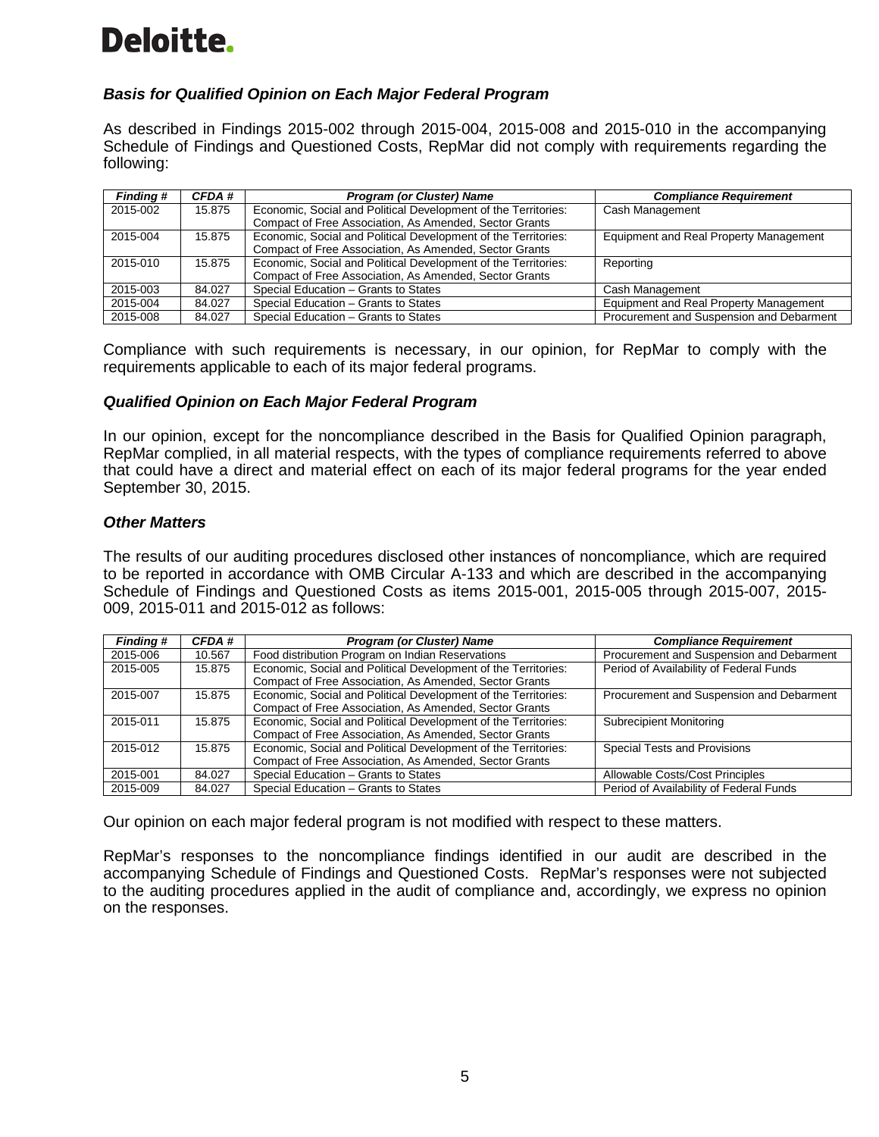# *Basis for Qualified Opinion on Each Major Federal Program*

As described in Findings 2015-002 through 2015-004, 2015-008 and 2015-010 in the accompanying Schedule of Findings and Questioned Costs, RepMar did not comply with requirements regarding the following:

| <b>Finding #</b> | CFDA#  | <b>Program (or Cluster) Name</b>                                                                                         | <b>Compliance Requirement</b>                 |
|------------------|--------|--------------------------------------------------------------------------------------------------------------------------|-----------------------------------------------|
| 2015-002         | 15.875 | Economic, Social and Political Development of the Territories:<br>Compact of Free Association, As Amended, Sector Grants | Cash Management                               |
|                  |        |                                                                                                                          |                                               |
| 2015-004         | 15.875 | Economic, Social and Political Development of the Territories:<br>Compact of Free Association, As Amended, Sector Grants | Equipment and Real Property Management        |
| 2015-010         | 15.875 | Economic, Social and Political Development of the Territories:                                                           | Reporting                                     |
|                  |        | Compact of Free Association, As Amended, Sector Grants                                                                   |                                               |
| 2015-003         | 84.027 | Special Education - Grants to States                                                                                     | Cash Management                               |
| 2015-004         | 84.027 | Special Education - Grants to States                                                                                     | <b>Equipment and Real Property Management</b> |
| 2015-008         | 84.027 | Special Education - Grants to States                                                                                     | Procurement and Suspension and Debarment      |

Compliance with such requirements is necessary, in our opinion, for RepMar to comply with the requirements applicable to each of its major federal programs.

# *Qualified Opinion on Each Major Federal Program*

In our opinion, except for the noncompliance described in the Basis for Qualified Opinion paragraph, RepMar complied, in all material respects, with the types of compliance requirements referred to above that could have a direct and material effect on each of its major federal programs for the year ended September 30, 2015.

#### *Other Matters*

The results of our auditing procedures disclosed other instances of noncompliance, which are required to be reported in accordance with OMB Circular A-133 and which are described in the accompanying Schedule of Findings and Questioned Costs as items 2015-001, 2015-005 through 2015-007, 2015- 009, 2015-011 and 2015-012 as follows:

| <b>Finding #</b> | <b>CFDA#</b> | <b>Program (or Cluster) Name</b>                                                                                         | <b>Compliance Requirement</b>            |
|------------------|--------------|--------------------------------------------------------------------------------------------------------------------------|------------------------------------------|
| 2015-006         | 10.567       | Food distribution Program on Indian Reservations                                                                         | Procurement and Suspension and Debarment |
| 2015-005         | 15.875       | Economic, Social and Political Development of the Territories:<br>Compact of Free Association, As Amended, Sector Grants | Period of Availability of Federal Funds  |
| 2015-007         | 15.875       | Economic, Social and Political Development of the Territories:<br>Compact of Free Association, As Amended, Sector Grants | Procurement and Suspension and Debarment |
| 2015-011         | 15.875       | Economic, Social and Political Development of the Territories:<br>Compact of Free Association, As Amended, Sector Grants | <b>Subrecipient Monitoring</b>           |
| 2015-012         | 15.875       | Economic, Social and Political Development of the Territories:<br>Compact of Free Association, As Amended, Sector Grants | Special Tests and Provisions             |
| 2015-001         | 84.027       | Special Education - Grants to States                                                                                     | Allowable Costs/Cost Principles          |
| 2015-009         | 84.027       | Special Education - Grants to States                                                                                     | Period of Availability of Federal Funds  |

Our opinion on each major federal program is not modified with respect to these matters.

RepMar's responses to the noncompliance findings identified in our audit are described in the accompanying Schedule of Findings and Questioned Costs. RepMar's responses were not subjected to the auditing procedures applied in the audit of compliance and, accordingly, we express no opinion on the responses.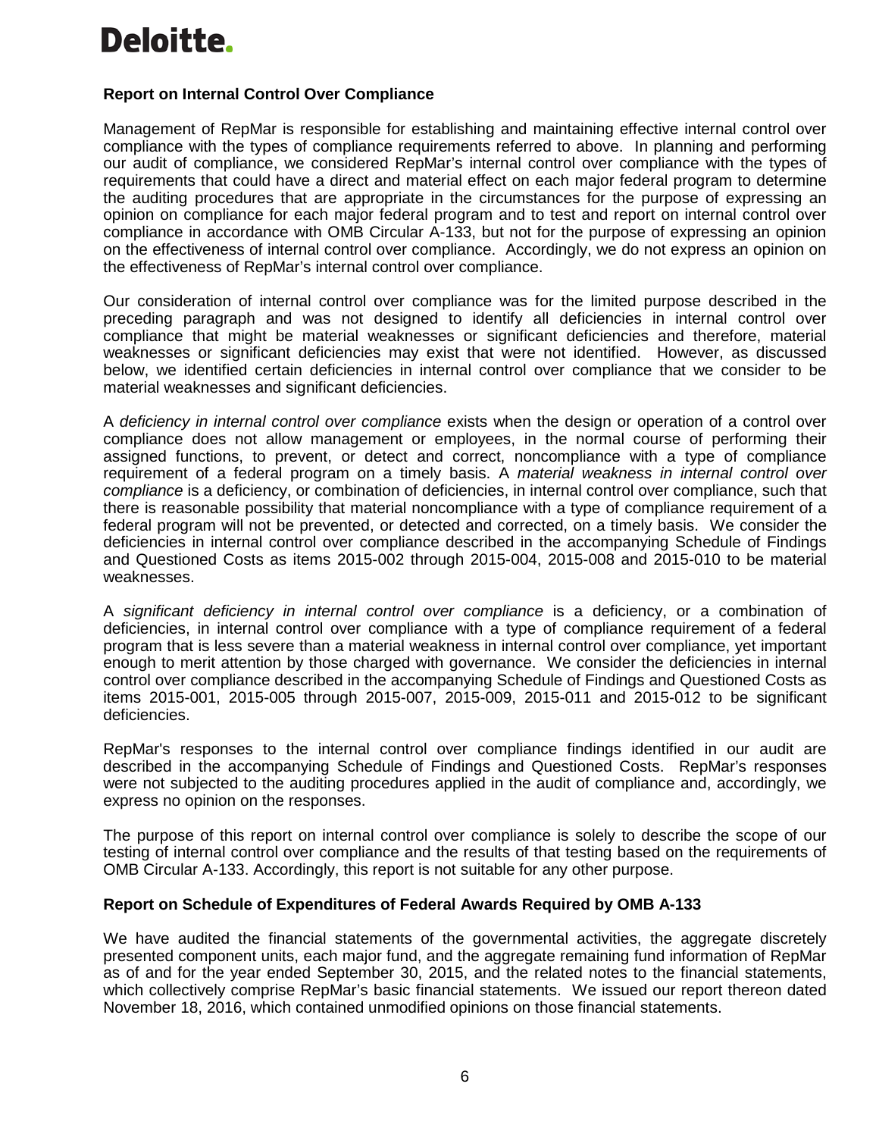# **Report on Internal Control Over Compliance**

Management of RepMar is responsible for establishing and maintaining effective internal control over compliance with the types of compliance requirements referred to above. In planning and performing our audit of compliance, we considered RepMar's internal control over compliance with the types of requirements that could have a direct and material effect on each major federal program to determine the auditing procedures that are appropriate in the circumstances for the purpose of expressing an opinion on compliance for each major federal program and to test and report on internal control over compliance in accordance with OMB Circular A-133, but not for the purpose of expressing an opinion on the effectiveness of internal control over compliance. Accordingly, we do not express an opinion on the effectiveness of RepMar's internal control over compliance.

Our consideration of internal control over compliance was for the limited purpose described in the preceding paragraph and was not designed to identify all deficiencies in internal control over compliance that might be material weaknesses or significant deficiencies and therefore, material weaknesses or significant deficiencies may exist that were not identified. However, as discussed below, we identified certain deficiencies in internal control over compliance that we consider to be material weaknesses and significant deficiencies.

A *deficiency in internal control over compliance* exists when the design or operation of a control over compliance does not allow management or employees, in the normal course of performing their assigned functions, to prevent, or detect and correct, noncompliance with a type of compliance requirement of a federal program on a timely basis. A *material weakness in internal control over compliance* is a deficiency, or combination of deficiencies, in internal control over compliance, such that there is reasonable possibility that material noncompliance with a type of compliance requirement of a federal program will not be prevented, or detected and corrected, on a timely basis. We consider the deficiencies in internal control over compliance described in the accompanying Schedule of Findings and Questioned Costs as items 2015-002 through 2015-004, 2015-008 and 2015-010 to be material weaknesses.

A *significant deficiency in internal control over compliance* is a deficiency, or a combination of deficiencies, in internal control over compliance with a type of compliance requirement of a federal program that is less severe than a material weakness in internal control over compliance, yet important enough to merit attention by those charged with governance. We consider the deficiencies in internal control over compliance described in the accompanying Schedule of Findings and Questioned Costs as items 2015-001, 2015-005 through 2015-007, 2015-009, 2015-011 and 2015-012 to be significant deficiencies.

RepMar's responses to the internal control over compliance findings identified in our audit are described in the accompanying Schedule of Findings and Questioned Costs. RepMar's responses were not subjected to the auditing procedures applied in the audit of compliance and, accordingly, we express no opinion on the responses.

The purpose of this report on internal control over compliance is solely to describe the scope of our testing of internal control over compliance and the results of that testing based on the requirements of OMB Circular A-133. Accordingly, this report is not suitable for any other purpose.

#### **Report on Schedule of Expenditures of Federal Awards Required by OMB A-133**

We have audited the financial statements of the governmental activities, the aggregate discretely presented component units, each major fund, and the aggregate remaining fund information of RepMar as of and for the year ended September 30, 2015, and the related notes to the financial statements, which collectively comprise RepMar's basic financial statements. We issued our report thereon dated November 18, 2016, which contained unmodified opinions on those financial statements.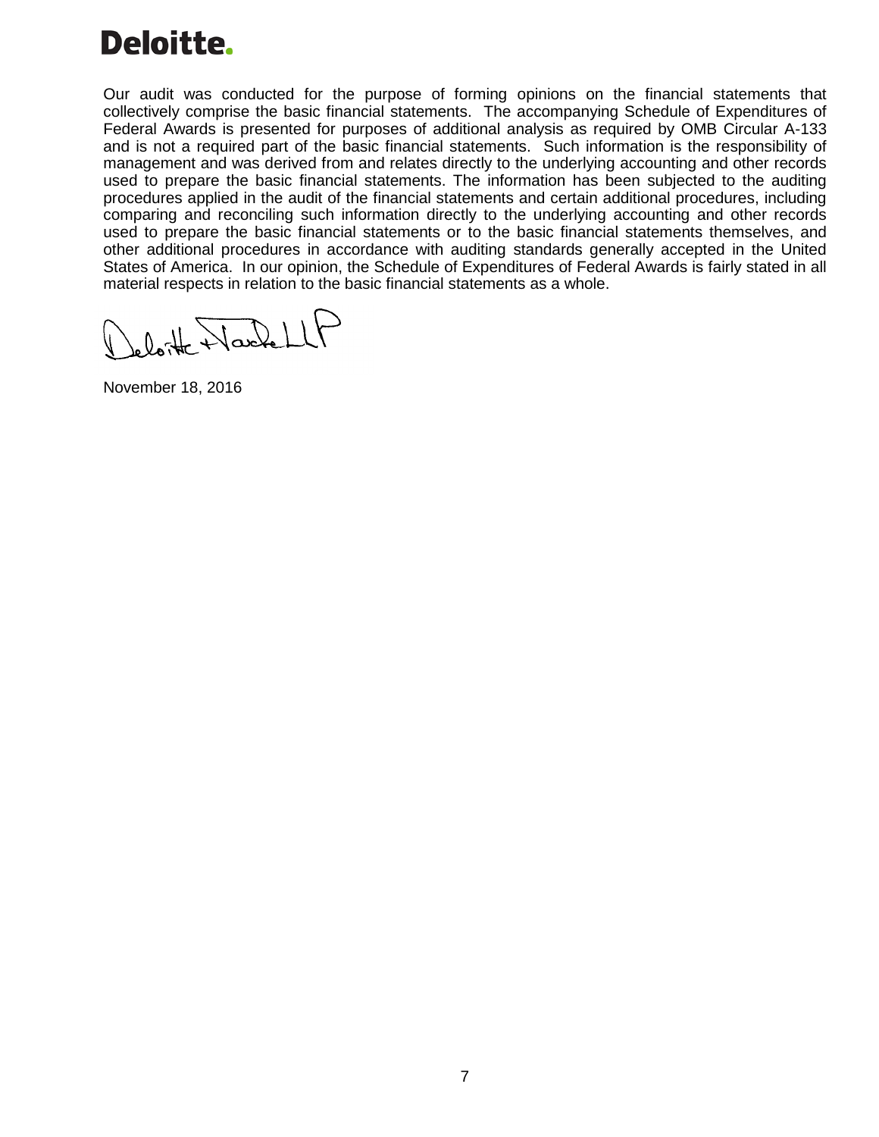

Our audit was conducted for the purpose of forming opinions on the financial statements that collectively comprise the basic financial statements. The accompanying Schedule of Expenditures of Federal Awards is presented for purposes of additional analysis as required by OMB Circular A-133 and is not a required part of the basic financial statements. Such information is the responsibility of management and was derived from and relates directly to the underlying accounting and other records used to prepare the basic financial statements. The information has been subjected to the auditing procedures applied in the audit of the financial statements and certain additional procedures, including comparing and reconciling such information directly to the underlying accounting and other records used to prepare the basic financial statements or to the basic financial statements themselves, and other additional procedures in accordance with auditing standards generally accepted in the United States of America. In our opinion, the Schedule of Expenditures of Federal Awards is fairly stated in all material respects in relation to the basic financial statements as a whole.

forthe Wackell

November 18, 2016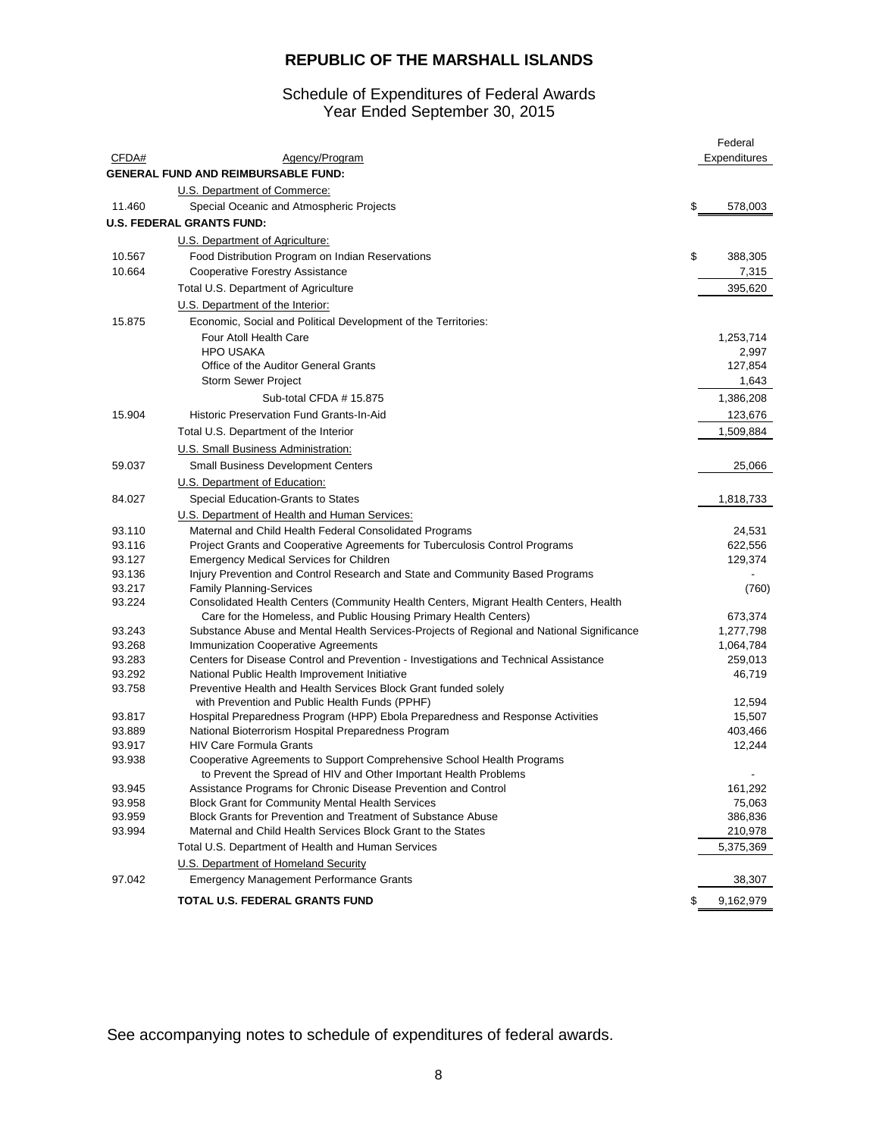#### Schedule of Expenditures of Federal Awards Year Ended September 30, 2015

|        |                                                                                                                   | Federal         |
|--------|-------------------------------------------------------------------------------------------------------------------|-----------------|
| CFDA#  | Agency/Program                                                                                                    | Expenditures    |
|        | <b>GENERAL FUND AND REIMBURSABLE FUND:</b>                                                                        |                 |
|        | U.S. Department of Commerce:                                                                                      |                 |
| 11.460 | Special Oceanic and Atmospheric Projects                                                                          | \$<br>578,003   |
|        | <b>U.S. FEDERAL GRANTS FUND:</b>                                                                                  |                 |
|        | U.S. Department of Agriculture:                                                                                   |                 |
| 10.567 | Food Distribution Program on Indian Reservations                                                                  | \$<br>388,305   |
| 10.664 | Cooperative Forestry Assistance                                                                                   | 7,315           |
|        | Total U.S. Department of Agriculture                                                                              | 395,620         |
|        |                                                                                                                   |                 |
|        | U.S. Department of the Interior:                                                                                  |                 |
| 15.875 | Economic, Social and Political Development of the Territories:                                                    |                 |
|        | Four Atoll Health Care                                                                                            | 1,253,714       |
|        | <b>HPO USAKA</b>                                                                                                  | 2,997           |
|        | Office of the Auditor General Grants                                                                              | 127,854         |
|        | Storm Sewer Project                                                                                               | 1,643           |
|        | Sub-total CFDA # 15.875                                                                                           | 1,386,208       |
| 15.904 | <b>Historic Preservation Fund Grants-In-Aid</b>                                                                   | 123,676         |
|        | Total U.S. Department of the Interior                                                                             | 1,509,884       |
|        | U.S. Small Business Administration:                                                                               |                 |
| 59.037 | <b>Small Business Development Centers</b>                                                                         | 25,066          |
|        | U.S. Department of Education:                                                                                     |                 |
| 84.027 | Special Education-Grants to States                                                                                | 1,818,733       |
|        | U.S. Department of Health and Human Services:                                                                     |                 |
| 93.110 | Maternal and Child Health Federal Consolidated Programs                                                           | 24,531          |
| 93.116 | Project Grants and Cooperative Agreements for Tuberculosis Control Programs                                       | 622,556         |
| 93.127 | <b>Emergency Medical Services for Children</b>                                                                    | 129,374         |
| 93.136 | Injury Prevention and Control Research and State and Community Based Programs                                     |                 |
| 93.217 | <b>Family Planning-Services</b>                                                                                   | (760)           |
| 93.224 | Consolidated Health Centers (Community Health Centers, Migrant Health Centers, Health                             |                 |
|        | Care for the Homeless, and Public Housing Primary Health Centers)                                                 | 673,374         |
| 93.243 | Substance Abuse and Mental Health Services-Projects of Regional and National Significance                         | 1,277,798       |
| 93.268 | Immunization Cooperative Agreements                                                                               | 1,064,784       |
| 93.283 | Centers for Disease Control and Prevention - Investigations and Technical Assistance                              | 259,013         |
| 93.292 | National Public Health Improvement Initiative                                                                     | 46,719          |
| 93.758 | Preventive Health and Health Services Block Grant funded solely<br>with Prevention and Public Health Funds (PPHF) | 12,594          |
| 93.817 | Hospital Preparedness Program (HPP) Ebola Preparedness and Response Activities                                    | 15,507          |
| 93.889 | National Bioterrorism Hospital Preparedness Program                                                               | 403,466         |
| 93.917 | <b>HIV Care Formula Grants</b>                                                                                    | 12,244          |
| 93.938 | Cooperative Agreements to Support Comprehensive School Health Programs                                            |                 |
|        | to Prevent the Spread of HIV and Other Important Health Problems                                                  |                 |
| 93.945 | Assistance Programs for Chronic Disease Prevention and Control                                                    | 161,292         |
| 93.958 | <b>Block Grant for Community Mental Health Services</b>                                                           | 75,063          |
| 93.959 | Block Grants for Prevention and Treatment of Substance Abuse                                                      | 386,836         |
| 93.994 | Maternal and Child Health Services Block Grant to the States                                                      | 210,978         |
|        | Total U.S. Department of Health and Human Services                                                                | 5,375,369       |
|        | U.S. Department of Homeland Security                                                                              |                 |
| 97.042 | <b>Emergency Management Performance Grants</b>                                                                    | 38,307          |
|        | TOTAL U.S. FEDERAL GRANTS FUND                                                                                    | \$<br>9,162,979 |

See accompanying notes to schedule of expenditures of federal awards.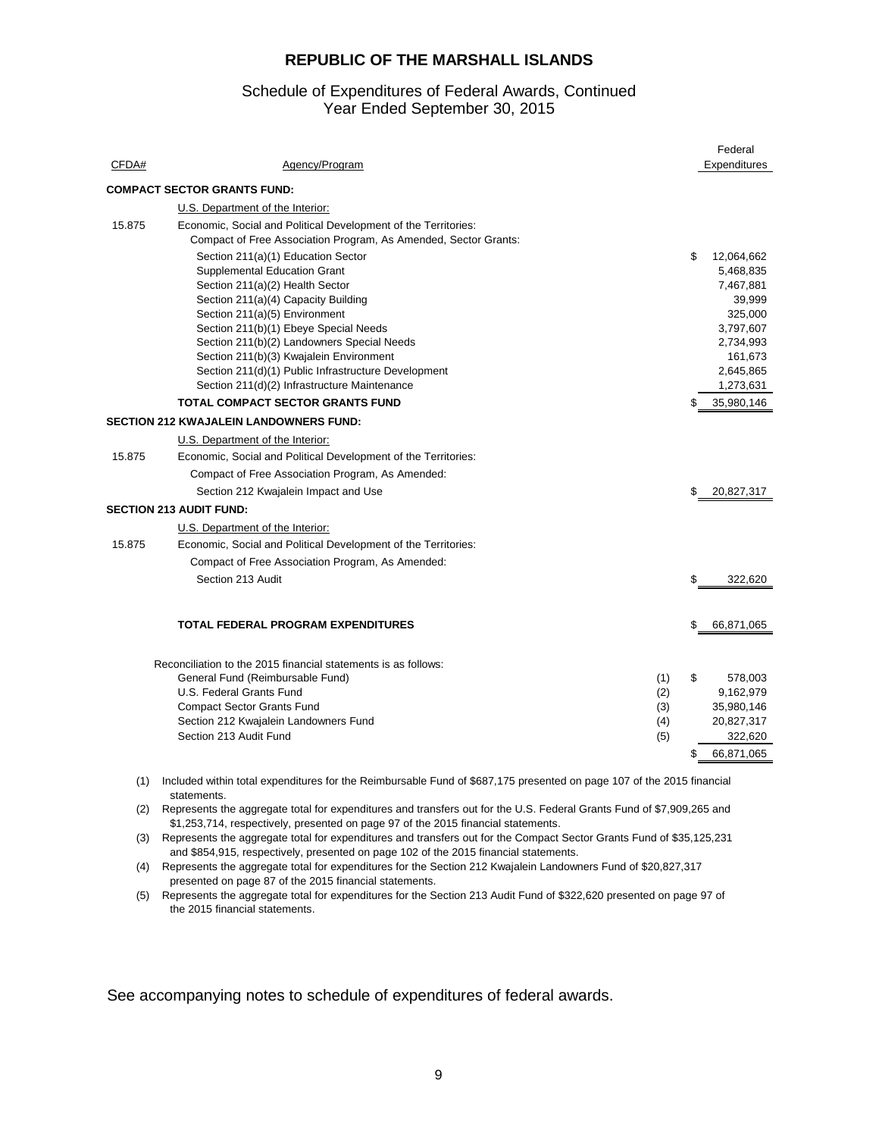#### Year Ended September 30, 2015 Schedule of Expenditures of Federal Awards, Continued

|        |                                                                 |           | Federal      |
|--------|-----------------------------------------------------------------|-----------|--------------|
| CFDA#  | Agency/Program                                                  |           | Expenditures |
|        | <b>COMPACT SECTOR GRANTS FUND:</b>                              |           |              |
|        | U.S. Department of the Interior:                                |           |              |
| 15.875 | Economic, Social and Political Development of the Territories:  |           |              |
|        | Compact of Free Association Program, As Amended, Sector Grants: |           |              |
|        | Section 211(a)(1) Education Sector                              | \$        | 12,064,662   |
|        | <b>Supplemental Education Grant</b>                             |           | 5,468,835    |
|        | Section 211(a)(2) Health Sector                                 |           | 7,467,881    |
|        | Section 211(a)(4) Capacity Building                             |           | 39,999       |
|        | Section 211(a)(5) Environment                                   |           | 325,000      |
|        | Section 211(b)(1) Ebeye Special Needs                           |           | 3,797,607    |
|        | Section 211(b)(2) Landowners Special Needs                      |           | 2,734,993    |
|        | Section 211(b)(3) Kwajalein Environment                         |           | 161,673      |
|        | Section 211(d)(1) Public Infrastructure Development             |           | 2,645,865    |
|        | Section 211(d)(2) Infrastructure Maintenance                    |           | 1,273,631    |
|        | <b>TOTAL COMPACT SECTOR GRANTS FUND</b>                         |           | 35,980,146   |
|        | <b>SECTION 212 KWAJALEIN LANDOWNERS FUND:</b>                   |           |              |
|        | U.S. Department of the Interior:                                |           |              |
| 15.875 | Economic, Social and Political Development of the Territories:  |           |              |
|        | Compact of Free Association Program, As Amended:                |           |              |
|        | Section 212 Kwajalein Impact and Use                            | \$        | 20,827,317   |
|        | <b>SECTION 213 AUDIT FUND:</b>                                  |           |              |
|        | U.S. Department of the Interior:                                |           |              |
| 15.875 | Economic, Social and Political Development of the Territories:  |           |              |
|        | Compact of Free Association Program, As Amended:                |           |              |
|        | Section 213 Audit                                               | \$        | 322,620      |
|        |                                                                 |           |              |
|        | <b>TOTAL FEDERAL PROGRAM EXPENDITURES</b>                       | \$        | 66,871,065   |
|        | Reconciliation to the 2015 financial statements is as follows:  |           |              |
|        | General Fund (Reimbursable Fund)                                | (1)<br>\$ | 578,003      |
|        | U.S. Federal Grants Fund                                        | (2)       | 9,162,979    |
|        | <b>Compact Sector Grants Fund</b>                               | (3)       | 35,980,146   |
|        | Section 212 Kwajalein Landowners Fund                           | (4)       | 20,827,317   |
|        | Section 213 Audit Fund                                          | (5)       | 322,620      |
|        |                                                                 |           | 66,871,065   |
|        |                                                                 |           |              |

(1) Included within total expenditures for the Reimbursable Fund of \$687,175 presented on page 107 of the 2015 financial statements.

(2) Represents the aggregate total for expenditures and transfers out for the U.S. Federal Grants Fund of \$7,909,265 and \$1,253,714, respectively, presented on page 97 of the 2015 financial statements.

(3) Represents the aggregate total for expenditures and transfers out for the Compact Sector Grants Fund of \$35,125,231 and \$854,915, respectively, presented on page 102 of the 2015 financial statements.

(4) Represents the aggregate total for expenditures for the Section 212 Kwajalein Landowners Fund of \$20,827,317 presented on page 87 of the 2015 financial statements.

(5) Represents the aggregate total for expenditures for the Section 213 Audit Fund of \$322,620 presented on page 97 of the 2015 financial statements.

See accompanying notes to schedule of expenditures of federal awards.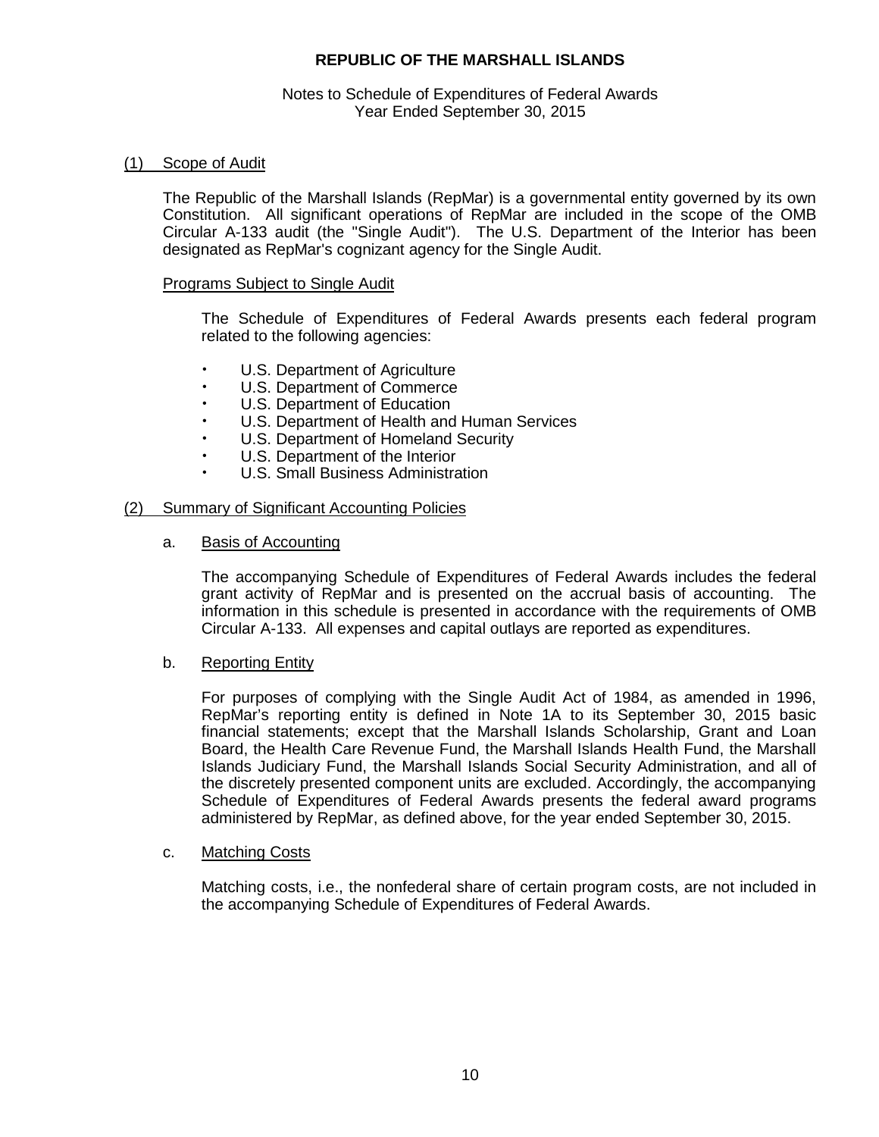#### Notes to Schedule of Expenditures of Federal Awards Year Ended September 30, 2015

#### (1) Scope of Audit

The Republic of the Marshall Islands (RepMar) is a governmental entity governed by its own Constitution. All significant operations of RepMar are included in the scope of the OMB Circular A-133 audit (the "Single Audit"). The U.S. Department of the Interior has been designated as RepMar's cognizant agency for the Single Audit.

#### Programs Subject to Single Audit

The Schedule of Expenditures of Federal Awards presents each federal program related to the following agencies:

- **U.S. Department of Agriculture**<br>
U.S. Department of Commerce
- U.S. Department of Commerce
- U.S. Department of Education
- U.S. Department of Health and Human Services
- U.S. Department of Homeland Security
- U.S. Department of the Interior
- U.S. Small Business Administration

#### (2) Summary of Significant Accounting Policies

a. Basis of Accounting

The accompanying Schedule of Expenditures of Federal Awards includes the federal grant activity of RepMar and is presented on the accrual basis of accounting. The information in this schedule is presented in accordance with the requirements of OMB Circular A-133. All expenses and capital outlays are reported as expenditures.

#### b. Reporting Entity

For purposes of complying with the Single Audit Act of 1984, as amended in 1996, RepMar's reporting entity is defined in Note 1A to its September 30, 2015 basic financial statements; except that the Marshall Islands Scholarship, Grant and Loan Board, the Health Care Revenue Fund, the Marshall Islands Health Fund, the Marshall Islands Judiciary Fund, the Marshall Islands Social Security Administration, and all of the discretely presented component units are excluded. Accordingly, the accompanying Schedule of Expenditures of Federal Awards presents the federal award programs administered by RepMar, as defined above, for the year ended September 30, 2015.

#### c. Matching Costs

Matching costs, i.e., the nonfederal share of certain program costs, are not included in the accompanying Schedule of Expenditures of Federal Awards.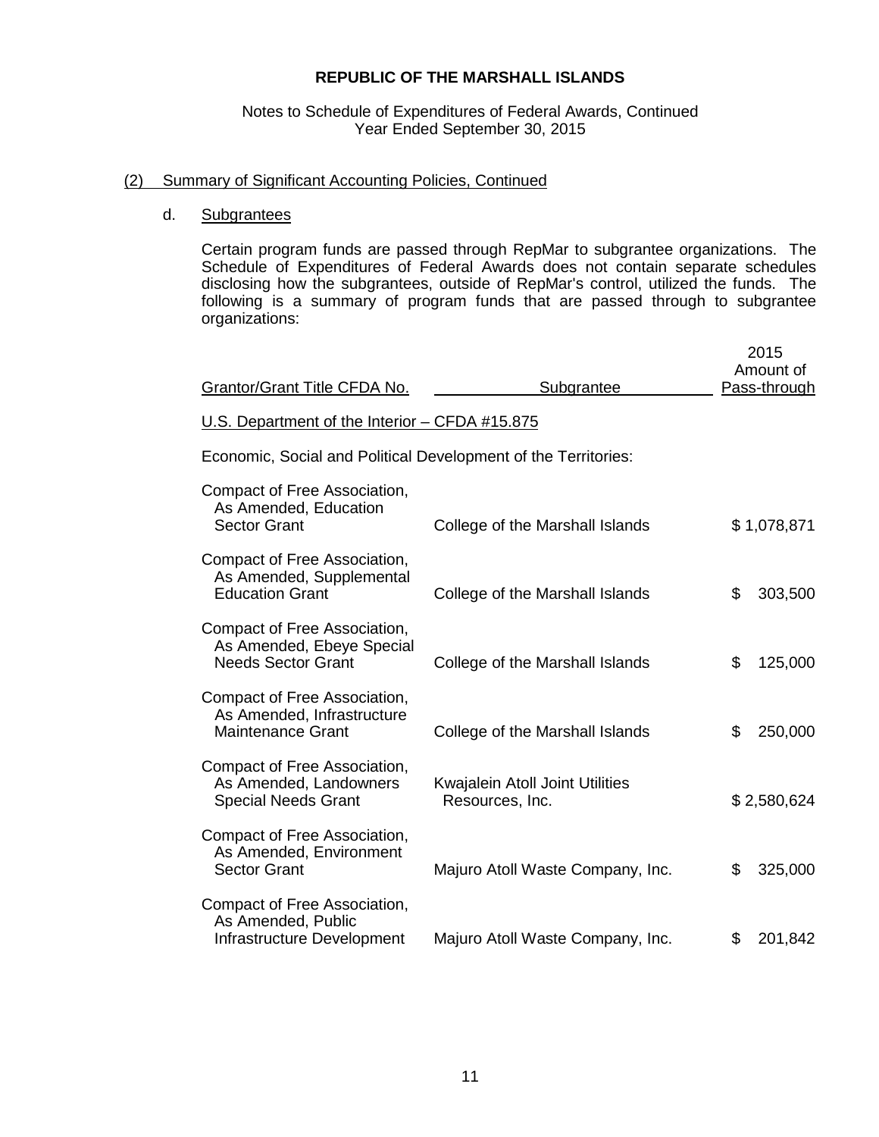#### Notes to Schedule of Expenditures of Federal Awards, Continued Year Ended September 30, 2015

#### (2) Summary of Significant Accounting Policies, Continued

#### d. Subgrantees

Certain program funds are passed through RepMar to subgrantee organizations. The Schedule of Expenditures of Federal Awards does not contain separate schedules disclosing how the subgrantees, outside of RepMar's control, utilized the funds. The following is a summary of program funds that are passed through to subgrantee organizations:

| <b>Grantor/Grant Title CFDA No.</b>                                                    | Subgrantee                                                | 2015<br>Amount of<br>Pass-through |
|----------------------------------------------------------------------------------------|-----------------------------------------------------------|-----------------------------------|
| U.S. Department of the Interior - CFDA #15.875                                         |                                                           |                                   |
| Economic, Social and Political Development of the Territories:                         |                                                           |                                   |
| Compact of Free Association,<br>As Amended, Education<br><b>Sector Grant</b>           | College of the Marshall Islands                           | \$1,078,871                       |
| Compact of Free Association,<br>As Amended, Supplemental<br><b>Education Grant</b>     | College of the Marshall Islands                           | \$<br>303,500                     |
| Compact of Free Association,<br>As Amended, Ebeye Special<br><b>Needs Sector Grant</b> | College of the Marshall Islands                           | \$<br>125,000                     |
| Compact of Free Association,<br>As Amended, Infrastructure<br><b>Maintenance Grant</b> | College of the Marshall Islands                           | \$<br>250,000                     |
| Compact of Free Association,<br>As Amended, Landowners<br><b>Special Needs Grant</b>   | <b>Kwajalein Atoll Joint Utilities</b><br>Resources, Inc. | \$2,580,624                       |
| Compact of Free Association,<br>As Amended, Environment<br><b>Sector Grant</b>         | Majuro Atoll Waste Company, Inc.                          | 325,000<br>\$                     |
| Compact of Free Association,<br>As Amended, Public<br>Infrastructure Development       | Majuro Atoll Waste Company, Inc.                          | 201,842<br>\$                     |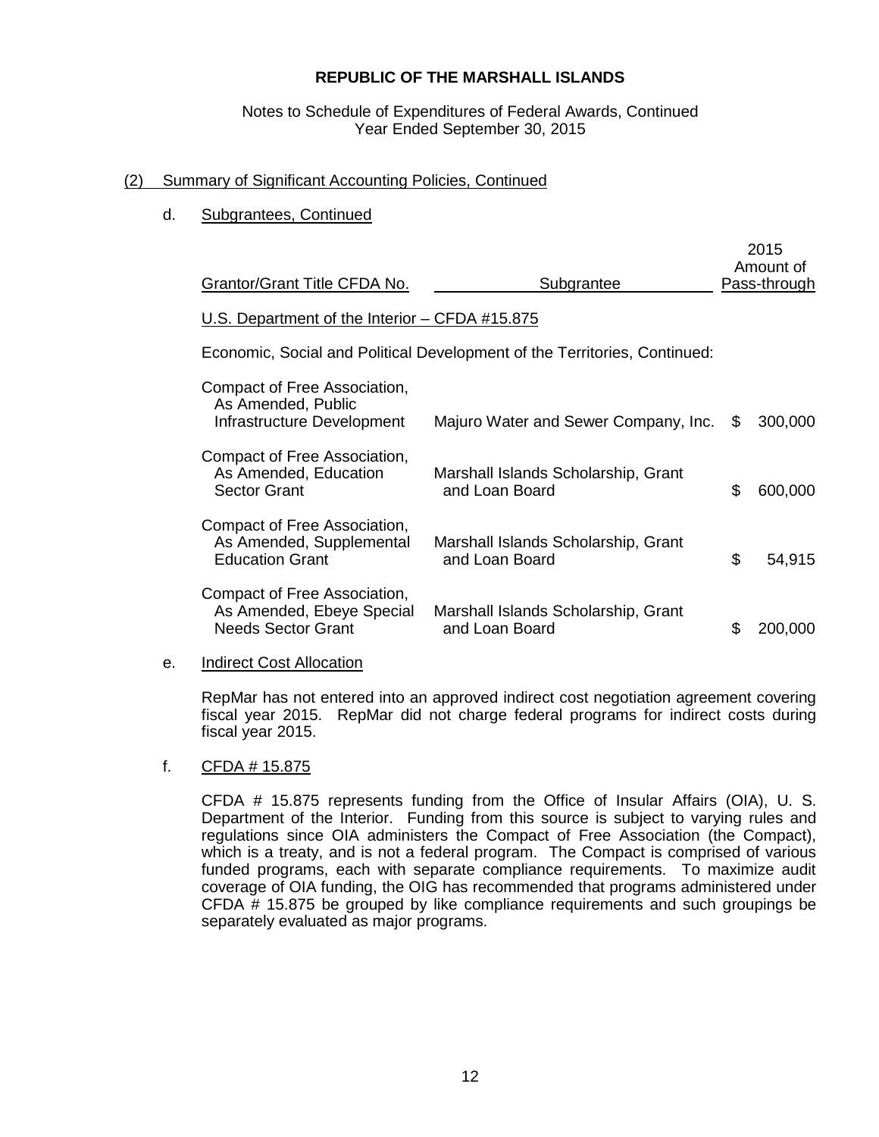#### Notes to Schedule of Expenditures of Federal Awards, Continued Year Ended September 30, 2015

#### (2) Summary of Significant Accounting Policies, Continued

#### d. Subgrantees, Continued

| <b>Grantor/Grant Title CFDA No.</b>                                                    | Subgrantee                                                                |    | 2015<br>Amount of<br><b>Pass-through</b> |
|----------------------------------------------------------------------------------------|---------------------------------------------------------------------------|----|------------------------------------------|
| U.S. Department of the Interior – CFDA #15.875                                         |                                                                           |    |                                          |
|                                                                                        | Economic, Social and Political Development of the Territories, Continued: |    |                                          |
| Compact of Free Association,<br>As Amended, Public<br>Infrastructure Development       | Majuro Water and Sewer Company, Inc.                                      | S  | 300,000                                  |
| Compact of Free Association,<br>As Amended, Education<br><b>Sector Grant</b>           | Marshall Islands Scholarship, Grant<br>and Loan Board                     | \$ | 600,000                                  |
| Compact of Free Association,<br>As Amended, Supplemental<br><b>Education Grant</b>     | Marshall Islands Scholarship, Grant<br>and Loan Board                     | \$ | 54,915                                   |
| Compact of Free Association,<br>As Amended, Ebeye Special<br><b>Needs Sector Grant</b> | Marshall Islands Scholarship, Grant<br>and Loan Board                     |    | 200,000                                  |

#### e. Indirect Cost Allocation

RepMar has not entered into an approved indirect cost negotiation agreement covering fiscal year 2015. RepMar did not charge federal programs for indirect costs during fiscal year 2015.

#### f. CFDA # 15.875

CFDA # 15.875 represents funding from the Office of Insular Affairs (OIA), U. S. Department of the Interior. Funding from this source is subject to varying rules and regulations since OIA administers the Compact of Free Association (the Compact), which is a treaty, and is not a federal program. The Compact is comprised of various funded programs, each with separate compliance requirements. To maximize audit coverage of OIA funding, the OIG has recommended that programs administered under CFDA # 15.875 be grouped by like compliance requirements and such groupings be separately evaluated as major programs.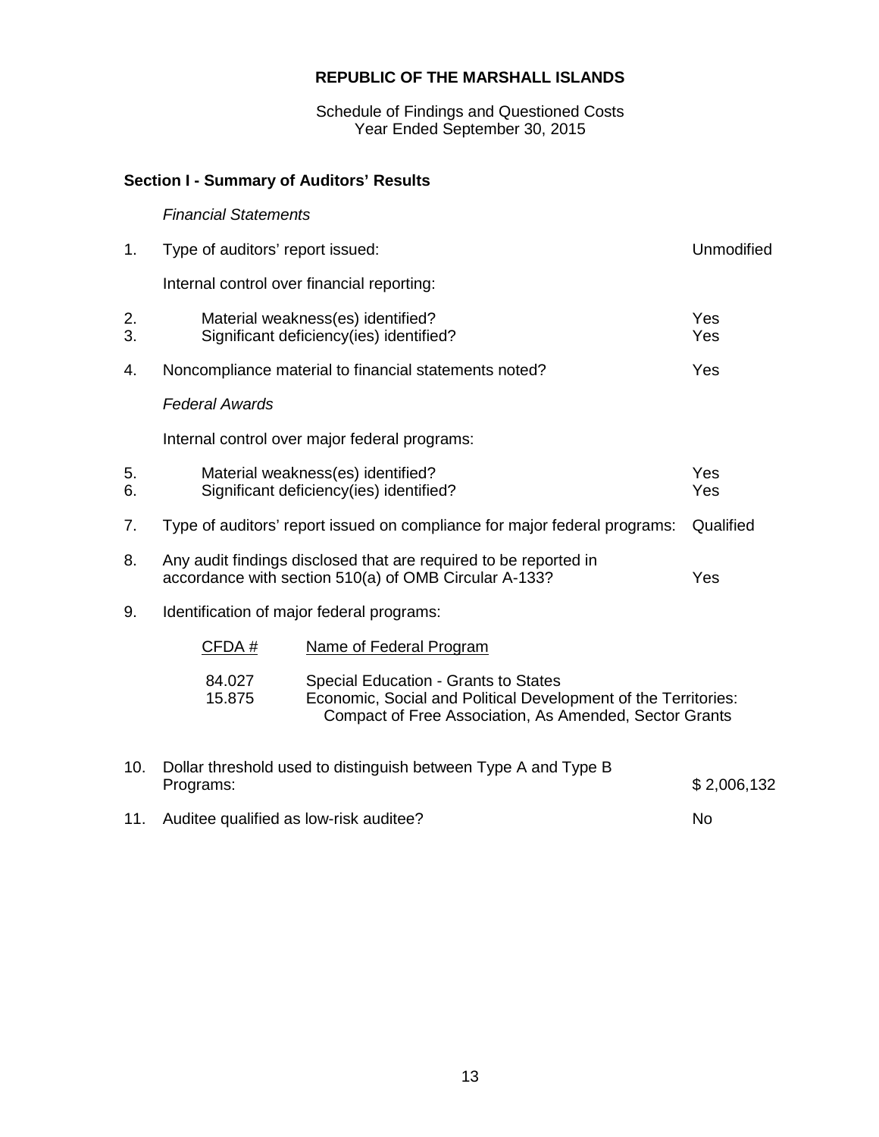Schedule of Findings and Questioned Costs Year Ended September 30, 2015

# **Section I - Summary of Auditors' Results**

# *Financial Statements*

| 1.       | Type of auditors' report issued:                                                                                                 |                                                                                                                                                                         | <b>Unmodified</b> |
|----------|----------------------------------------------------------------------------------------------------------------------------------|-------------------------------------------------------------------------------------------------------------------------------------------------------------------------|-------------------|
|          |                                                                                                                                  | Internal control over financial reporting:                                                                                                                              |                   |
| 2.<br>3. | Material weakness(es) identified?<br>Significant deficiency (ies) identified?                                                    |                                                                                                                                                                         |                   |
| 4.       | Noncompliance material to financial statements noted?<br>Yes                                                                     |                                                                                                                                                                         |                   |
|          | <b>Federal Awards</b>                                                                                                            |                                                                                                                                                                         |                   |
|          |                                                                                                                                  | Internal control over major federal programs:                                                                                                                           |                   |
| 5.<br>6. |                                                                                                                                  | Material weakness(es) identified?<br>Significant deficiency(ies) identified?                                                                                            | Yes<br>Yes        |
| 7.       | Type of auditors' report issued on compliance for major federal programs:<br>Qualified                                           |                                                                                                                                                                         |                   |
| 8.       | Any audit findings disclosed that are required to be reported in<br>accordance with section 510(a) of OMB Circular A-133?<br>Yes |                                                                                                                                                                         |                   |
| 9.       |                                                                                                                                  | Identification of major federal programs:                                                                                                                               |                   |
|          | CFDA#                                                                                                                            | Name of Federal Program                                                                                                                                                 |                   |
|          | 84.027<br>15.875                                                                                                                 | <b>Special Education - Grants to States</b><br>Economic, Social and Political Development of the Territories:<br>Compact of Free Association, As Amended, Sector Grants |                   |
| 10.      | Programs:                                                                                                                        | Dollar threshold used to distinguish between Type A and Type B                                                                                                          | \$2,006,132       |
| 11.      | Auditee qualified as low-risk auditee?                                                                                           |                                                                                                                                                                         | <b>No</b>         |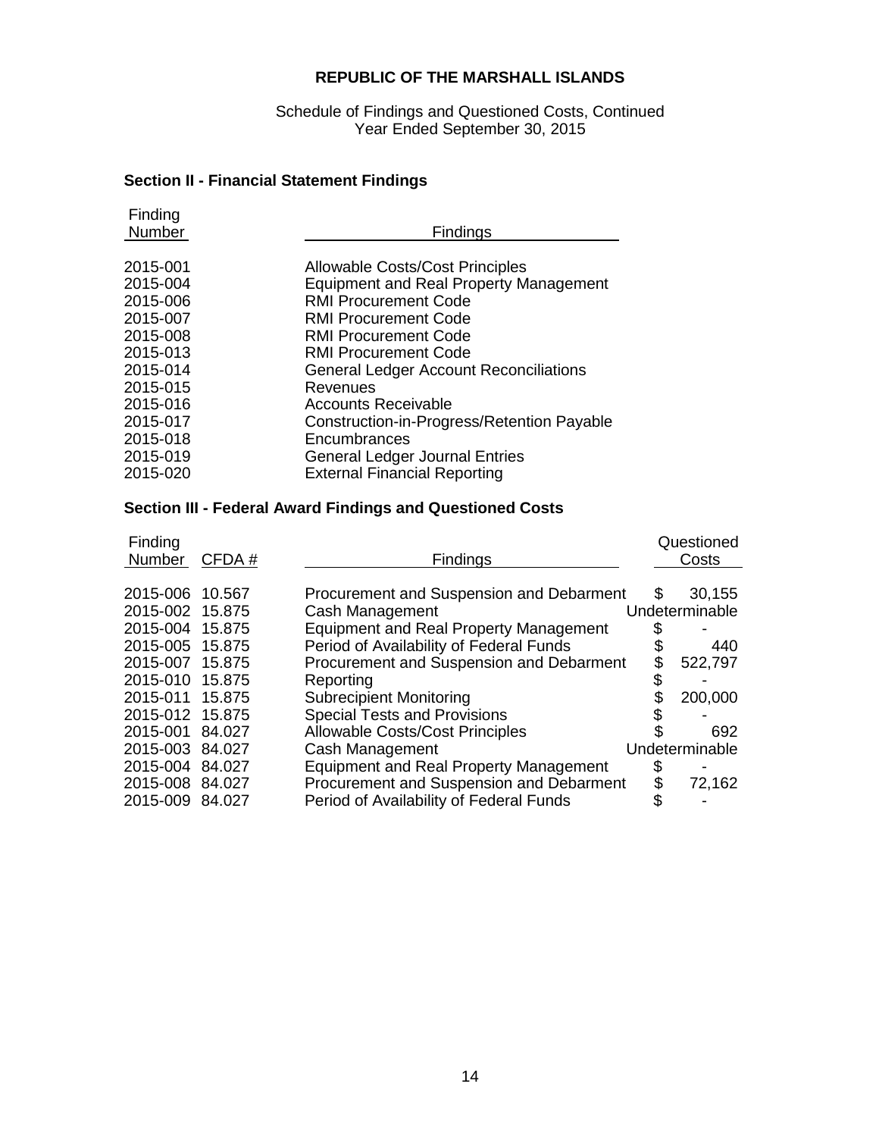Schedule of Findings and Questioned Costs, Continued Year Ended September 30, 2015

# **Section II - Financial Statement Findings**

| Finding<br>Number | <b>Findings</b>                               |
|-------------------|-----------------------------------------------|
| 2015-001          | <b>Allowable Costs/Cost Principles</b>        |
|                   |                                               |
| 2015-004          | <b>Equipment and Real Property Management</b> |
| 2015-006          | <b>RMI Procurement Code</b>                   |
| 2015-007          | <b>RMI Procurement Code</b>                   |
| 2015-008          | <b>RMI Procurement Code</b>                   |
| 2015-013          | <b>RMI Procurement Code</b>                   |
| 2015-014          | <b>General Ledger Account Reconciliations</b> |
| 2015-015          | Revenues                                      |
| 2015-016          | Accounts Receivable                           |
| 2015-017          | Construction-in-Progress/Retention Payable    |
| 2015-018          | Encumbrances                                  |
| 2015-019          | <b>General Ledger Journal Entries</b>         |
| 2015-020          | <b>External Financial Reporting</b>           |
|                   |                                               |

# **Section III - Federal Award Findings and Questioned Costs**

| Finding<br>Number                                                                                                                                                                                      | CFDA#  | <b>Findings</b>                                                                                                                                                                                                                                                                                                                                                                                                |               | Questioned<br>Costs                                                            |
|--------------------------------------------------------------------------------------------------------------------------------------------------------------------------------------------------------|--------|----------------------------------------------------------------------------------------------------------------------------------------------------------------------------------------------------------------------------------------------------------------------------------------------------------------------------------------------------------------------------------------------------------------|---------------|--------------------------------------------------------------------------------|
| 2015-006 10.567<br>2015-002 15.875<br>2015-004 15.875<br>2015-005 15.875<br>2015-007 15.875<br>2015-010 15.875<br>2015-011 15.875<br>2015-012 15.875<br>2015-001<br>2015-003 84.027<br>2015-004 84.027 | 84.027 | Procurement and Suspension and Debarment<br>Cash Management<br><b>Equipment and Real Property Management</b><br>Period of Availability of Federal Funds<br>Procurement and Suspension and Debarment<br>Reporting<br><b>Subrecipient Monitoring</b><br><b>Special Tests and Provisions</b><br><b>Allowable Costs/Cost Principles</b><br><b>Cash Management</b><br><b>Equipment and Real Property Management</b> | \$<br>S<br>\$ | 30,155<br>Undeterminable<br>440<br>522,797<br>200,000<br>692<br>Undeterminable |
| 2015-008 84.027<br>2015-009 84.027                                                                                                                                                                     |        | Procurement and Suspension and Debarment<br>Period of Availability of Federal Funds                                                                                                                                                                                                                                                                                                                            | \$<br>\$      | 72,162                                                                         |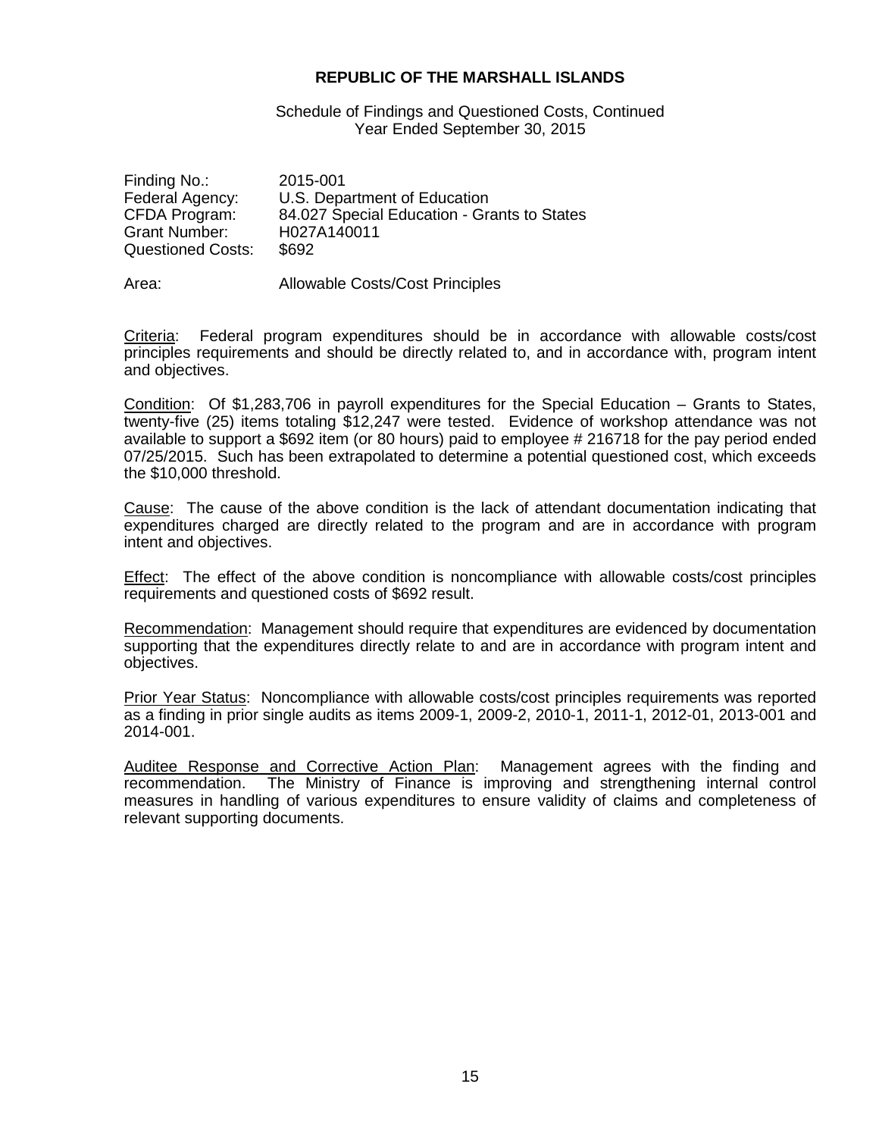#### Schedule of Findings and Questioned Costs, Continued Year Ended September 30, 2015

| Finding No.:             | 2015-001                                    |
|--------------------------|---------------------------------------------|
| Federal Agency:          | U.S. Department of Education                |
| CFDA Program:            | 84.027 Special Education - Grants to States |
| <b>Grant Number:</b>     | H027A140011                                 |
| <b>Questioned Costs:</b> | \$692                                       |

Area: Allowable Costs/Cost Principles

Criteria: Federal program expenditures should be in accordance with allowable costs/cost principles requirements and should be directly related to, and in accordance with, program intent and objectives.

Condition: Of \$1,283,706 in payroll expenditures for the Special Education – Grants to States, twenty-five (25) items totaling \$12,247 were tested. Evidence of workshop attendance was not available to support a \$692 item (or 80 hours) paid to employee # 216718 for the pay period ended 07/25/2015. Such has been extrapolated to determine a potential questioned cost, which exceeds the \$10,000 threshold.

Cause: The cause of the above condition is the lack of attendant documentation indicating that expenditures charged are directly related to the program and are in accordance with program intent and objectives.

Effect: The effect of the above condition is noncompliance with allowable costs/cost principles requirements and questioned costs of \$692 result.

Recommendation: Management should require that expenditures are evidenced by documentation supporting that the expenditures directly relate to and are in accordance with program intent and objectives.

Prior Year Status: Noncompliance with allowable costs/cost principles requirements was reported as a finding in prior single audits as items 2009-1, 2009-2, 2010-1, 2011-1, 2012-01, 2013-001 and 2014-001.

Auditee Response and Corrective Action Plan: Management agrees with the finding and recommendation. The Ministry of Finance is improving and strengthening internal control measures in handling of various expenditures to ensure validity of claims and completeness of relevant supporting documents.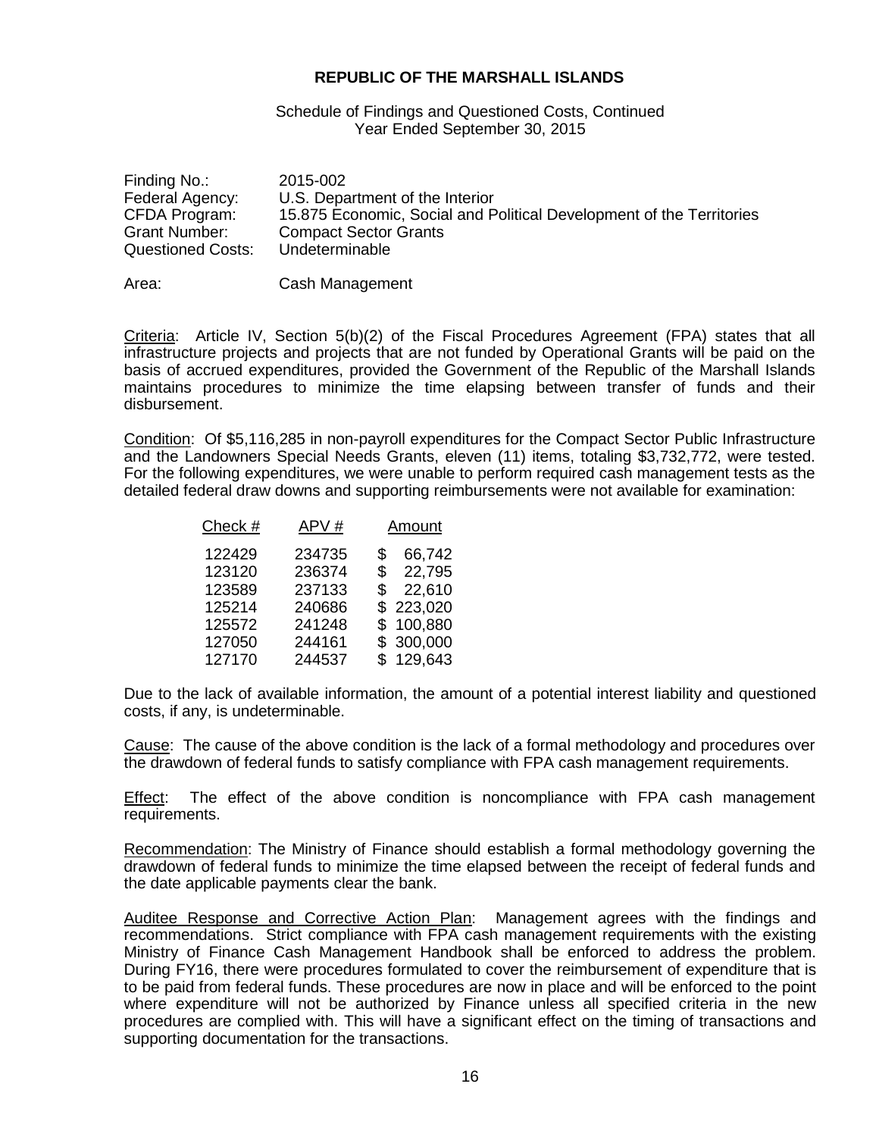#### Schedule of Findings and Questioned Costs, Continued Year Ended September 30, 2015

| Finding No.:             | 2015-002                                                             |
|--------------------------|----------------------------------------------------------------------|
| Federal Agency:          | U.S. Department of the Interior                                      |
| CFDA Program:            | 15.875 Economic, Social and Political Development of the Territories |
| Grant Number:            | <b>Compact Sector Grants</b>                                         |
| <b>Questioned Costs:</b> | Undeterminable                                                       |
|                          |                                                                      |

Area: Cash Management

Criteria: Article IV, Section 5(b)(2) of the Fiscal Procedures Agreement (FPA) states that all infrastructure projects and projects that are not funded by Operational Grants will be paid on the basis of accrued expenditures, provided the Government of the Republic of the Marshall Islands maintains procedures to minimize the time elapsing between transfer of funds and their disbursement.

Condition: Of \$5,116,285 in non-payroll expenditures for the Compact Sector Public Infrastructure and the Landowners Special Needs Grants, eleven (11) items, totaling \$3,732,772, were tested. For the following expenditures, we were unable to perform required cash management tests as the detailed federal draw downs and supporting reimbursements were not available for examination:

| 66,742         |
|----------------|
| 22,795         |
| 22,610         |
| \$223,020      |
| \$100,880      |
| \$ 300,000     |
| \$129,643      |
| \$<br>\$<br>\$ |

Due to the lack of available information, the amount of a potential interest liability and questioned costs, if any, is undeterminable.

Cause: The cause of the above condition is the lack of a formal methodology and procedures over the drawdown of federal funds to satisfy compliance with FPA cash management requirements.

Effect: The effect of the above condition is noncompliance with FPA cash management requirements.

Recommendation: The Ministry of Finance should establish a formal methodology governing the drawdown of federal funds to minimize the time elapsed between the receipt of federal funds and the date applicable payments clear the bank.

Auditee Response and Corrective Action Plan: Management agrees with the findings and recommendations. Strict compliance with FPA cash management requirements with the existing Ministry of Finance Cash Management Handbook shall be enforced to address the problem. During FY16, there were procedures formulated to cover the reimbursement of expenditure that is to be paid from federal funds. These procedures are now in place and will be enforced to the point where expenditure will not be authorized by Finance unless all specified criteria in the new procedures are complied with. This will have a significant effect on the timing of transactions and supporting documentation for the transactions.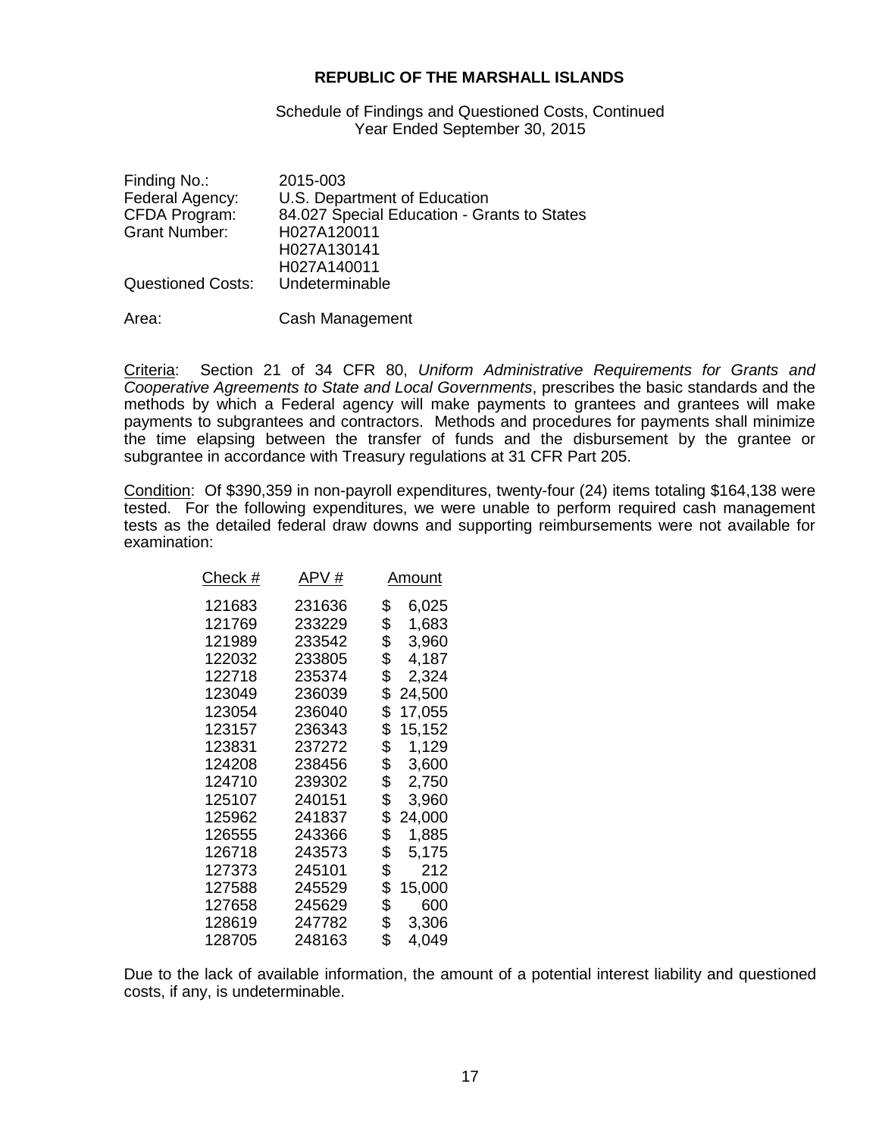Schedule of Findings and Questioned Costs, Continued Year Ended September 30, 2015

| Finding No.:<br>Federal Agency: | 2015-003<br>U.S. Department of Education    |
|---------------------------------|---------------------------------------------|
| CFDA Program:                   | 84.027 Special Education - Grants to States |
| <b>Grant Number:</b>            | H027A120011                                 |
|                                 | H027A130141                                 |
|                                 | H027A140011                                 |
| <b>Questioned Costs:</b>        | Undeterminable                              |
| Area:                           | Cash Management                             |

Criteria: Section 21 of 34 CFR 80, *Uniform Administrative Requirements for Grants and Cooperative Agreements to State and Local Governments*, prescribes the basic standards and the methods by which a Federal agency will make payments to grantees and grantees will make payments to subgrantees and contractors. Methods and procedures for payments shall minimize the time elapsing between the transfer of funds and the disbursement by the grantee or subgrantee in accordance with Treasury regulations at 31 CFR Part 205.

Condition: Of \$390,359 in non-payroll expenditures, twenty-four (24) items totaling \$164,138 were tested. For the following expenditures, we were unable to perform required cash management tests as the detailed federal draw downs and supporting reimbursements were not available for examination:

| Check # | APV #  | Amount       |  |
|---------|--------|--------------|--|
| 121683  | 231636 | \$<br>6,025  |  |
| 121769  | 233229 | \$<br>1,683  |  |
| 121989  | 233542 | \$<br>3,960  |  |
| 122032  | 233805 | \$<br>4,187  |  |
| 122718  | 235374 | \$<br>2,324  |  |
| 123049  | 236039 | \$<br>24,500 |  |
| 123054  | 236040 | \$<br>17,055 |  |
| 123157  | 236343 | \$<br>15,152 |  |
| 123831  | 237272 | \$<br>1,129  |  |
| 124208  | 238456 | \$<br>3,600  |  |
| 124710  | 239302 | \$<br>2,750  |  |
| 125107  | 240151 | \$<br>3.960  |  |
| 125962  | 241837 | \$<br>24,000 |  |
| 126555  | 243366 | \$<br>1,885  |  |
| 126718  | 243573 | \$<br>5,175  |  |
| 127373  | 245101 | \$<br>212    |  |
| 127588  | 245529 | \$<br>15,000 |  |
| 127658  | 245629 | \$<br>600    |  |
| 128619  | 247782 | \$<br>3,306  |  |
| 128705  | 248163 | \$<br>4.049  |  |

Due to the lack of available information, the amount of a potential interest liability and questioned costs, if any, is undeterminable.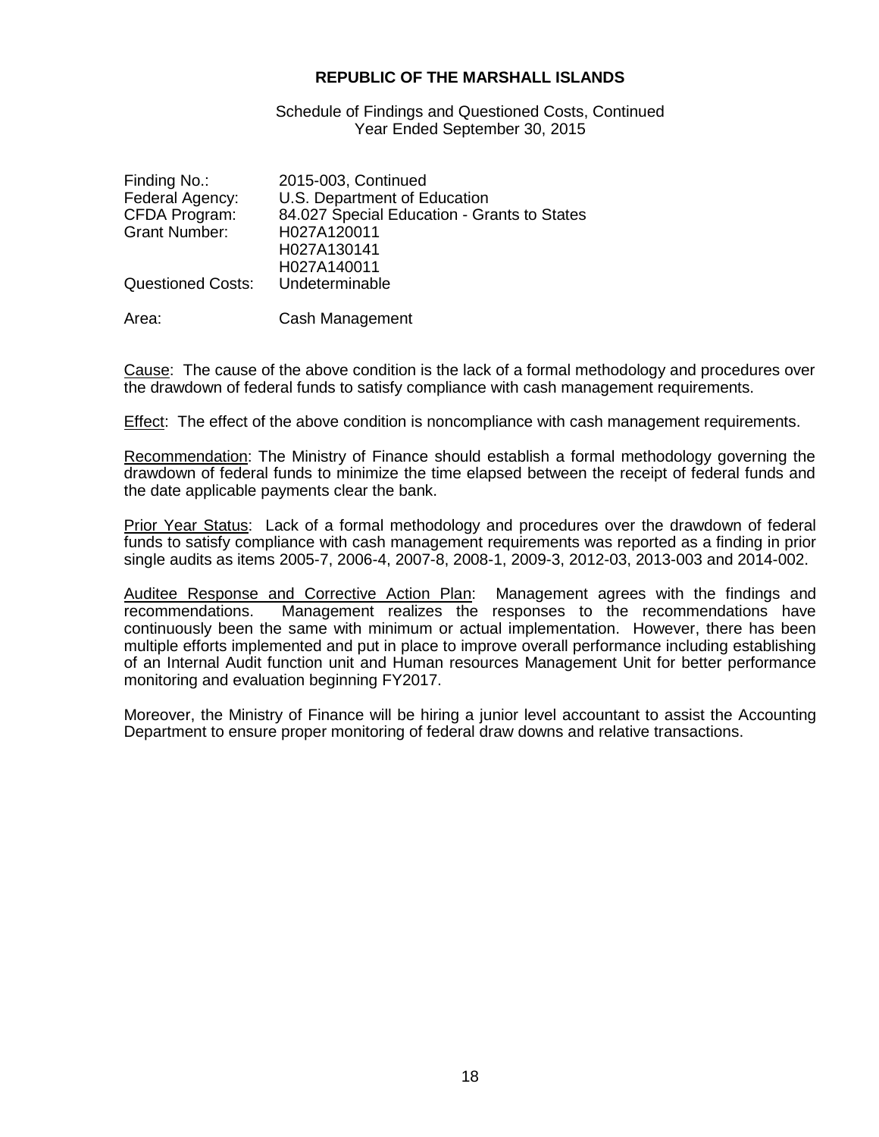Schedule of Findings and Questioned Costs, Continued Year Ended September 30, 2015

| Finding No.:             | 2015-003, Continued                         |
|--------------------------|---------------------------------------------|
| Federal Agency:          | U.S. Department of Education                |
| CFDA Program:            | 84.027 Special Education - Grants to States |
| <b>Grant Number:</b>     | H027A120011                                 |
|                          | H027A130141                                 |
|                          | H027A140011                                 |
| <b>Questioned Costs:</b> | Undeterminable                              |
| Area:                    | Cash Management                             |

Cause: The cause of the above condition is the lack of a formal methodology and procedures over the drawdown of federal funds to satisfy compliance with cash management requirements.

Effect: The effect of the above condition is noncompliance with cash management requirements.

Recommendation: The Ministry of Finance should establish a formal methodology governing the drawdown of federal funds to minimize the time elapsed between the receipt of federal funds and the date applicable payments clear the bank.

Prior Year Status: Lack of a formal methodology and procedures over the drawdown of federal funds to satisfy compliance with cash management requirements was reported as a finding in prior single audits as items 2005-7, 2006-4, 2007-8, 2008-1, 2009-3, 2012-03, 2013-003 and 2014-002.

Auditee Response and Corrective Action Plan: Management agrees with the findings and recommendations. Management realizes the responses to the recommendations have continuously been the same with minimum or actual implementation. However, there has been multiple efforts implemented and put in place to improve overall performance including establishing of an Internal Audit function unit and Human resources Management Unit for better performance monitoring and evaluation beginning FY2017.

Moreover, the Ministry of Finance will be hiring a junior level accountant to assist the Accounting Department to ensure proper monitoring of federal draw downs and relative transactions.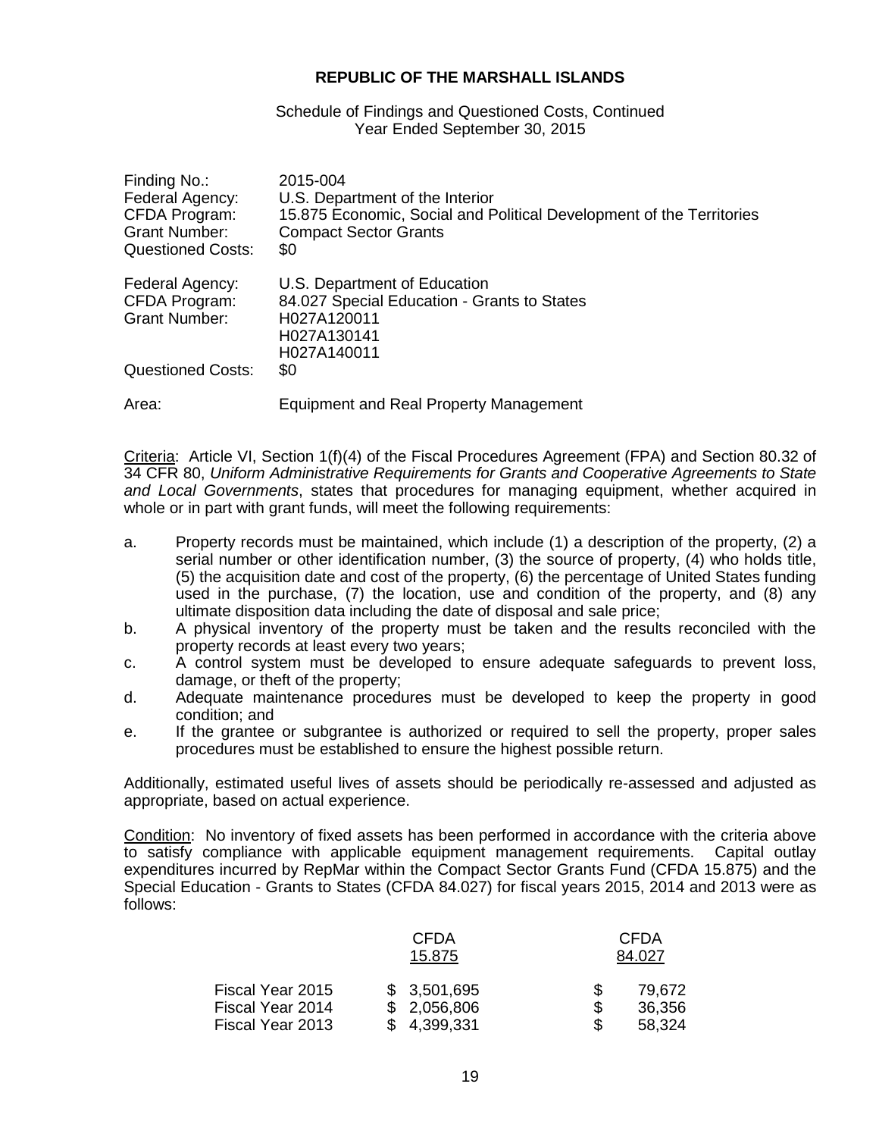#### Schedule of Findings and Questioned Costs, Continued Year Ended September 30, 2015

| Finding No.:<br>Federal Agency:<br>CFDA Program:<br><b>Grant Number:</b><br>Questioned Costs: | 2015-004<br>U.S. Department of the Interior<br>15.875 Economic, Social and Political Development of the Territories<br><b>Compact Sector Grants</b><br>\$0 |
|-----------------------------------------------------------------------------------------------|------------------------------------------------------------------------------------------------------------------------------------------------------------|
| Federal Agency:<br>CFDA Program:<br><b>Grant Number:</b>                                      | U.S. Department of Education<br>84.027 Special Education - Grants to States<br>H027A120011<br>H027A130141<br>H027A140011                                   |
| <b>Questioned Costs:</b>                                                                      | \$0                                                                                                                                                        |
| Area:                                                                                         | Equipment and Real Property Management                                                                                                                     |

Criteria: Article VI, Section 1(f)(4) of the Fiscal Procedures Agreement (FPA) and Section 80.32 of 34 CFR 80, *Uniform Administrative Requirements for Grants and Cooperative Agreements to State and Local Governments*, states that procedures for managing equipment, whether acquired in whole or in part with grant funds, will meet the following requirements:

- a. Property records must be maintained, which include (1) a description of the property, (2) a serial number or other identification number, (3) the source of property, (4) who holds title, (5) the acquisition date and cost of the property, (6) the percentage of United States funding used in the purchase, (7) the location, use and condition of the property, and (8) any ultimate disposition data including the date of disposal and sale price;
- b. A physical inventory of the property must be taken and the results reconciled with the property records at least every two years;
- c. A control system must be developed to ensure adequate safeguards to prevent loss, damage, or theft of the property;
- d. Adequate maintenance procedures must be developed to keep the property in good condition; and
- e. If the grantee or subgrantee is authorized or required to sell the property, proper sales procedures must be established to ensure the highest possible return.

Additionally, estimated useful lives of assets should be periodically re-assessed and adjusted as appropriate, based on actual experience.

Condition: No inventory of fixed assets has been performed in accordance with the criteria above to satisfy compliance with applicable equipment management requirements. Capital outlay expenditures incurred by RepMar within the Compact Sector Grants Fund (CFDA 15.875) and the Special Education - Grants to States (CFDA 84.027) for fiscal years 2015, 2014 and 2013 were as follows:

| <b>CFDA</b>                                              |                                           | <b>CFDA</b>                           |  |
|----------------------------------------------------------|-------------------------------------------|---------------------------------------|--|
| 15.875                                                   |                                           | 84.027                                |  |
| Fiscal Year 2015<br>Fiscal Year 2014<br>Fiscal Year 2013 | \$3,501,695<br>\$2,056,806<br>\$4,399,331 | 79,672<br>\$<br>36,356<br>S<br>58,324 |  |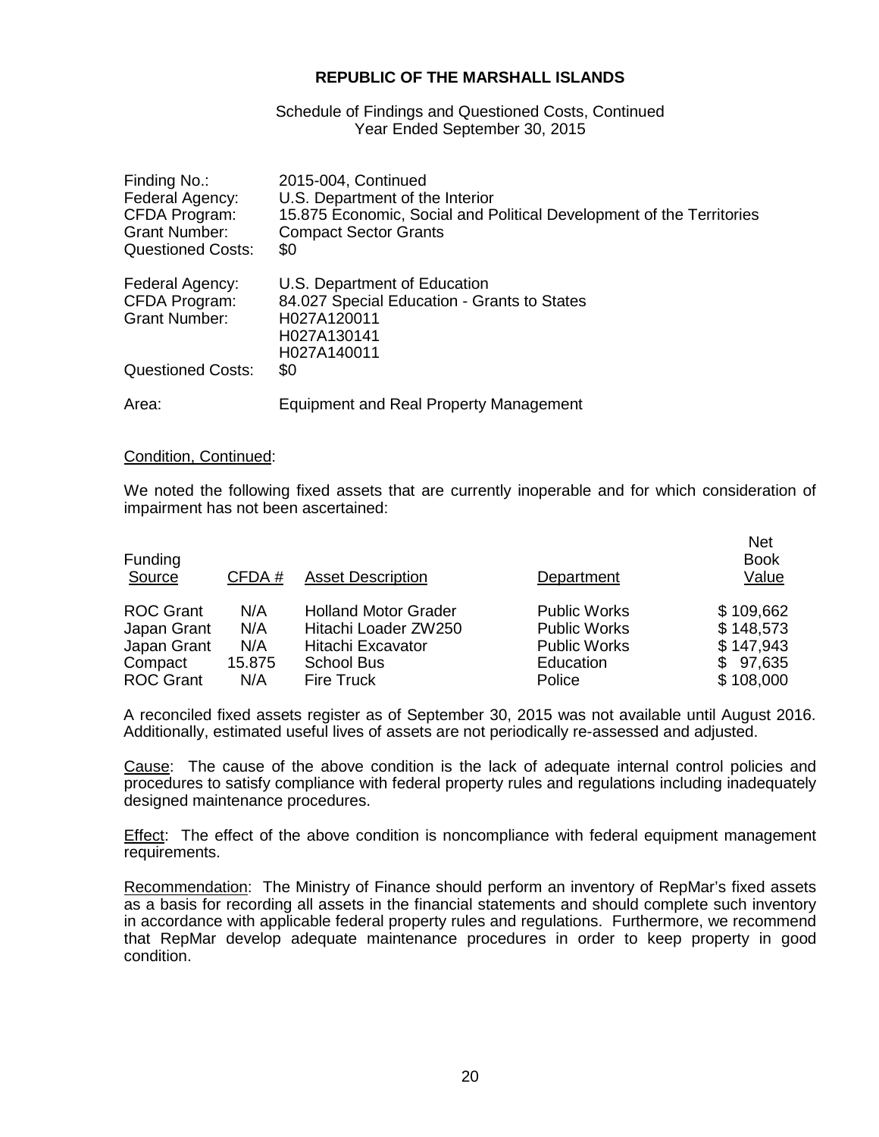Schedule of Findings and Questioned Costs, Continued Year Ended September 30, 2015

| Finding No.:<br>Federal Agency:<br>CFDA Program:<br><b>Grant Number:</b><br><b>Questioned Costs:</b> | 2015-004, Continued<br>U.S. Department of the Interior<br>15.875 Economic, Social and Political Development of the Territories<br><b>Compact Sector Grants</b><br>\$0 |
|------------------------------------------------------------------------------------------------------|-----------------------------------------------------------------------------------------------------------------------------------------------------------------------|
| Federal Agency:<br>CFDA Program:<br><b>Grant Number:</b>                                             | U.S. Department of Education<br>84.027 Special Education - Grants to States<br>H027A120011<br>H027A130141<br>H027A140011                                              |
| <b>Questioned Costs:</b>                                                                             | \$0                                                                                                                                                                   |
| Area:                                                                                                | Equipment and Real Property Management                                                                                                                                |

#### Condition, Continued:

We noted the following fixed assets that are currently inoperable and for which consideration of impairment has not been ascertained:

| Funding<br>Source | CFDA#  | <b>Asset Description</b>    | Department          | <b>Net</b><br><b>Book</b><br>Value |
|-------------------|--------|-----------------------------|---------------------|------------------------------------|
| <b>ROC Grant</b>  | N/A    | <b>Holland Motor Grader</b> | <b>Public Works</b> | \$109,662                          |
| Japan Grant       | N/A    | Hitachi Loader ZW250        | <b>Public Works</b> | \$148,573                          |
| Japan Grant       | N/A    | Hitachi Excavator           | <b>Public Works</b> | \$147,943                          |
| Compact           | 15.875 | <b>School Bus</b>           | Education           | \$97,635                           |
| <b>ROC Grant</b>  | N/A    | <b>Fire Truck</b>           | Police              | \$108,000                          |

A reconciled fixed assets register as of September 30, 2015 was not available until August 2016. Additionally, estimated useful lives of assets are not periodically re-assessed and adjusted.

Cause: The cause of the above condition is the lack of adequate internal control policies and procedures to satisfy compliance with federal property rules and regulations including inadequately designed maintenance procedures.

**Effect:** The effect of the above condition is noncompliance with federal equipment management requirements.

Recommendation: The Ministry of Finance should perform an inventory of RepMar's fixed assets as a basis for recording all assets in the financial statements and should complete such inventory in accordance with applicable federal property rules and regulations. Furthermore, we recommend that RepMar develop adequate maintenance procedures in order to keep property in good condition.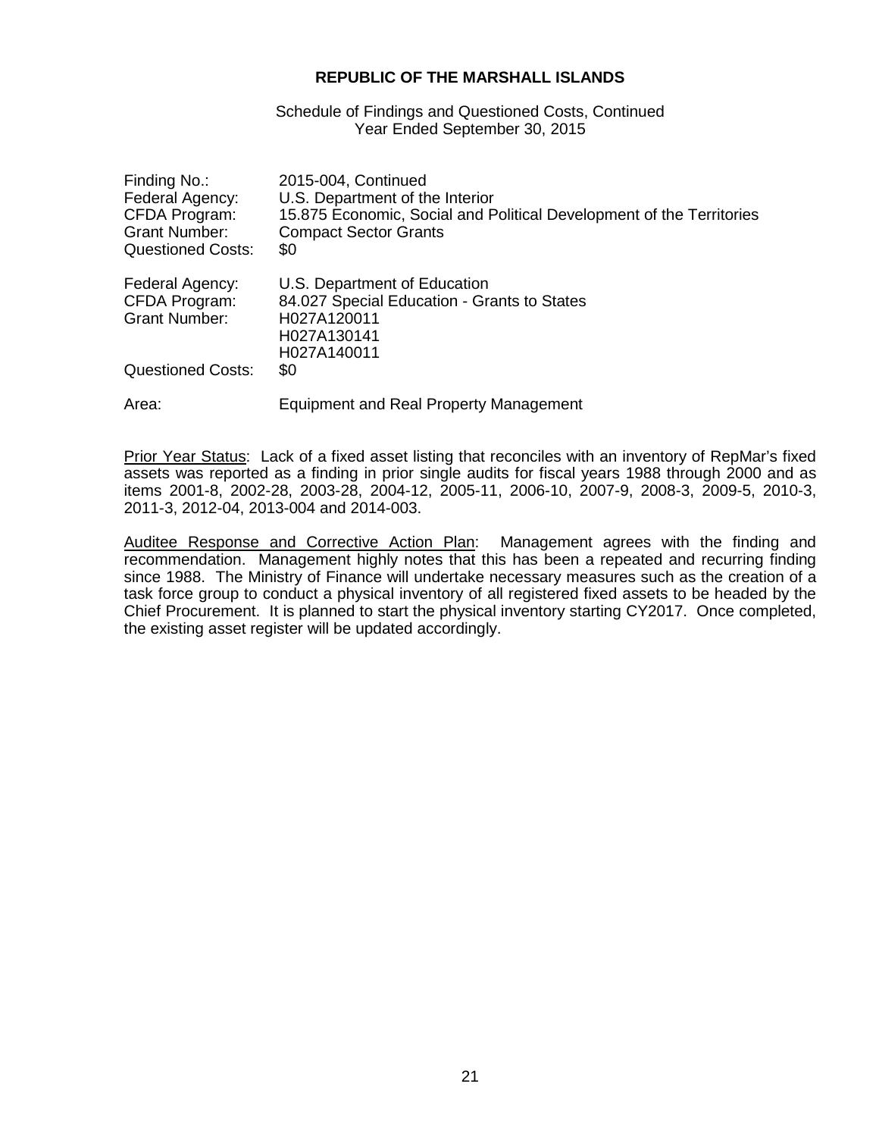Schedule of Findings and Questioned Costs, Continued Year Ended September 30, 2015

| Finding No.:<br>Federal Agency:<br>CFDA Program:<br><b>Grant Number:</b><br><b>Questioned Costs:</b> | 2015-004, Continued<br>U.S. Department of the Interior<br>15.875 Economic, Social and Political Development of the Territories<br><b>Compact Sector Grants</b><br>\$0 |
|------------------------------------------------------------------------------------------------------|-----------------------------------------------------------------------------------------------------------------------------------------------------------------------|
| Federal Agency:<br>CFDA Program:<br><b>Grant Number:</b>                                             | U.S. Department of Education<br>84.027 Special Education - Grants to States<br>H027A120011<br>H027A130141<br>H027A140011                                              |
| <b>Questioned Costs:</b>                                                                             | \$0                                                                                                                                                                   |
|                                                                                                      |                                                                                                                                                                       |

Area: Equipment and Real Property Management

Prior Year Status: Lack of a fixed asset listing that reconciles with an inventory of RepMar's fixed assets was reported as a finding in prior single audits for fiscal years 1988 through 2000 and as items 2001-8, 2002-28, 2003-28, 2004-12, 2005-11, 2006-10, 2007-9, 2008-3, 2009-5, 2010-3, 2011-3, 2012-04, 2013-004 and 2014-003.

Auditee Response and Corrective Action Plan: Management agrees with the finding and recommendation. Management highly notes that this has been a repeated and recurring finding since 1988. The Ministry of Finance will undertake necessary measures such as the creation of a task force group to conduct a physical inventory of all registered fixed assets to be headed by the Chief Procurement. It is planned to start the physical inventory starting CY2017. Once completed, the existing asset register will be updated accordingly.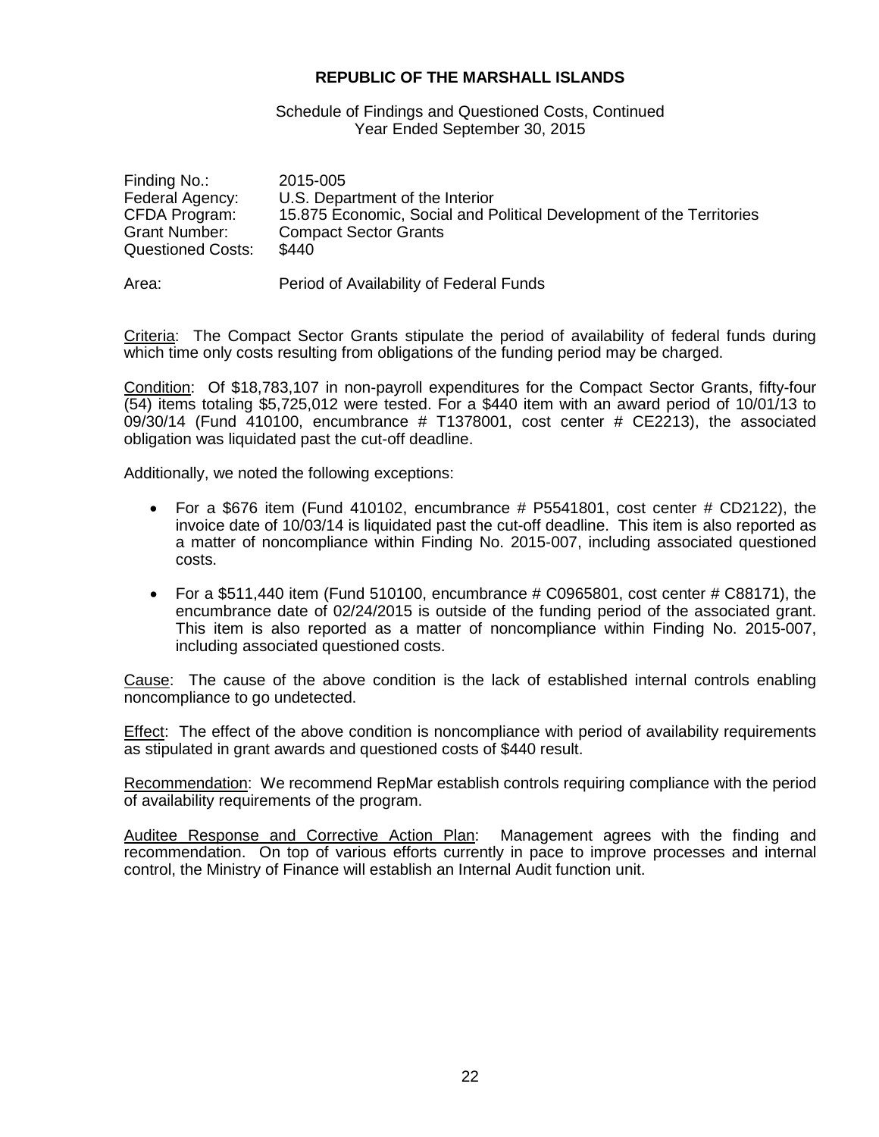#### Schedule of Findings and Questioned Costs, Continued Year Ended September 30, 2015

| Finding No.:             | 2015-005                                                             |
|--------------------------|----------------------------------------------------------------------|
| Federal Agency:          | U.S. Department of the Interior                                      |
| CFDA Program:            | 15.875 Economic, Social and Political Development of the Territories |
| Grant Number:            | <b>Compact Sector Grants</b>                                         |
| <b>Questioned Costs:</b> | \$440                                                                |
|                          |                                                                      |

Area: Period of Availability of Federal Funds

Criteria: The Compact Sector Grants stipulate the period of availability of federal funds during which time only costs resulting from obligations of the funding period may be charged.

Condition: Of \$18,783,107 in non-payroll expenditures for the Compact Sector Grants, fifty-four (54) items totaling \$5,725,012 were tested. For a \$440 item with an award period of 10/01/13 to 09/30/14 (Fund 410100, encumbrance # T1378001, cost center # CE2213), the associated obligation was liquidated past the cut-off deadline.

Additionally, we noted the following exceptions:

- For a \$676 item (Fund 410102, encumbrance  $#$  P5541801, cost center  $#$  CD2122), the invoice date of 10/03/14 is liquidated past the cut-off deadline. This item is also reported as a matter of noncompliance within Finding No. 2015-007, including associated questioned costs.
- For a \$511,440 item (Fund 510100, encumbrance  $\#$  C0965801, cost center  $\#$  C88171), the encumbrance date of 02/24/2015 is outside of the funding period of the associated grant. This item is also reported as a matter of noncompliance within Finding No. 2015-007, including associated questioned costs.

Cause: The cause of the above condition is the lack of established internal controls enabling noncompliance to go undetected.

Effect: The effect of the above condition is noncompliance with period of availability requirements as stipulated in grant awards and questioned costs of \$440 result.

Recommendation: We recommend RepMar establish controls requiring compliance with the period of availability requirements of the program.

Auditee Response and Corrective Action Plan: Management agrees with the finding and recommendation. On top of various efforts currently in pace to improve processes and internal control, the Ministry of Finance will establish an Internal Audit function unit.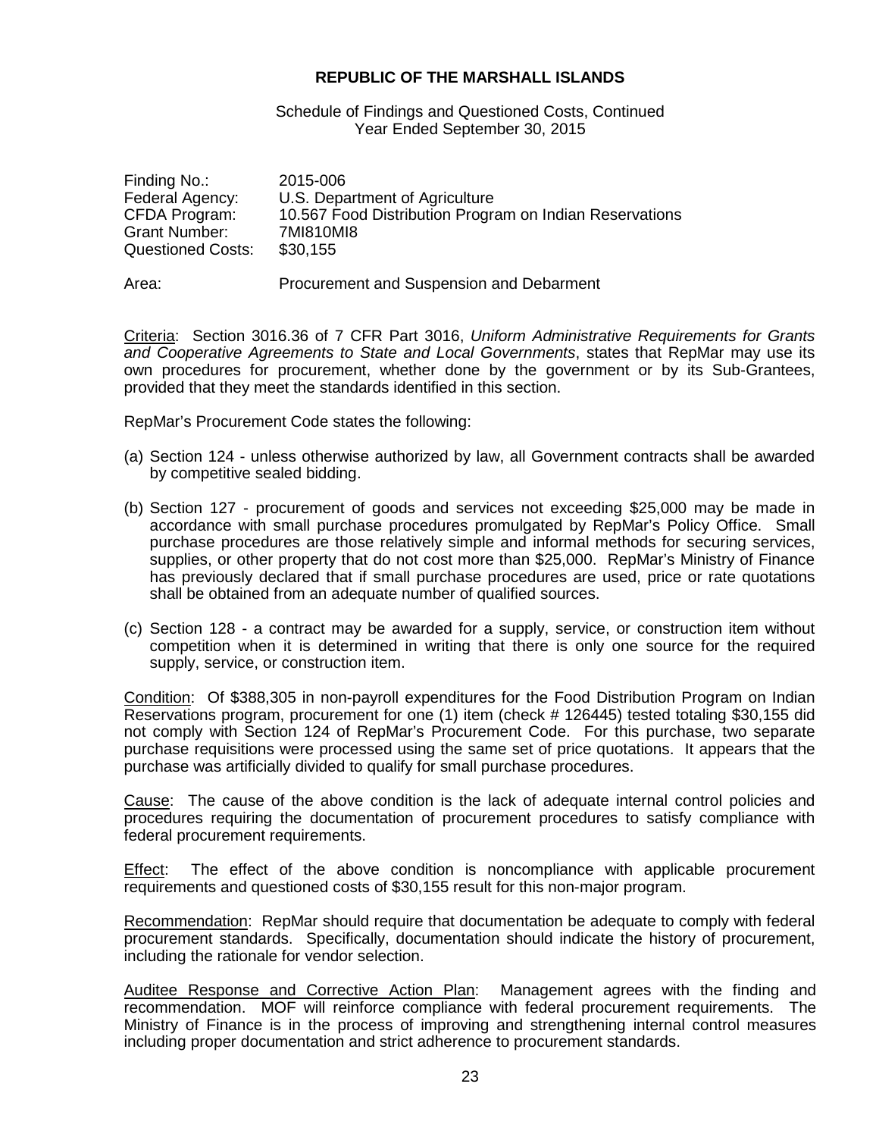Schedule of Findings and Questioned Costs, Continued Year Ended September 30, 2015

| Finding No.:             | 2015-006                                                |
|--------------------------|---------------------------------------------------------|
| Federal Agency:          | U.S. Department of Agriculture                          |
| CFDA Program:            | 10.567 Food Distribution Program on Indian Reservations |
| <b>Grant Number:</b>     | 7MI810MI8                                               |
| <b>Questioned Costs:</b> | \$30,155                                                |

Area: Procurement and Suspension and Debarment

Criteria: Section 3016.36 of 7 CFR Part 3016, *Uniform Administrative Requirements for Grants and Cooperative Agreements to State and Local Governments*, states that RepMar may use its own procedures for procurement, whether done by the government or by its Sub-Grantees, provided that they meet the standards identified in this section.

RepMar's Procurement Code states the following:

- (a) Section 124 unless otherwise authorized by law, all Government contracts shall be awarded by competitive sealed bidding.
- (b) Section 127 procurement of goods and services not exceeding \$25,000 may be made in accordance with small purchase procedures promulgated by RepMar's Policy Office. Small purchase procedures are those relatively simple and informal methods for securing services, supplies, or other property that do not cost more than \$25,000. RepMar's Ministry of Finance has previously declared that if small purchase procedures are used, price or rate quotations shall be obtained from an adequate number of qualified sources.
- (c) Section 128 a contract may be awarded for a supply, service, or construction item without competition when it is determined in writing that there is only one source for the required supply, service, or construction item.

Condition: Of \$388,305 in non-payroll expenditures for the Food Distribution Program on Indian Reservations program, procurement for one (1) item (check # 126445) tested totaling \$30,155 did not comply with Section 124 of RepMar's Procurement Code. For this purchase, two separate purchase requisitions were processed using the same set of price quotations. It appears that the purchase was artificially divided to qualify for small purchase procedures.

Cause: The cause of the above condition is the lack of adequate internal control policies and procedures requiring the documentation of procurement procedures to satisfy compliance with federal procurement requirements.

Effect: The effect of the above condition is noncompliance with applicable procurement requirements and questioned costs of \$30,155 result for this non-major program.

Recommendation: RepMar should require that documentation be adequate to comply with federal procurement standards. Specifically, documentation should indicate the history of procurement, including the rationale for vendor selection.

Auditee Response and Corrective Action Plan: Management agrees with the finding and recommendation. MOF will reinforce compliance with federal procurement requirements. The Ministry of Finance is in the process of improving and strengthening internal control measures including proper documentation and strict adherence to procurement standards.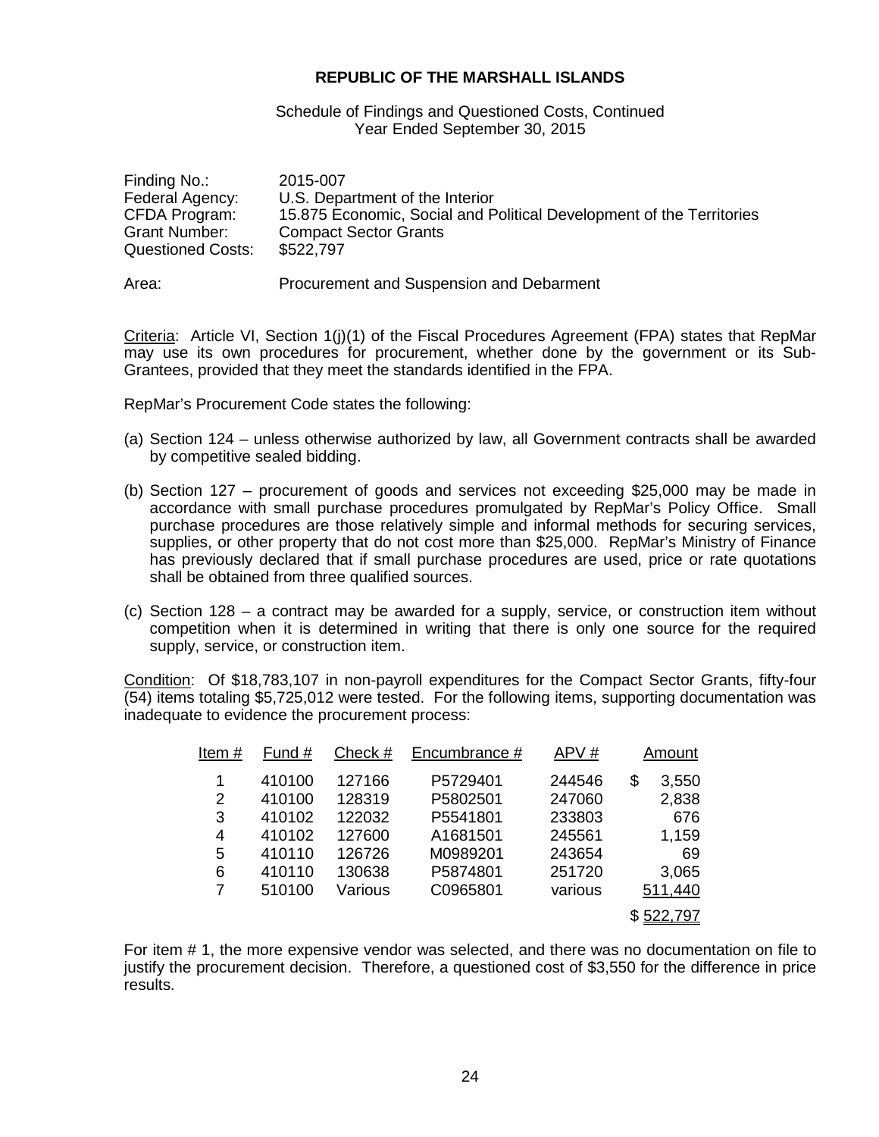#### Schedule of Findings and Questioned Costs, Continued Year Ended September 30, 2015

| Finding No.:             | 2015-007                                                             |
|--------------------------|----------------------------------------------------------------------|
| Federal Agency:          | U.S. Department of the Interior                                      |
| CFDA Program:            | 15.875 Economic, Social and Political Development of the Territories |
| Grant Number:            | <b>Compact Sector Grants</b>                                         |
| <b>Questioned Costs:</b> | \$522,797                                                            |

Area: Procurement and Suspension and Debarment

Criteria: Article VI, Section 1(j)(1) of the Fiscal Procedures Agreement (FPA) states that RepMar may use its own procedures for procurement, whether done by the government or its Sub-Grantees, provided that they meet the standards identified in the FPA.

RepMar's Procurement Code states the following:

- (a) Section 124 unless otherwise authorized by law, all Government contracts shall be awarded by competitive sealed bidding.
- (b) Section 127 procurement of goods and services not exceeding \$25,000 may be made in accordance with small purchase procedures promulgated by RepMar's Policy Office. Small purchase procedures are those relatively simple and informal methods for securing services, supplies, or other property that do not cost more than \$25,000. RepMar's Ministry of Finance has previously declared that if small purchase procedures are used, price or rate quotations shall be obtained from three qualified sources.
- (c) Section 128 a contract may be awarded for a supply, service, or construction item without competition when it is determined in writing that there is only one source for the required supply, service, or construction item.

Condition: Of \$18,783,107 in non-payroll expenditures for the Compact Sector Grants, fifty-four (54) items totaling \$5,725,012 were tested. For the following items, supporting documentation was inadequate to evidence the procurement process:

| Item $#$ | Fund # | Check # | Encumbrance # | APV#    | Amount      |
|----------|--------|---------|---------------|---------|-------------|
| 1        | 410100 | 127166  | P5729401      | 244546  | \$<br>3,550 |
| 2        | 410100 | 128319  | P5802501      | 247060  | 2,838       |
| 3        | 410102 | 122032  | P5541801      | 233803  | 676         |
| 4        | 410102 | 127600  | A1681501      | 245561  | 1,159       |
| 5        | 410110 | 126726  | M0989201      | 243654  | 69          |
| 6        | 410110 | 130638  | P5874801      | 251720  | 3,065       |
| 7        | 510100 | Various | C0965801      | various | 511,440     |
|          |        |         |               |         | \$522,797   |

For item # 1, the more expensive vendor was selected, and there was no documentation on file to justify the procurement decision. Therefore, a questioned cost of \$3,550 for the difference in price results.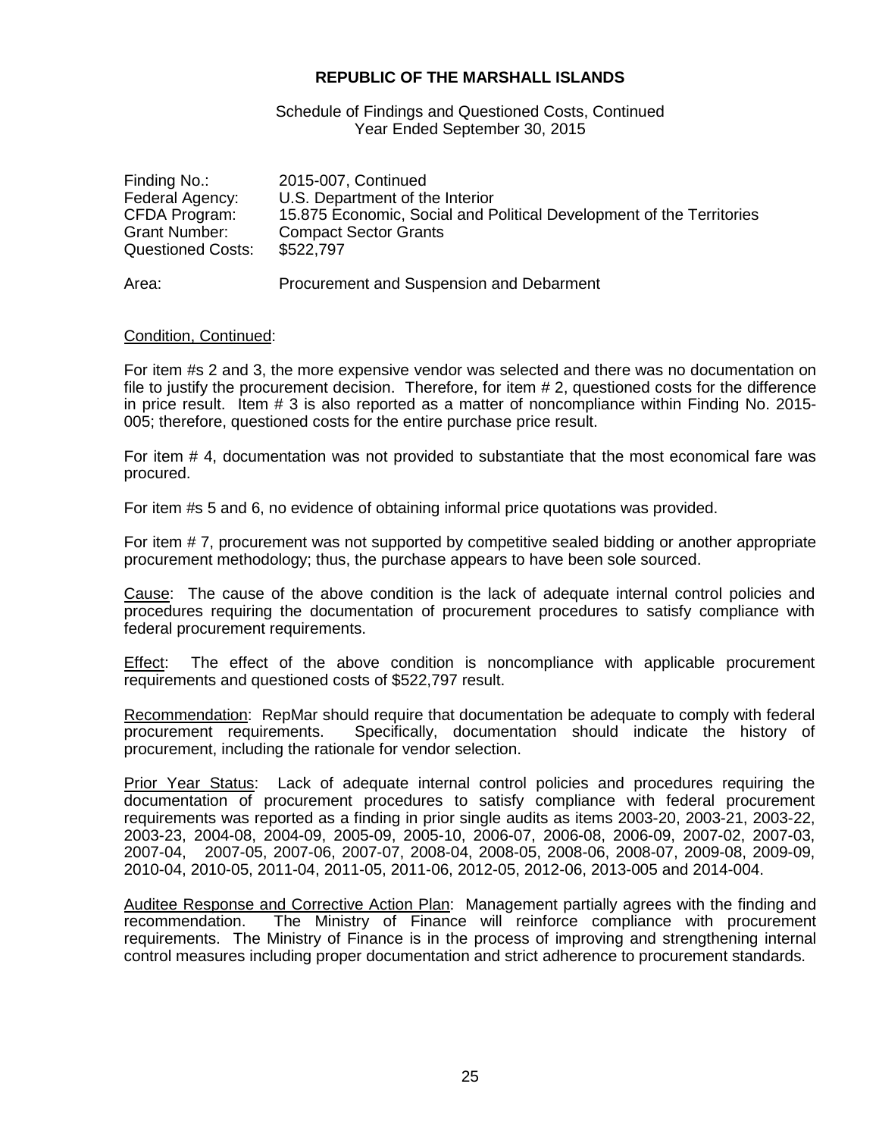Schedule of Findings and Questioned Costs, Continued Year Ended September 30, 2015

| Finding No.:             | 2015-007, Continued                                                  |
|--------------------------|----------------------------------------------------------------------|
| Federal Agency:          | U.S. Department of the Interior                                      |
| CFDA Program:            | 15.875 Economic, Social and Political Development of the Territories |
| Grant Number:            | <b>Compact Sector Grants</b>                                         |
| <b>Questioned Costs:</b> | \$522,797                                                            |
|                          |                                                                      |

Area: Procurement and Suspension and Debarment

#### Condition, Continued:

For item #s 2 and 3, the more expensive vendor was selected and there was no documentation on file to justify the procurement decision. Therefore, for item # 2, questioned costs for the difference in price result. Item # 3 is also reported as a matter of noncompliance within Finding No. 2015- 005; therefore, questioned costs for the entire purchase price result.

For item # 4, documentation was not provided to substantiate that the most economical fare was procured.

For item #s 5 and 6, no evidence of obtaining informal price quotations was provided.

For item # 7, procurement was not supported by competitive sealed bidding or another appropriate procurement methodology; thus, the purchase appears to have been sole sourced.

Cause: The cause of the above condition is the lack of adequate internal control policies and procedures requiring the documentation of procurement procedures to satisfy compliance with federal procurement requirements.

Effect: The effect of the above condition is noncompliance with applicable procurement requirements and questioned costs of \$522,797 result.

Recommendation: RepMar should require that documentation be adequate to comply with federal procurement requirements. Specifically, documentation should indicate the history of procurement, including the rationale for vendor selection.

Prior Year Status: Lack of adequate internal control policies and procedures requiring the documentation of procurement procedures to satisfy compliance with federal procurement requirements was reported as a finding in prior single audits as items 2003-20, 2003-21, 2003-22, 2003-23, 2004-08, 2004-09, 2005-09, 2005-10, 2006-07, 2006-08, 2006-09, 2007-02, 2007-03, 2007-04, 2007-05, 2007-06, 2007-07, 2008-04, 2008-05, 2008-06, 2008-07, 2009-08, 2009-09, 2010-04, 2010-05, 2011-04, 2011-05, 2011-06, 2012-05, 2012-06, 2013-005 and 2014-004.

Auditee Response and Corrective Action Plan: Management partially agrees with the finding and recommendation. The Ministry of Finance will reinforce compliance with procurement requirements. The Ministry of Finance is in the process of improving and strengthening internal control measures including proper documentation and strict adherence to procurement standards.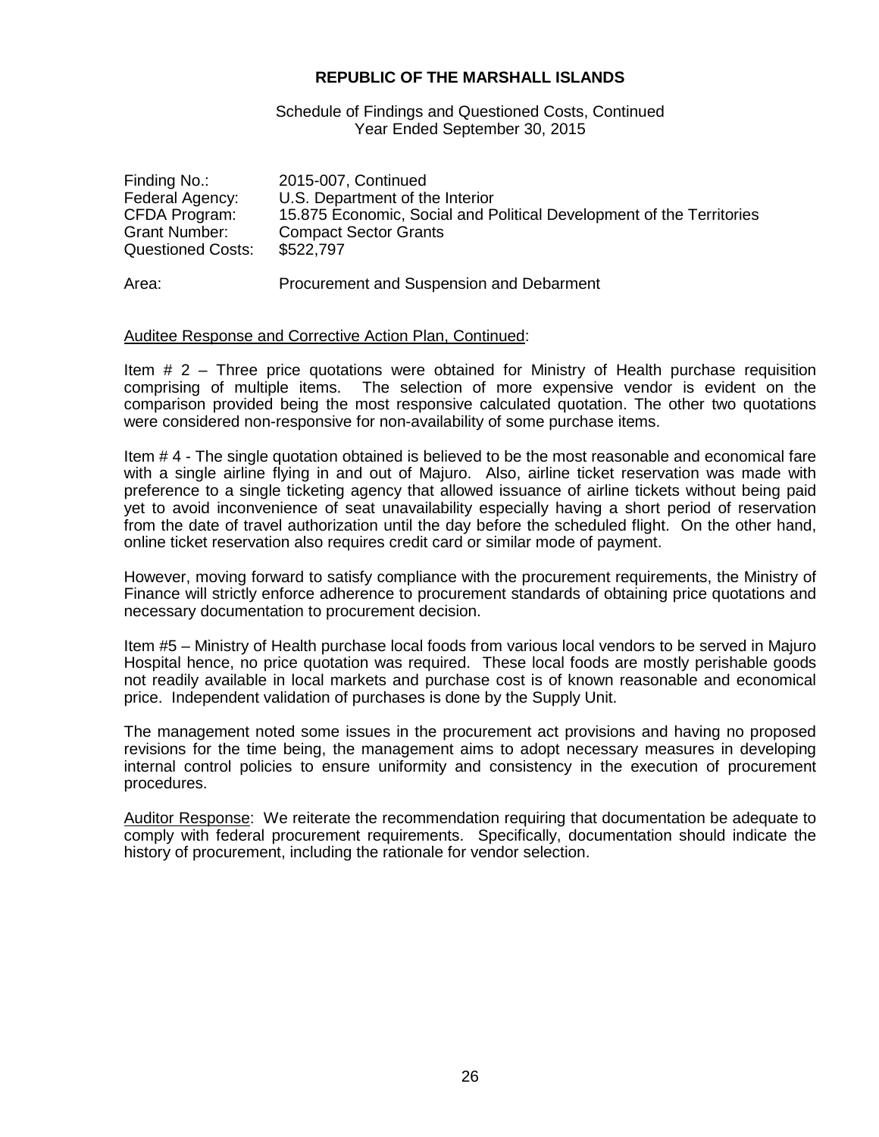#### Schedule of Findings and Questioned Costs, Continued Year Ended September 30, 2015

| Finding No.:             | 2015-007, Continued                                                  |
|--------------------------|----------------------------------------------------------------------|
| Federal Agency:          | U.S. Department of the Interior                                      |
| CFDA Program:            | 15.875 Economic, Social and Political Development of the Territories |
| Grant Number:            | <b>Compact Sector Grants</b>                                         |
| <b>Questioned Costs:</b> | \$522.797                                                            |
|                          |                                                                      |

Area: Procurement and Suspension and Debarment

#### Auditee Response and Corrective Action Plan, Continued:

Item  $# 2 -$  Three price quotations were obtained for Ministry of Health purchase requisition comprising of multiple items. The selection of more expensive vendor is evident on the comparison provided being the most responsive calculated quotation. The other two quotations were considered non-responsive for non-availability of some purchase items.

Item # 4 - The single quotation obtained is believed to be the most reasonable and economical fare with a single airline flying in and out of Majuro. Also, airline ticket reservation was made with preference to a single ticketing agency that allowed issuance of airline tickets without being paid yet to avoid inconvenience of seat unavailability especially having a short period of reservation from the date of travel authorization until the day before the scheduled flight. On the other hand, online ticket reservation also requires credit card or similar mode of payment.

However, moving forward to satisfy compliance with the procurement requirements, the Ministry of Finance will strictly enforce adherence to procurement standards of obtaining price quotations and necessary documentation to procurement decision.

Item #5 – Ministry of Health purchase local foods from various local vendors to be served in Majuro Hospital hence, no price quotation was required. These local foods are mostly perishable goods not readily available in local markets and purchase cost is of known reasonable and economical price. Independent validation of purchases is done by the Supply Unit.

The management noted some issues in the procurement act provisions and having no proposed revisions for the time being, the management aims to adopt necessary measures in developing internal control policies to ensure uniformity and consistency in the execution of procurement procedures.

Auditor Response: We reiterate the recommendation requiring that documentation be adequate to comply with federal procurement requirements. Specifically, documentation should indicate the history of procurement, including the rationale for vendor selection.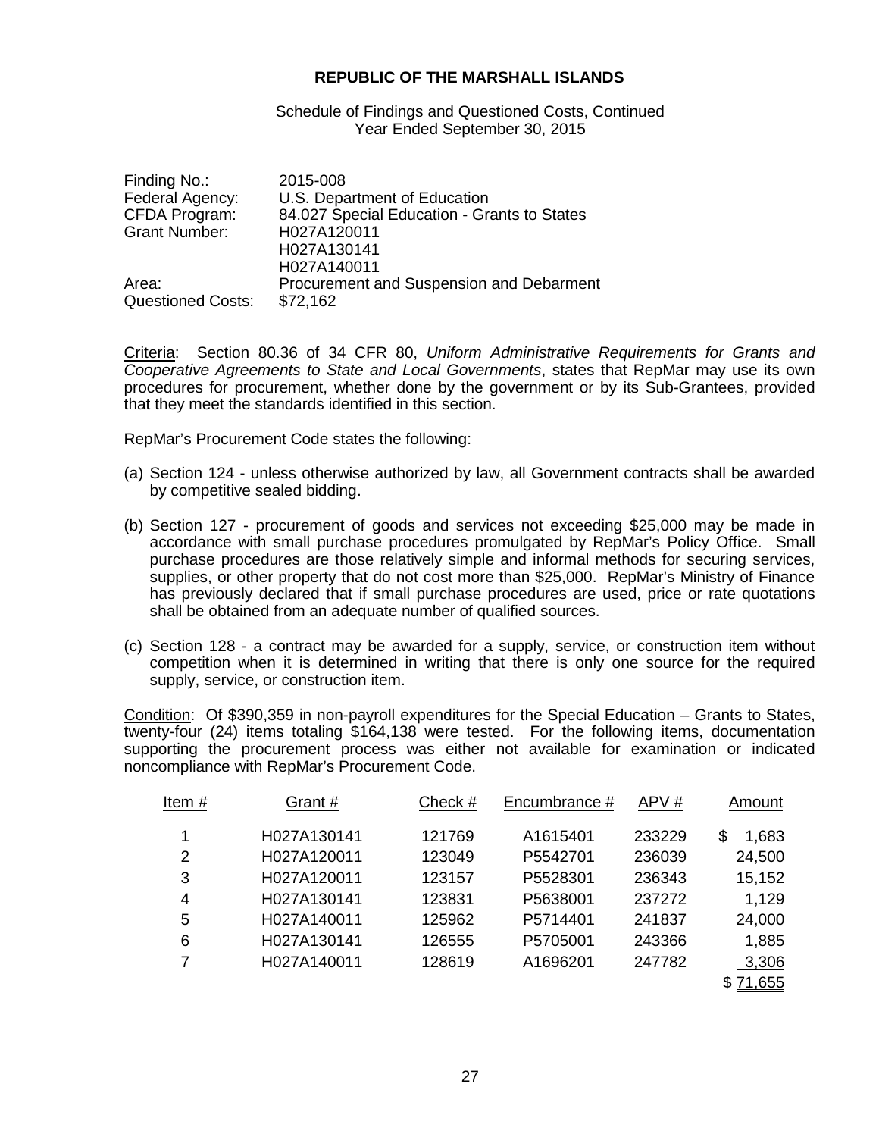Schedule of Findings and Questioned Costs, Continued Year Ended September 30, 2015

| Finding No.:             | 2015-008                                    |
|--------------------------|---------------------------------------------|
| Federal Agency:          | U.S. Department of Education                |
| CFDA Program:            | 84.027 Special Education - Grants to States |
| <b>Grant Number:</b>     | H027A120011                                 |
|                          | H027A130141                                 |
|                          | H027A140011                                 |
| Area:                    | Procurement and Suspension and Debarment    |
| <b>Questioned Costs:</b> | \$72,162                                    |

Criteria: Section 80.36 of 34 CFR 80, *Uniform Administrative Requirements for Grants and Cooperative Agreements to State and Local Governments*, states that RepMar may use its own procedures for procurement, whether done by the government or by its Sub-Grantees, provided that they meet the standards identified in this section.

RepMar's Procurement Code states the following:

- (a) Section 124 unless otherwise authorized by law, all Government contracts shall be awarded by competitive sealed bidding.
- (b) Section 127 procurement of goods and services not exceeding \$25,000 may be made in accordance with small purchase procedures promulgated by RepMar's Policy Office. Small purchase procedures are those relatively simple and informal methods for securing services, supplies, or other property that do not cost more than \$25,000. RepMar's Ministry of Finance has previously declared that if small purchase procedures are used, price or rate quotations shall be obtained from an adequate number of qualified sources.
- (c) Section 128 a contract may be awarded for a supply, service, or construction item without competition when it is determined in writing that there is only one source for the required supply, service, or construction item.

Condition: Of \$390,359 in non-payroll expenditures for the Special Education – Grants to States, twenty-four (24) items totaling \$164,138 were tested. For the following items, documentation supporting the procurement process was either not available for examination or indicated noncompliance with RepMar's Procurement Code.

| Item# | Grant #     | Check # | Encumbrance # | APV#   | Amount      |
|-------|-------------|---------|---------------|--------|-------------|
| 1     | H027A130141 | 121769  | A1615401      | 233229 | 1,683<br>\$ |
| 2     | H027A120011 | 123049  | P5542701      | 236039 | 24,500      |
| 3     | H027A120011 | 123157  | P5528301      | 236343 | 15,152      |
| 4     | H027A130141 | 123831  | P5638001      | 237272 | 1,129       |
| 5     | H027A140011 | 125962  | P5714401      | 241837 | 24,000      |
| 6     | H027A130141 | 126555  | P5705001      | 243366 | 1,885       |
| 7     | H027A140011 | 128619  | A1696201      | 247782 | 3,306       |
|       |             |         |               |        | 71,655      |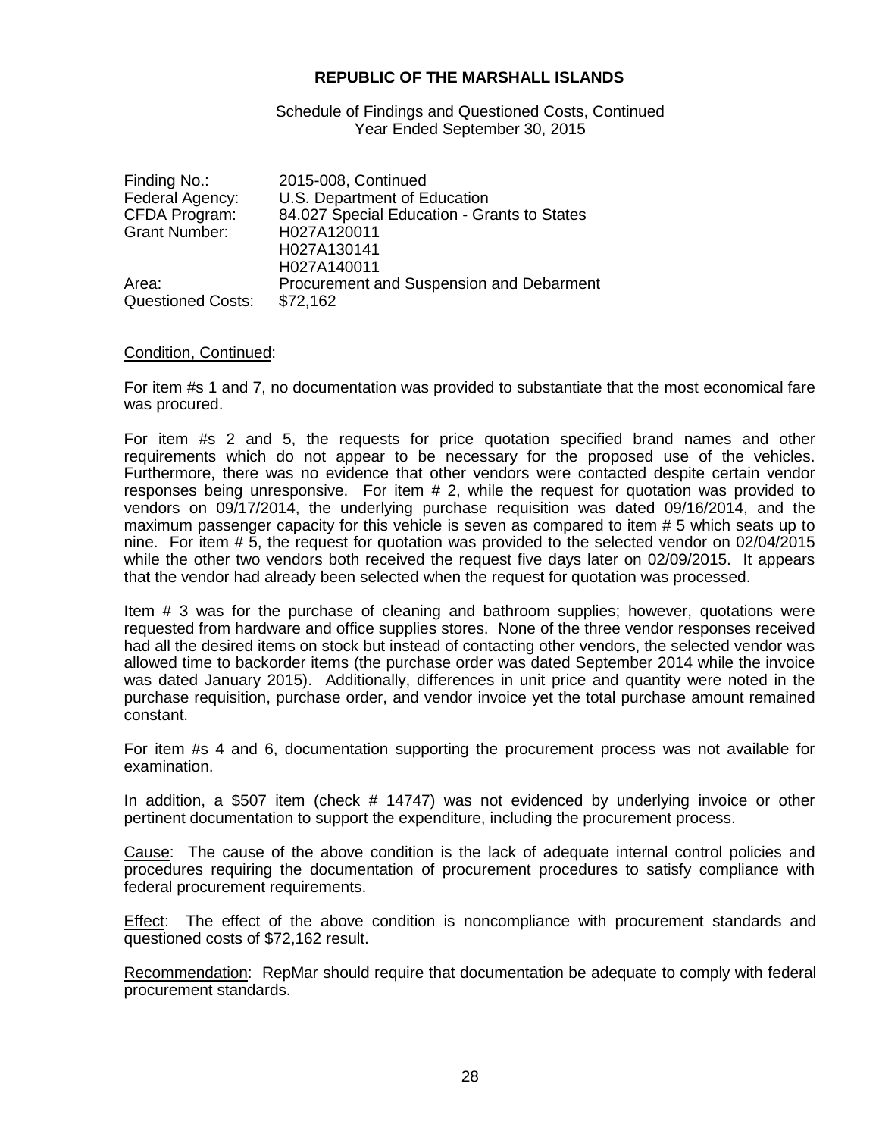Schedule of Findings and Questioned Costs, Continued Year Ended September 30, 2015

| Finding No.:             | 2015-008, Continued                         |
|--------------------------|---------------------------------------------|
| Federal Agency:          | U.S. Department of Education                |
| CFDA Program:            | 84.027 Special Education - Grants to States |
| <b>Grant Number:</b>     | H027A120011                                 |
|                          | H027A130141                                 |
|                          | H027A140011                                 |
| Area:                    | Procurement and Suspension and Debarment    |
| <b>Questioned Costs:</b> | \$72,162                                    |

#### Condition, Continued:

For item #s 1 and 7, no documentation was provided to substantiate that the most economical fare was procured.

For item #s 2 and 5, the requests for price quotation specified brand names and other requirements which do not appear to be necessary for the proposed use of the vehicles. Furthermore, there was no evidence that other vendors were contacted despite certain vendor responses being unresponsive. For item # 2, while the request for quotation was provided to vendors on 09/17/2014, the underlying purchase requisition was dated 09/16/2014, and the maximum passenger capacity for this vehicle is seven as compared to item # 5 which seats up to nine. For item # 5, the request for quotation was provided to the selected vendor on 02/04/2015 while the other two vendors both received the request five days later on 02/09/2015. It appears that the vendor had already been selected when the request for quotation was processed.

Item # 3 was for the purchase of cleaning and bathroom supplies; however, quotations were requested from hardware and office supplies stores. None of the three vendor responses received had all the desired items on stock but instead of contacting other vendors, the selected vendor was allowed time to backorder items (the purchase order was dated September 2014 while the invoice was dated January 2015). Additionally, differences in unit price and quantity were noted in the purchase requisition, purchase order, and vendor invoice yet the total purchase amount remained constant.

For item #s 4 and 6, documentation supporting the procurement process was not available for examination.

In addition, a \$507 item (check # 14747) was not evidenced by underlying invoice or other pertinent documentation to support the expenditure, including the procurement process.

Cause: The cause of the above condition is the lack of adequate internal control policies and procedures requiring the documentation of procurement procedures to satisfy compliance with federal procurement requirements.

**Effect:** The effect of the above condition is noncompliance with procurement standards and questioned costs of \$72,162 result.

Recommendation: RepMar should require that documentation be adequate to comply with federal procurement standards.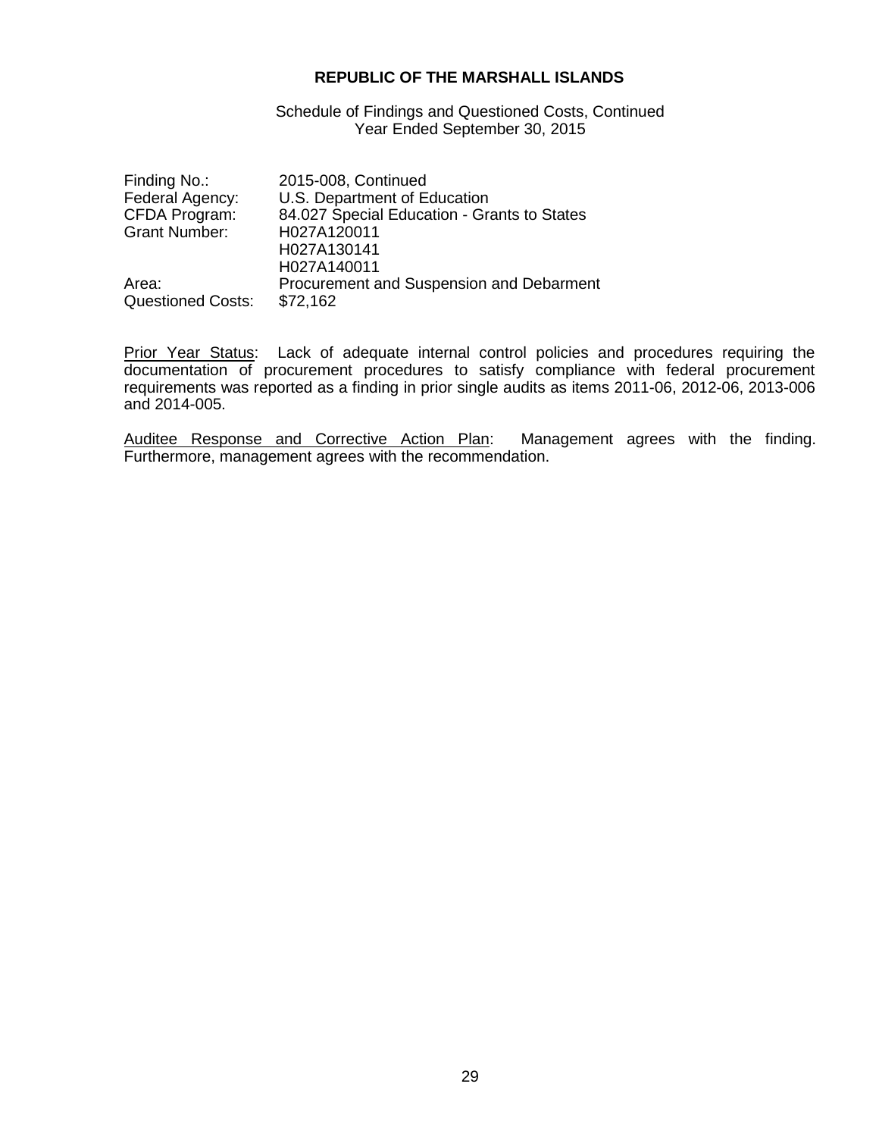Schedule of Findings and Questioned Costs, Continued Year Ended September 30, 2015

| Finding No.:             | 2015-008, Continued                         |
|--------------------------|---------------------------------------------|
| Federal Agency:          | U.S. Department of Education                |
| CFDA Program:            | 84.027 Special Education - Grants to States |
| <b>Grant Number:</b>     | H027A120011                                 |
|                          | H027A130141                                 |
|                          | H027A140011                                 |
| Area:                    | Procurement and Suspension and Debarment    |
| <b>Questioned Costs:</b> | \$72,162                                    |

Prior Year Status: Lack of adequate internal control policies and procedures requiring the documentation of procurement procedures to satisfy compliance with federal procurement requirements was reported as a finding in prior single audits as items 2011-06, 2012-06, 2013-006 and 2014-005.

Auditee Response and Corrective Action Plan: Management agrees with the finding. Furthermore, management agrees with the recommendation.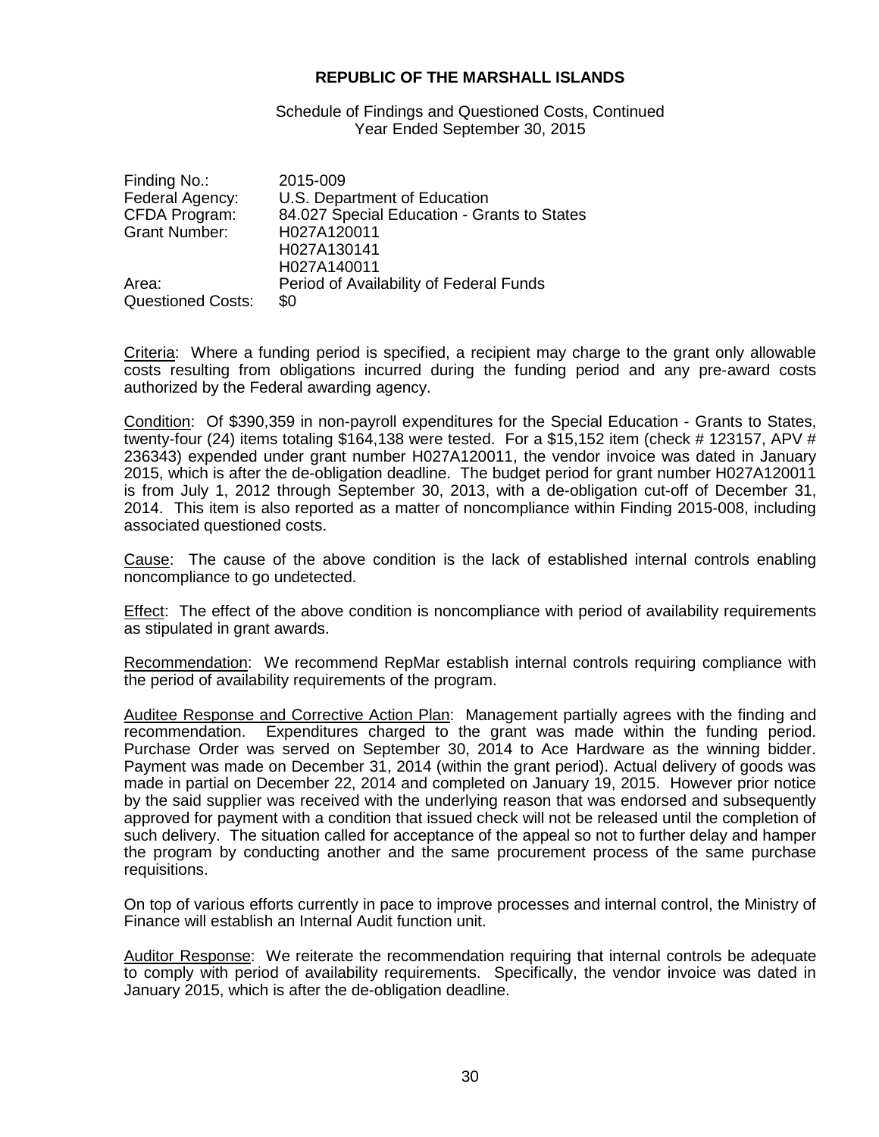Schedule of Findings and Questioned Costs, Continued Year Ended September 30, 2015

| Finding No.:             | 2015-009                                    |
|--------------------------|---------------------------------------------|
| Federal Agency:          | U.S. Department of Education                |
| CFDA Program:            | 84.027 Special Education - Grants to States |
| <b>Grant Number:</b>     | H027A120011                                 |
|                          | H027A130141                                 |
|                          | H027A140011                                 |
| Area:                    | Period of Availability of Federal Funds     |
| <b>Questioned Costs:</b> | \$0                                         |

Criteria: Where a funding period is specified, a recipient may charge to the grant only allowable costs resulting from obligations incurred during the funding period and any pre-award costs authorized by the Federal awarding agency.

Condition: Of \$390,359 in non-payroll expenditures for the Special Education - Grants to States, twenty-four (24) items totaling \$164,138 were tested. For a \$15,152 item (check # 123157, APV # 236343) expended under grant number H027A120011, the vendor invoice was dated in January 2015, which is after the de-obligation deadline. The budget period for grant number H027A120011 is from July 1, 2012 through September 30, 2013, with a de-obligation cut-off of December 31, 2014. This item is also reported as a matter of noncompliance within Finding 2015-008, including associated questioned costs.

Cause: The cause of the above condition is the lack of established internal controls enabling noncompliance to go undetected.

Effect: The effect of the above condition is noncompliance with period of availability requirements as stipulated in grant awards.

Recommendation: We recommend RepMar establish internal controls requiring compliance with the period of availability requirements of the program.

Auditee Response and Corrective Action Plan: Management partially agrees with the finding and recommendation. Expenditures charged to the grant was made within the funding period. Purchase Order was served on September 30, 2014 to Ace Hardware as the winning bidder. Payment was made on December 31, 2014 (within the grant period). Actual delivery of goods was made in partial on December 22, 2014 and completed on January 19, 2015. However prior notice by the said supplier was received with the underlying reason that was endorsed and subsequently approved for payment with a condition that issued check will not be released until the completion of such delivery. The situation called for acceptance of the appeal so not to further delay and hamper the program by conducting another and the same procurement process of the same purchase requisitions.

On top of various efforts currently in pace to improve processes and internal control, the Ministry of Finance will establish an Internal Audit function unit.

Auditor Response: We reiterate the recommendation requiring that internal controls be adequate to comply with period of availability requirements. Specifically, the vendor invoice was dated in January 2015, which is after the de-obligation deadline.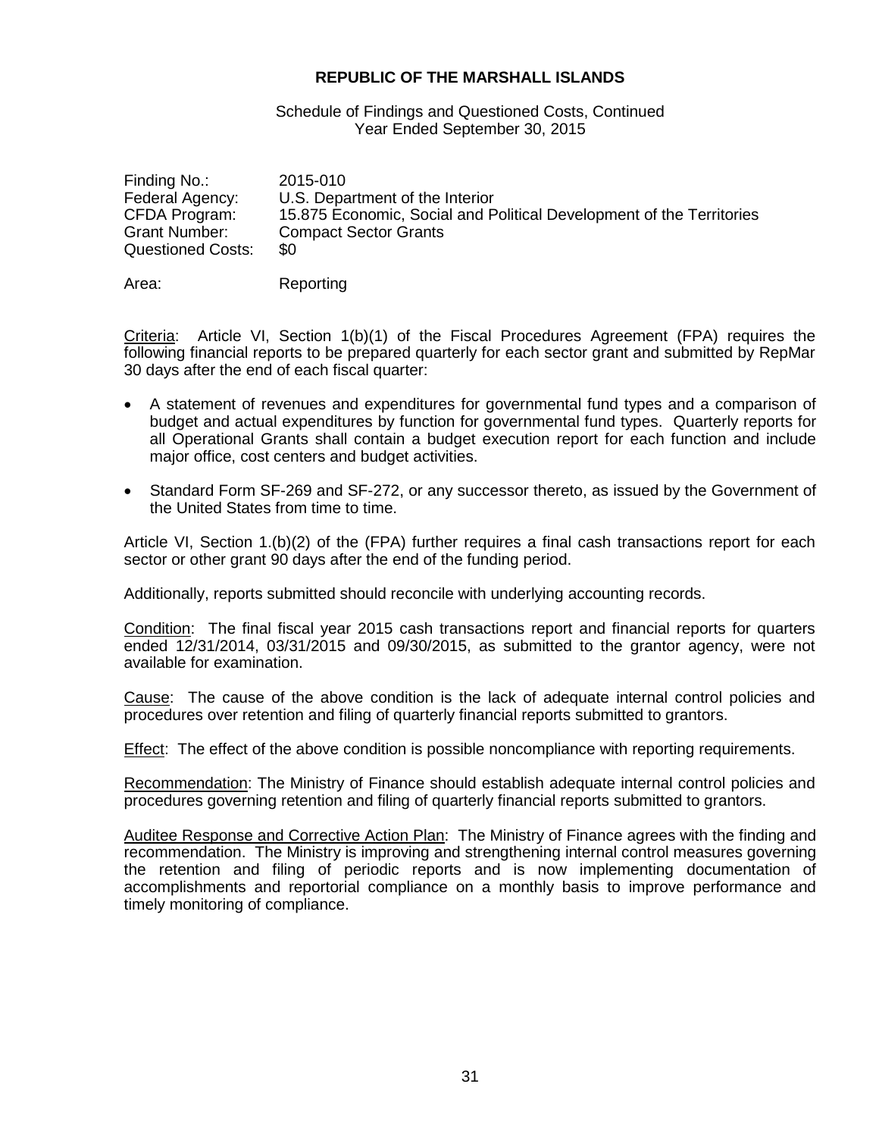#### Schedule of Findings and Questioned Costs, Continued Year Ended September 30, 2015

| Finding No.:             | 2015-010                                                             |
|--------------------------|----------------------------------------------------------------------|
| Federal Agency:          | U.S. Department of the Interior                                      |
| CFDA Program:            | 15.875 Economic, Social and Political Development of the Territories |
| Grant Number:            | <b>Compact Sector Grants</b>                                         |
| <b>Questioned Costs:</b> | \$0                                                                  |

Area: Reporting

Criteria: Article VI, Section 1(b)(1) of the Fiscal Procedures Agreement (FPA) requires the following financial reports to be prepared quarterly for each sector grant and submitted by RepMar 30 days after the end of each fiscal quarter:

- A statement of revenues and expenditures for governmental fund types and a comparison of budget and actual expenditures by function for governmental fund types. Quarterly reports for all Operational Grants shall contain a budget execution report for each function and include major office, cost centers and budget activities.
- Standard Form SF-269 and SF-272, or any successor thereto, as issued by the Government of the United States from time to time.

Article VI, Section 1.(b)(2) of the (FPA) further requires a final cash transactions report for each sector or other grant 90 days after the end of the funding period.

Additionally, reports submitted should reconcile with underlying accounting records.

Condition: The final fiscal year 2015 cash transactions report and financial reports for quarters ended 12/31/2014, 03/31/2015 and 09/30/2015, as submitted to the grantor agency, were not available for examination.

Cause: The cause of the above condition is the lack of adequate internal control policies and procedures over retention and filing of quarterly financial reports submitted to grantors.

Effect: The effect of the above condition is possible noncompliance with reporting requirements.

Recommendation: The Ministry of Finance should establish adequate internal control policies and procedures governing retention and filing of quarterly financial reports submitted to grantors.

Auditee Response and Corrective Action Plan: The Ministry of Finance agrees with the finding and recommendation. The Ministry is improving and strengthening internal control measures governing the retention and filing of periodic reports and is now implementing documentation of accomplishments and reportorial compliance on a monthly basis to improve performance and timely monitoring of compliance.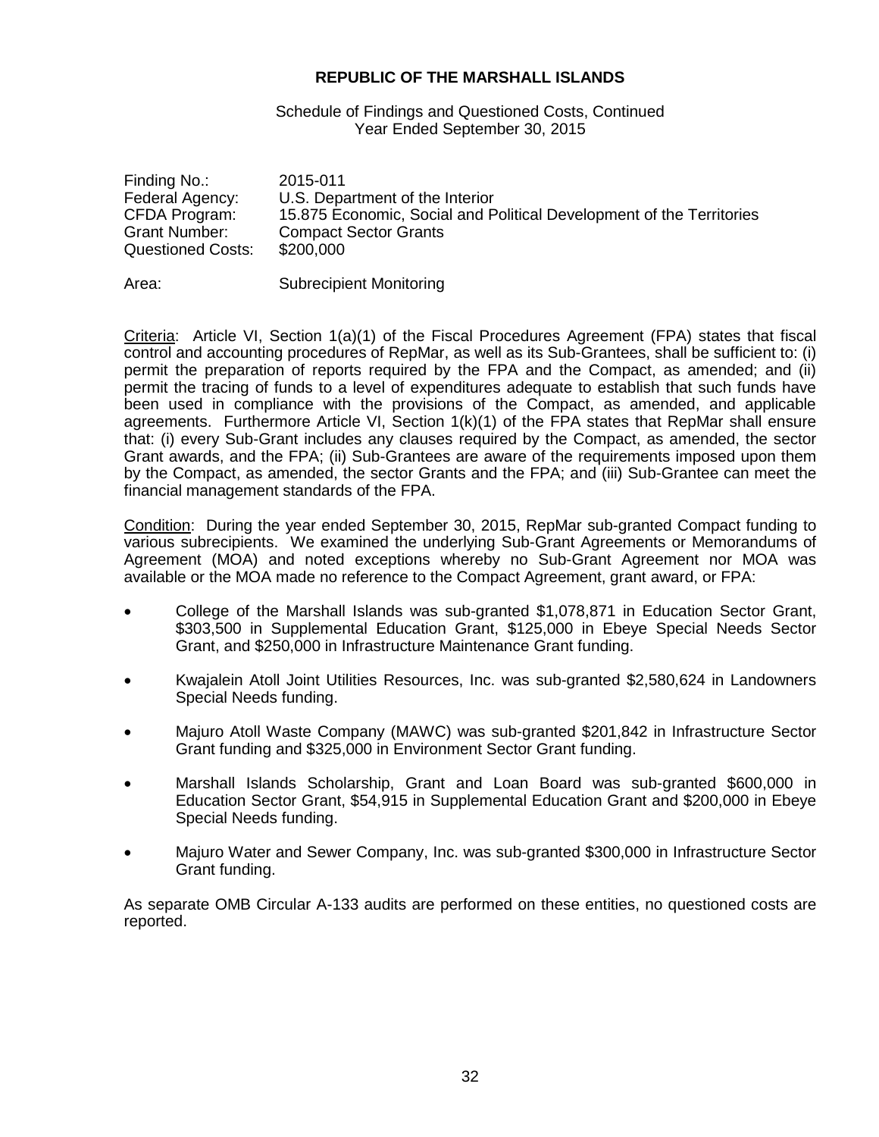#### Schedule of Findings and Questioned Costs, Continued Year Ended September 30, 2015

Area: Subrecipient Monitoring

Criteria: Article VI, Section 1(a)(1) of the Fiscal Procedures Agreement (FPA) states that fiscal control and accounting procedures of RepMar, as well as its Sub-Grantees, shall be sufficient to: (i) permit the preparation of reports required by the FPA and the Compact, as amended; and (ii) permit the tracing of funds to a level of expenditures adequate to establish that such funds have been used in compliance with the provisions of the Compact, as amended, and applicable agreements. Furthermore Article VI, Section 1(k)(1) of the FPA states that RepMar shall ensure that: (i) every Sub-Grant includes any clauses required by the Compact, as amended, the sector Grant awards, and the FPA; (ii) Sub-Grantees are aware of the requirements imposed upon them by the Compact, as amended, the sector Grants and the FPA; and (iii) Sub-Grantee can meet the financial management standards of the FPA.

Condition: During the year ended September 30, 2015, RepMar sub-granted Compact funding to various subrecipients. We examined the underlying Sub-Grant Agreements or Memorandums of Agreement (MOA) and noted exceptions whereby no Sub-Grant Agreement nor MOA was available or the MOA made no reference to the Compact Agreement, grant award, or FPA:

- College of the Marshall Islands was sub-granted \$1,078,871 in Education Sector Grant, \$303,500 in Supplemental Education Grant, \$125,000 in Ebeye Special Needs Sector Grant, and \$250,000 in Infrastructure Maintenance Grant funding.
- Kwajalein Atoll Joint Utilities Resources, Inc. was sub-granted \$2,580,624 in Landowners Special Needs funding.
- Majuro Atoll Waste Company (MAWC) was sub-granted \$201,842 in Infrastructure Sector Grant funding and \$325,000 in Environment Sector Grant funding.
- Marshall Islands Scholarship, Grant and Loan Board was sub-granted \$600,000 in Education Sector Grant, \$54,915 in Supplemental Education Grant and \$200,000 in Ebeye Special Needs funding.
- Majuro Water and Sewer Company, Inc. was sub-granted \$300,000 in Infrastructure Sector Grant funding.

As separate OMB Circular A-133 audits are performed on these entities, no questioned costs are reported.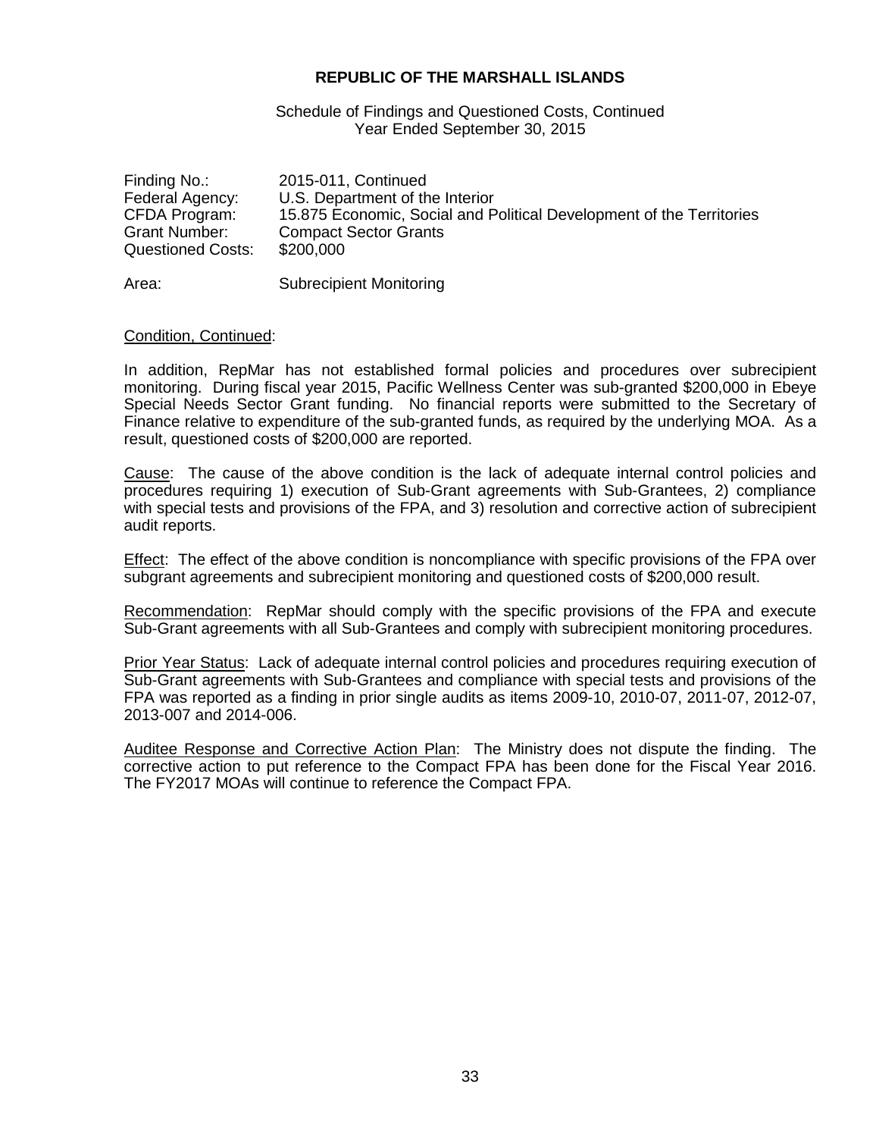Schedule of Findings and Questioned Costs, Continued Year Ended September 30, 2015

| Finding No.:             | 2015-011, Continued                                                  |
|--------------------------|----------------------------------------------------------------------|
| Federal Agency:          | U.S. Department of the Interior                                      |
| CFDA Program:            | 15.875 Economic, Social and Political Development of the Territories |
| Grant Number:            | <b>Compact Sector Grants</b>                                         |
| <b>Questioned Costs:</b> | \$200,000                                                            |
|                          |                                                                      |

Area: Subrecipient Monitoring

#### Condition, Continued:

In addition, RepMar has not established formal policies and procedures over subrecipient monitoring. During fiscal year 2015, Pacific Wellness Center was sub-granted \$200,000 in Ebeye Special Needs Sector Grant funding. No financial reports were submitted to the Secretary of Finance relative to expenditure of the sub-granted funds, as required by the underlying MOA. As a result, questioned costs of \$200,000 are reported.

Cause: The cause of the above condition is the lack of adequate internal control policies and procedures requiring 1) execution of Sub-Grant agreements with Sub-Grantees, 2) compliance with special tests and provisions of the FPA, and 3) resolution and corrective action of subrecipient audit reports.

Effect: The effect of the above condition is noncompliance with specific provisions of the FPA over subgrant agreements and subrecipient monitoring and questioned costs of \$200,000 result.

Recommendation: RepMar should comply with the specific provisions of the FPA and execute Sub-Grant agreements with all Sub-Grantees and comply with subrecipient monitoring procedures.

Prior Year Status: Lack of adequate internal control policies and procedures requiring execution of Sub-Grant agreements with Sub-Grantees and compliance with special tests and provisions of the FPA was reported as a finding in prior single audits as items 2009-10, 2010-07, 2011-07, 2012-07, 2013-007 and 2014-006.

Auditee Response and Corrective Action Plan: The Ministry does not dispute the finding. The corrective action to put reference to the Compact FPA has been done for the Fiscal Year 2016. The FY2017 MOAs will continue to reference the Compact FPA.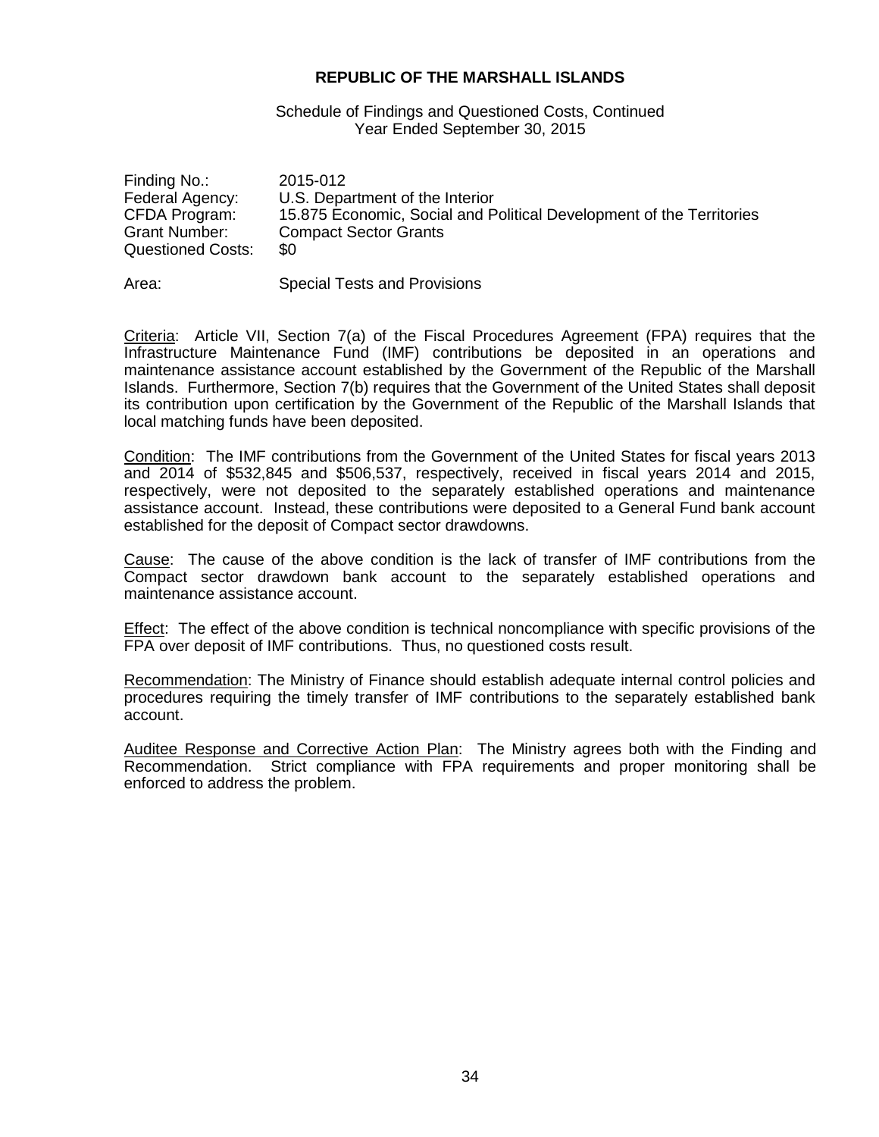#### Schedule of Findings and Questioned Costs, Continued Year Ended September 30, 2015

| Finding No.:<br>Federal Agency:<br>CFDA Program:<br>Grant Number: | 2015-012<br>U.S. Department of the Interior<br>15.875 Economic, Social and Political Development of the Territories<br><b>Compact Sector Grants</b> |
|-------------------------------------------------------------------|-----------------------------------------------------------------------------------------------------------------------------------------------------|
| <b>Questioned Costs:</b>                                          | \$0                                                                                                                                                 |
|                                                                   |                                                                                                                                                     |

Area: Special Tests and Provisions

Criteria: Article VII, Section 7(a) of the Fiscal Procedures Agreement (FPA) requires that the Infrastructure Maintenance Fund (IMF) contributions be deposited in an operations and maintenance assistance account established by the Government of the Republic of the Marshall Islands. Furthermore, Section 7(b) requires that the Government of the United States shall deposit its contribution upon certification by the Government of the Republic of the Marshall Islands that local matching funds have been deposited.

Condition: The IMF contributions from the Government of the United States for fiscal years 2013 and 2014 of \$532,845 and \$506,537, respectively, received in fiscal years 2014 and 2015, respectively, were not deposited to the separately established operations and maintenance assistance account. Instead, these contributions were deposited to a General Fund bank account established for the deposit of Compact sector drawdowns.

Cause: The cause of the above condition is the lack of transfer of IMF contributions from the Compact sector drawdown bank account to the separately established operations and maintenance assistance account.

Effect: The effect of the above condition is technical noncompliance with specific provisions of the FPA over deposit of IMF contributions. Thus, no questioned costs result.

Recommendation: The Ministry of Finance should establish adequate internal control policies and procedures requiring the timely transfer of IMF contributions to the separately established bank account.

Auditee Response and Corrective Action Plan: The Ministry agrees both with the Finding and Recommendation. Strict compliance with FPA requirements and proper monitoring shall be enforced to address the problem.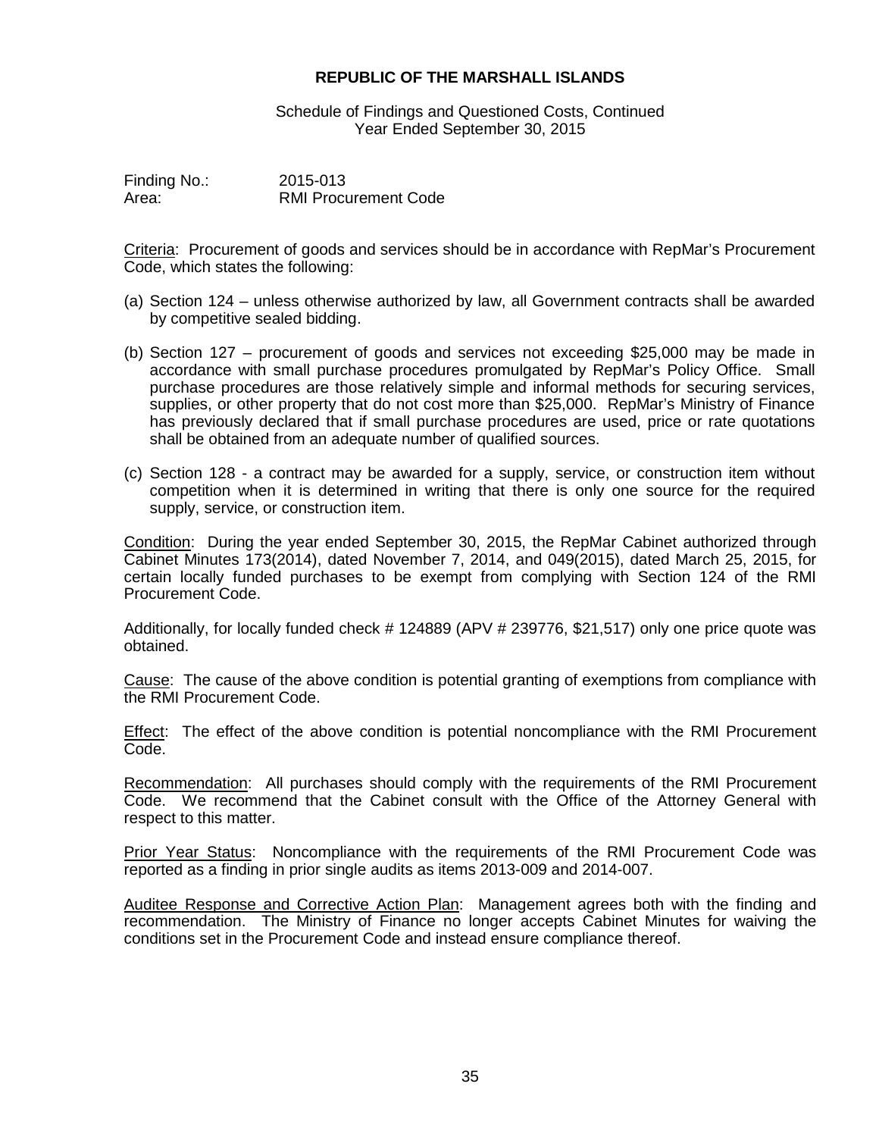Schedule of Findings and Questioned Costs, Continued Year Ended September 30, 2015

Finding No.: 2015-013<br>Area: RMI Procu **RMI Procurement Code** 

Criteria: Procurement of goods and services should be in accordance with RepMar's Procurement Code, which states the following:

- (a) Section 124 unless otherwise authorized by law, all Government contracts shall be awarded by competitive sealed bidding.
- (b) Section 127 procurement of goods and services not exceeding \$25,000 may be made in accordance with small purchase procedures promulgated by RepMar's Policy Office. Small purchase procedures are those relatively simple and informal methods for securing services, supplies, or other property that do not cost more than \$25,000. RepMar's Ministry of Finance has previously declared that if small purchase procedures are used, price or rate quotations shall be obtained from an adequate number of qualified sources.
- (c) Section 128 a contract may be awarded for a supply, service, or construction item without competition when it is determined in writing that there is only one source for the required supply, service, or construction item.

Condition: During the year ended September 30, 2015, the RepMar Cabinet authorized through Cabinet Minutes 173(2014), dated November 7, 2014, and 049(2015), dated March 25, 2015, for certain locally funded purchases to be exempt from complying with Section 124 of the RMI Procurement Code.

Additionally, for locally funded check # 124889 (APV # 239776, \$21,517) only one price quote was obtained.

Cause: The cause of the above condition is potential granting of exemptions from compliance with the RMI Procurement Code.

Effect: The effect of the above condition is potential noncompliance with the RMI Procurement Code.

Recommendation: All purchases should comply with the requirements of the RMI Procurement Code. We recommend that the Cabinet consult with the Office of the Attorney General with respect to this matter.

Prior Year Status: Noncompliance with the requirements of the RMI Procurement Code was reported as a finding in prior single audits as items 2013-009 and 2014-007.

Auditee Response and Corrective Action Plan: Management agrees both with the finding and recommendation. The Ministry of Finance no longer accepts Cabinet Minutes for waiving the conditions set in the Procurement Code and instead ensure compliance thereof.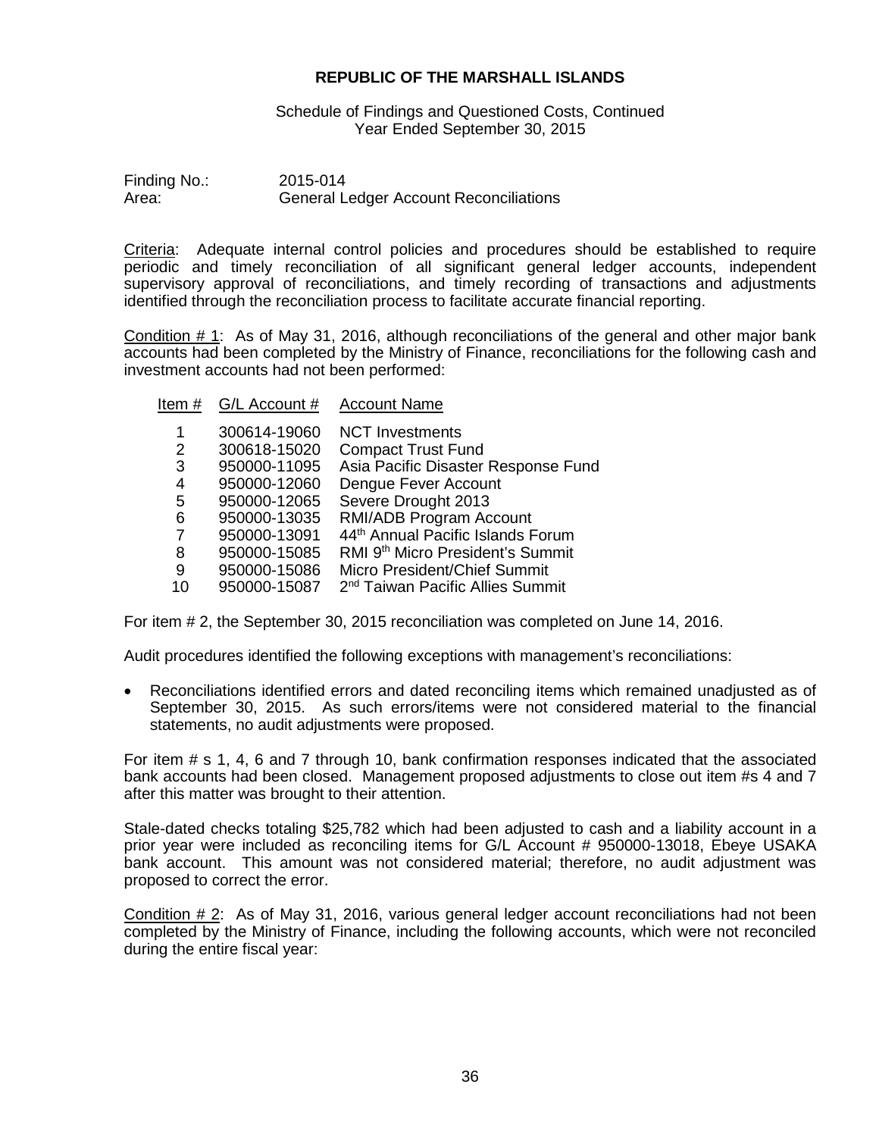Schedule of Findings and Questioned Costs, Continued Year Ended September 30, 2015

Finding No.: 2015-014<br>Area: General Lo **General Ledger Account Reconciliations** 

Criteria: Adequate internal control policies and procedures should be established to require periodic and timely reconciliation of all significant general ledger accounts, independent supervisory approval of reconciliations, and timely recording of transactions and adjustments identified through the reconciliation process to facilitate accurate financial reporting.

Condition # 1: As of May 31, 2016, although reconciliations of the general and other major bank accounts had been completed by the Ministry of Finance, reconciliations for the following cash and investment accounts had not been performed:

| ltem # | G/L Account # | <b>Account Name</b>                           |
|--------|---------------|-----------------------------------------------|
| 1      | 300614-19060  | <b>NCT Investments</b>                        |
| 2      | 300618-15020  | <b>Compact Trust Fund</b>                     |
| 3      | 950000-11095  | Asia Pacific Disaster Response Fund           |
| 4      | 950000-12060  | Dengue Fever Account                          |
| 5      | 950000-12065  | Severe Drought 2013                           |
| 6      | 950000-13035  | RMI/ADB Program Account                       |
| 7      | 950000-13091  | 44 <sup>th</sup> Annual Pacific Islands Forum |
| 8      | 950000-15085  | RMI 9th Micro President's Summit              |
| 9      | 950000-15086  | Micro President/Chief Summit                  |
| 10     | 950000-15087  | 2 <sup>nd</sup> Taiwan Pacific Allies Summit  |
|        |               |                                               |

For item # 2, the September 30, 2015 reconciliation was completed on June 14, 2016.

Audit procedures identified the following exceptions with management's reconciliations:

• Reconciliations identified errors and dated reconciling items which remained unadjusted as of September 30, 2015. As such errors/items were not considered material to the financial statements, no audit adjustments were proposed.

For item # s 1, 4, 6 and 7 through 10, bank confirmation responses indicated that the associated bank accounts had been closed. Management proposed adjustments to close out item #s 4 and 7 after this matter was brought to their attention.

Stale-dated checks totaling \$25,782 which had been adjusted to cash and a liability account in a prior year were included as reconciling items for G/L Account # 950000-13018, Ebeye USAKA bank account. This amount was not considered material; therefore, no audit adjustment was proposed to correct the error.

Condition # 2: As of May 31, 2016, various general ledger account reconciliations had not been completed by the Ministry of Finance, including the following accounts, which were not reconciled during the entire fiscal year: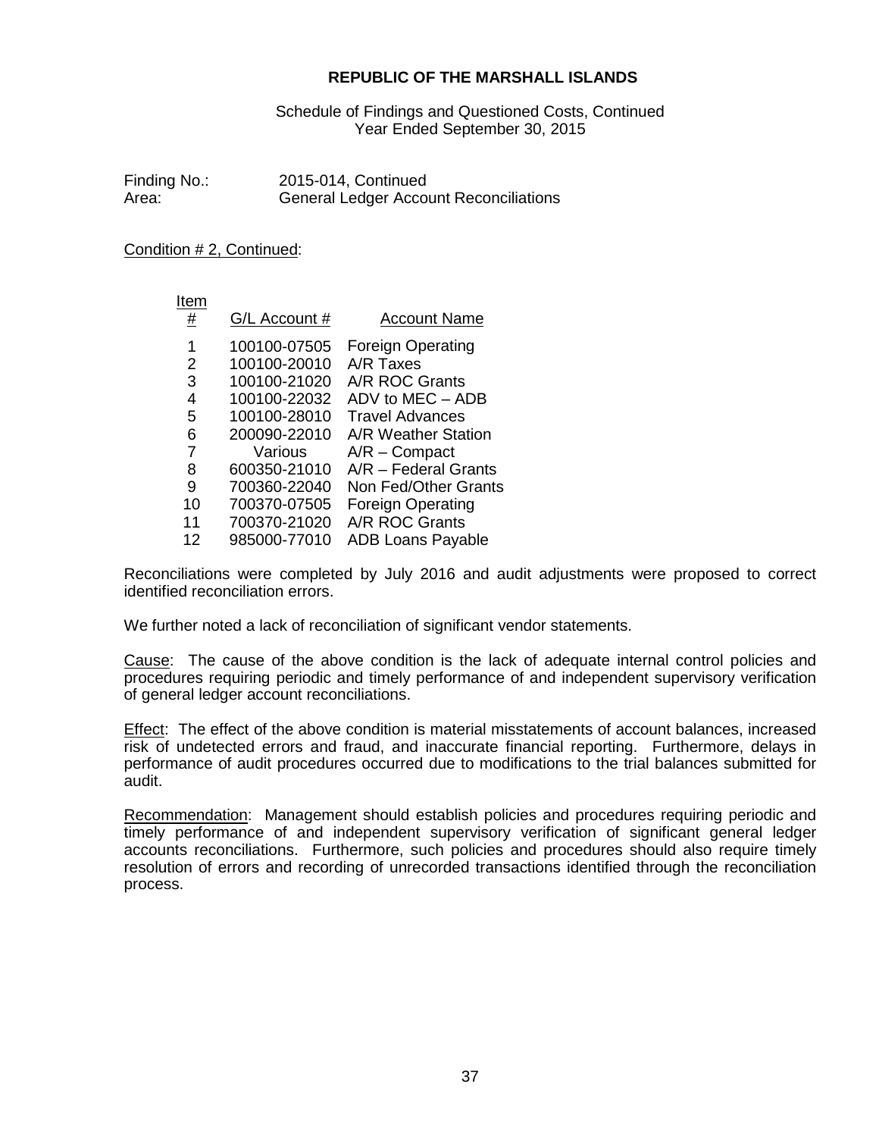Schedule of Findings and Questioned Costs, Continued Year Ended September 30, 2015

Finding No.: 2015-014, Continued<br>Area: General Ledger Accou **General Ledger Account Reconciliations** 

#### Condition # 2, Continued:

| Item |               |                          |
|------|---------------|--------------------------|
| #    | G/L Account # | Account Name             |
| 1    | 100100-07505  | <b>Foreign Operating</b> |
| 2    | 100100-20010  | A/R Taxes                |
| 3    | 100100-21020  | A/R ROC Grants           |
| 4    | 100100-22032  | ADV to MEC - ADB         |
| 5    | 100100-28010  | <b>Travel Advances</b>   |
| 6    | 200090-22010  | A/R Weather Station      |
| 7    | Various       | $A/R$ – Compact          |
| 8    | 600350-21010  | $A/R$ – Federal Grants   |
| 9    | 700360-22040  | Non Fed/Other Grants     |
| 10   | 700370-07505  | <b>Foreign Operating</b> |
| 11   | 700370-21020  | A/R ROC Grants           |
| 12   | 985000-77010  | <b>ADB Loans Payable</b> |
|      |               |                          |

Reconciliations were completed by July 2016 and audit adjustments were proposed to correct identified reconciliation errors.

We further noted a lack of reconciliation of significant vendor statements.

Cause: The cause of the above condition is the lack of adequate internal control policies and procedures requiring periodic and timely performance of and independent supervisory verification of general ledger account reconciliations.

Effect: The effect of the above condition is material misstatements of account balances, increased risk of undetected errors and fraud, and inaccurate financial reporting. Furthermore, delays in performance of audit procedures occurred due to modifications to the trial balances submitted for audit.

Recommendation: Management should establish policies and procedures requiring periodic and timely performance of and independent supervisory verification of significant general ledger accounts reconciliations. Furthermore, such policies and procedures should also require timely resolution of errors and recording of unrecorded transactions identified through the reconciliation process.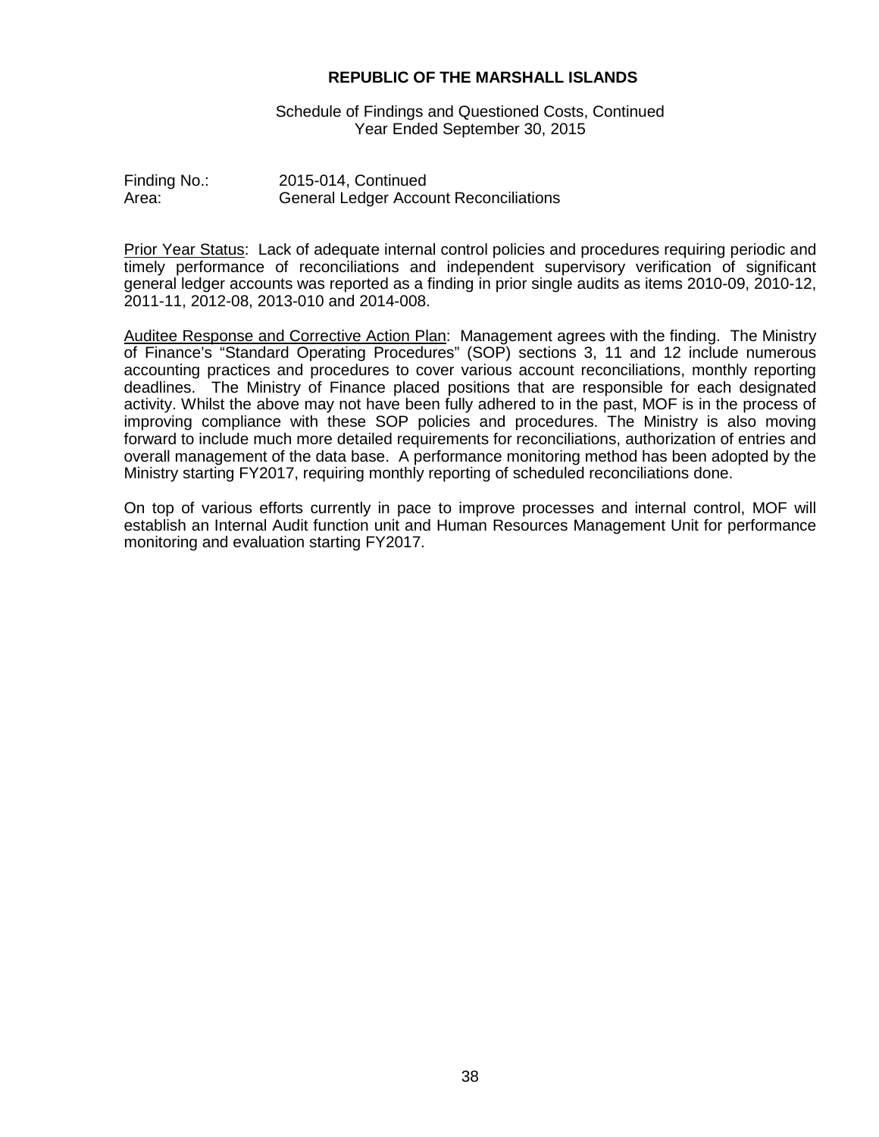Schedule of Findings and Questioned Costs, Continued Year Ended September 30, 2015

Finding No.: 2015-014, Continued<br>Area: General Ledger Accou **General Ledger Account Reconciliations** 

Prior Year Status: Lack of adequate internal control policies and procedures requiring periodic and timely performance of reconciliations and independent supervisory verification of significant general ledger accounts was reported as a finding in prior single audits as items 2010-09, 2010-12, 2011-11, 2012-08, 2013-010 and 2014-008.

Auditee Response and Corrective Action Plan: Management agrees with the finding. The Ministry of Finance's "Standard Operating Procedures" (SOP) sections 3, 11 and 12 include numerous accounting practices and procedures to cover various account reconciliations, monthly reporting deadlines. The Ministry of Finance placed positions that are responsible for each designated activity. Whilst the above may not have been fully adhered to in the past, MOF is in the process of improving compliance with these SOP policies and procedures. The Ministry is also moving forward to include much more detailed requirements for reconciliations, authorization of entries and overall management of the data base. A performance monitoring method has been adopted by the Ministry starting FY2017, requiring monthly reporting of scheduled reconciliations done.

On top of various efforts currently in pace to improve processes and internal control, MOF will establish an Internal Audit function unit and Human Resources Management Unit for performance monitoring and evaluation starting FY2017.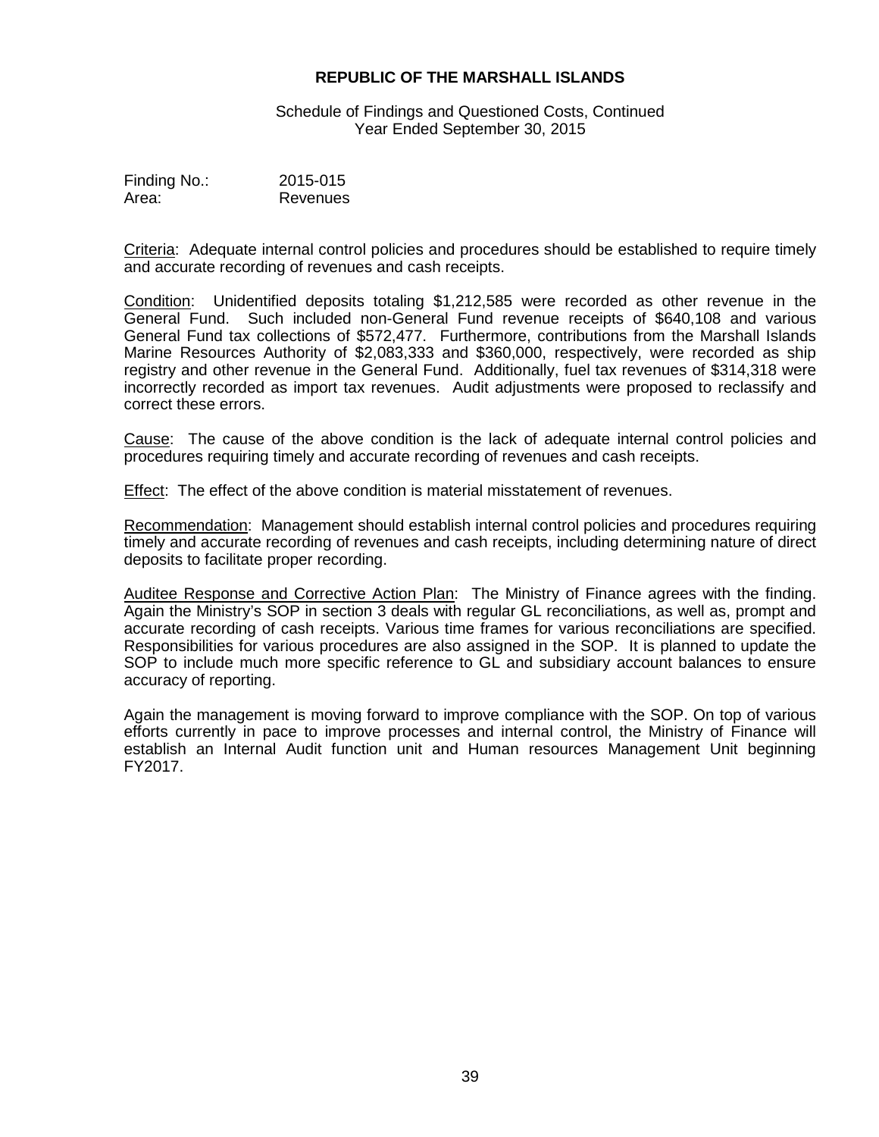Schedule of Findings and Questioned Costs, Continued Year Ended September 30, 2015

Finding No.: 2015-015<br>Area: Revenues **Revenues** 

Criteria: Adequate internal control policies and procedures should be established to require timely and accurate recording of revenues and cash receipts.

Condition: Unidentified deposits totaling \$1,212,585 were recorded as other revenue in the General Fund. Such included non-General Fund revenue receipts of \$640,108 and various General Fund tax collections of \$572,477. Furthermore, contributions from the Marshall Islands Marine Resources Authority of \$2,083,333 and \$360,000, respectively, were recorded as ship registry and other revenue in the General Fund. Additionally, fuel tax revenues of \$314,318 were incorrectly recorded as import tax revenues. Audit adjustments were proposed to reclassify and correct these errors.

Cause: The cause of the above condition is the lack of adequate internal control policies and procedures requiring timely and accurate recording of revenues and cash receipts.

Effect: The effect of the above condition is material misstatement of revenues.

Recommendation: Management should establish internal control policies and procedures requiring timely and accurate recording of revenues and cash receipts, including determining nature of direct deposits to facilitate proper recording.

Auditee Response and Corrective Action Plan: The Ministry of Finance agrees with the finding. Again the Ministry's SOP in section 3 deals with regular GL reconciliations, as well as, prompt and accurate recording of cash receipts. Various time frames for various reconciliations are specified. Responsibilities for various procedures are also assigned in the SOP. It is planned to update the SOP to include much more specific reference to GL and subsidiary account balances to ensure accuracy of reporting.

Again the management is moving forward to improve compliance with the SOP. On top of various efforts currently in pace to improve processes and internal control, the Ministry of Finance will establish an Internal Audit function unit and Human resources Management Unit beginning FY2017.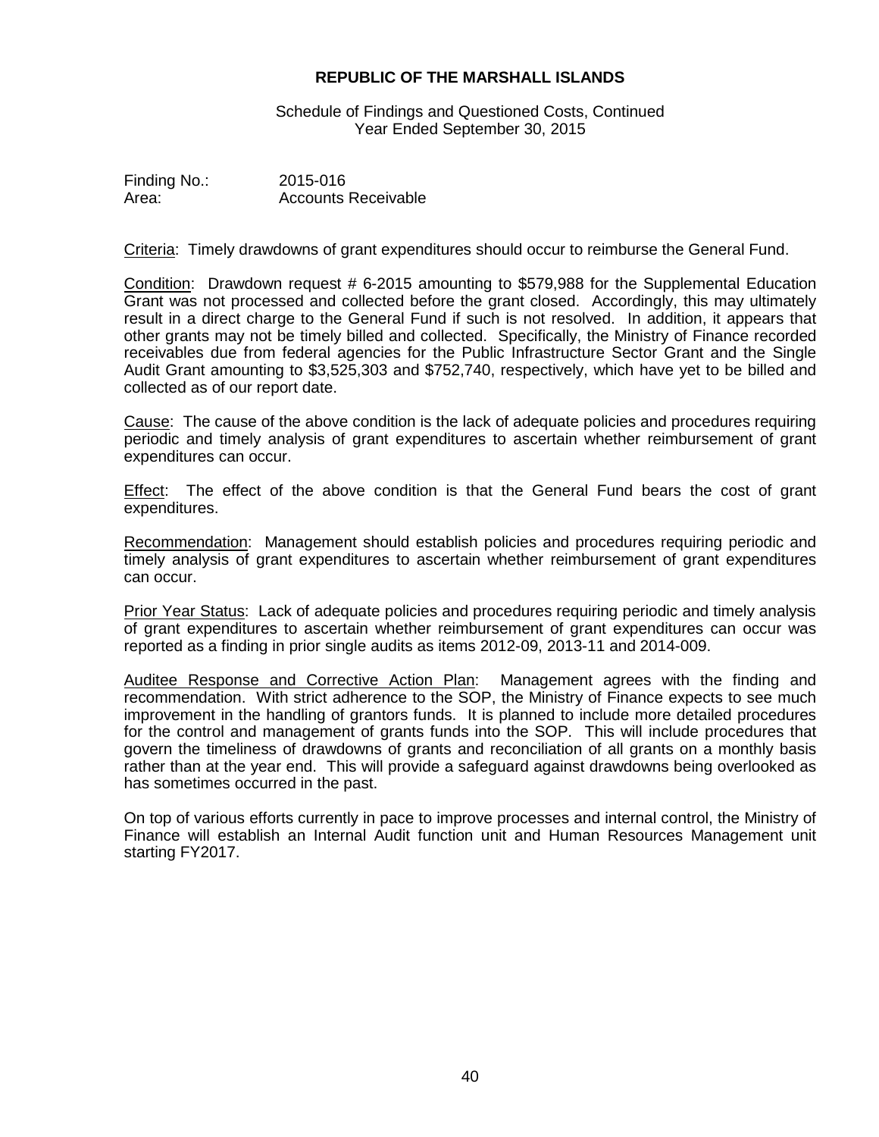Schedule of Findings and Questioned Costs, Continued Year Ended September 30, 2015

| Finding No.: | 2015-016                   |
|--------------|----------------------------|
| Area:        | <b>Accounts Receivable</b> |

Criteria: Timely drawdowns of grant expenditures should occur to reimburse the General Fund.

Condition: Drawdown request # 6-2015 amounting to \$579,988 for the Supplemental Education Grant was not processed and collected before the grant closed. Accordingly, this may ultimately result in a direct charge to the General Fund if such is not resolved. In addition, it appears that other grants may not be timely billed and collected. Specifically, the Ministry of Finance recorded receivables due from federal agencies for the Public Infrastructure Sector Grant and the Single Audit Grant amounting to \$3,525,303 and \$752,740, respectively, which have yet to be billed and collected as of our report date.

Cause: The cause of the above condition is the lack of adequate policies and procedures requiring periodic and timely analysis of grant expenditures to ascertain whether reimbursement of grant expenditures can occur.

Effect: The effect of the above condition is that the General Fund bears the cost of grant expenditures.

Recommendation: Management should establish policies and procedures requiring periodic and timely analysis of grant expenditures to ascertain whether reimbursement of grant expenditures can occur.

Prior Year Status: Lack of adequate policies and procedures requiring periodic and timely analysis of grant expenditures to ascertain whether reimbursement of grant expenditures can occur was reported as a finding in prior single audits as items 2012-09, 2013-11 and 2014-009.

Auditee Response and Corrective Action Plan: Management agrees with the finding and recommendation. With strict adherence to the SOP, the Ministry of Finance expects to see much improvement in the handling of grantors funds. It is planned to include more detailed procedures for the control and management of grants funds into the SOP. This will include procedures that govern the timeliness of drawdowns of grants and reconciliation of all grants on a monthly basis rather than at the year end. This will provide a safeguard against drawdowns being overlooked as has sometimes occurred in the past.

On top of various efforts currently in pace to improve processes and internal control, the Ministry of Finance will establish an Internal Audit function unit and Human Resources Management unit starting FY2017.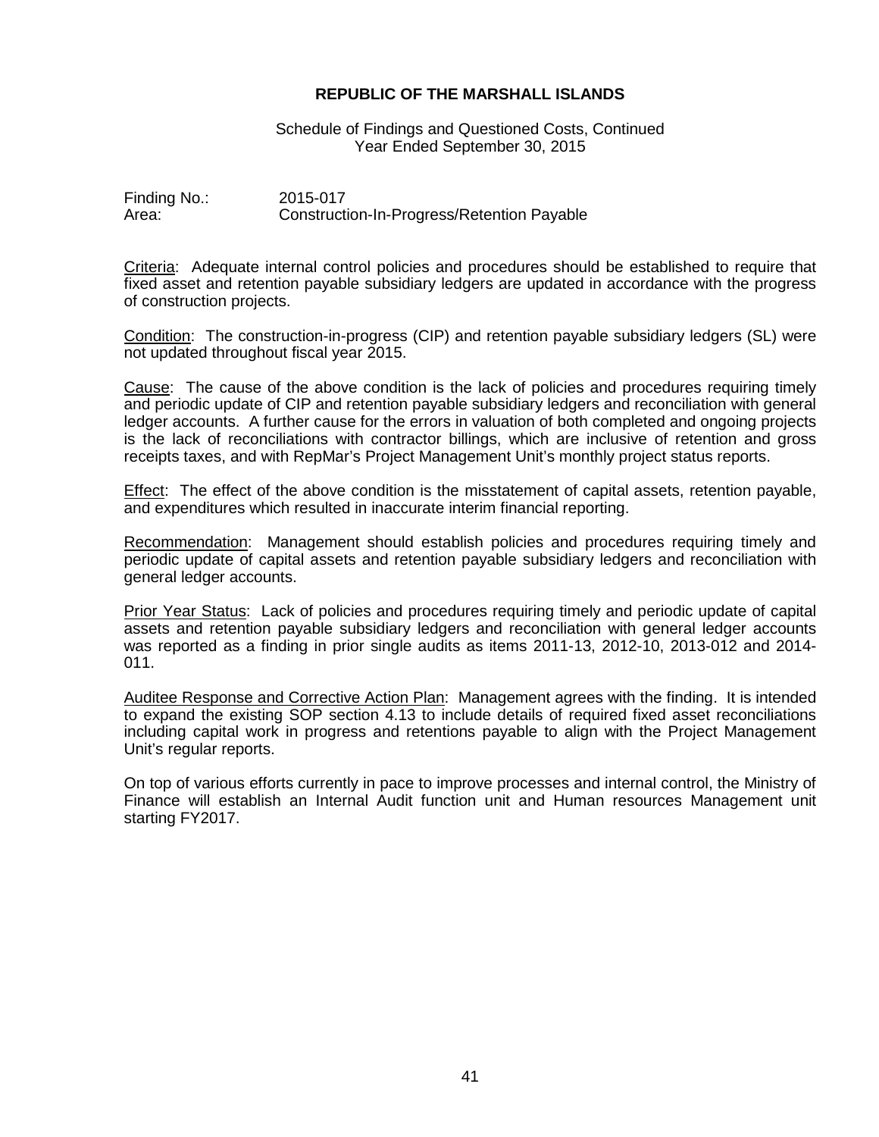Schedule of Findings and Questioned Costs, Continued Year Ended September 30, 2015

Finding No.: 2015-017<br>Area: Construct Construction-In-Progress/Retention Payable

Criteria: Adequate internal control policies and procedures should be established to require that fixed asset and retention payable subsidiary ledgers are updated in accordance with the progress of construction projects.

Condition: The construction-in-progress (CIP) and retention payable subsidiary ledgers (SL) were not updated throughout fiscal year 2015.

Cause: The cause of the above condition is the lack of policies and procedures requiring timely and periodic update of CIP and retention payable subsidiary ledgers and reconciliation with general ledger accounts. A further cause for the errors in valuation of both completed and ongoing projects is the lack of reconciliations with contractor billings, which are inclusive of retention and gross receipts taxes, and with RepMar's Project Management Unit's monthly project status reports.

Effect: The effect of the above condition is the misstatement of capital assets, retention payable, and expenditures which resulted in inaccurate interim financial reporting.

Recommendation: Management should establish policies and procedures requiring timely and periodic update of capital assets and retention payable subsidiary ledgers and reconciliation with general ledger accounts.

Prior Year Status: Lack of policies and procedures requiring timely and periodic update of capital assets and retention payable subsidiary ledgers and reconciliation with general ledger accounts was reported as a finding in prior single audits as items 2011-13, 2012-10, 2013-012 and 2014- 011.

Auditee Response and Corrective Action Plan: Management agrees with the finding. It is intended to expand the existing SOP section 4.13 to include details of required fixed asset reconciliations including capital work in progress and retentions payable to align with the Project Management Unit's regular reports.

On top of various efforts currently in pace to improve processes and internal control, the Ministry of Finance will establish an Internal Audit function unit and Human resources Management unit starting FY2017.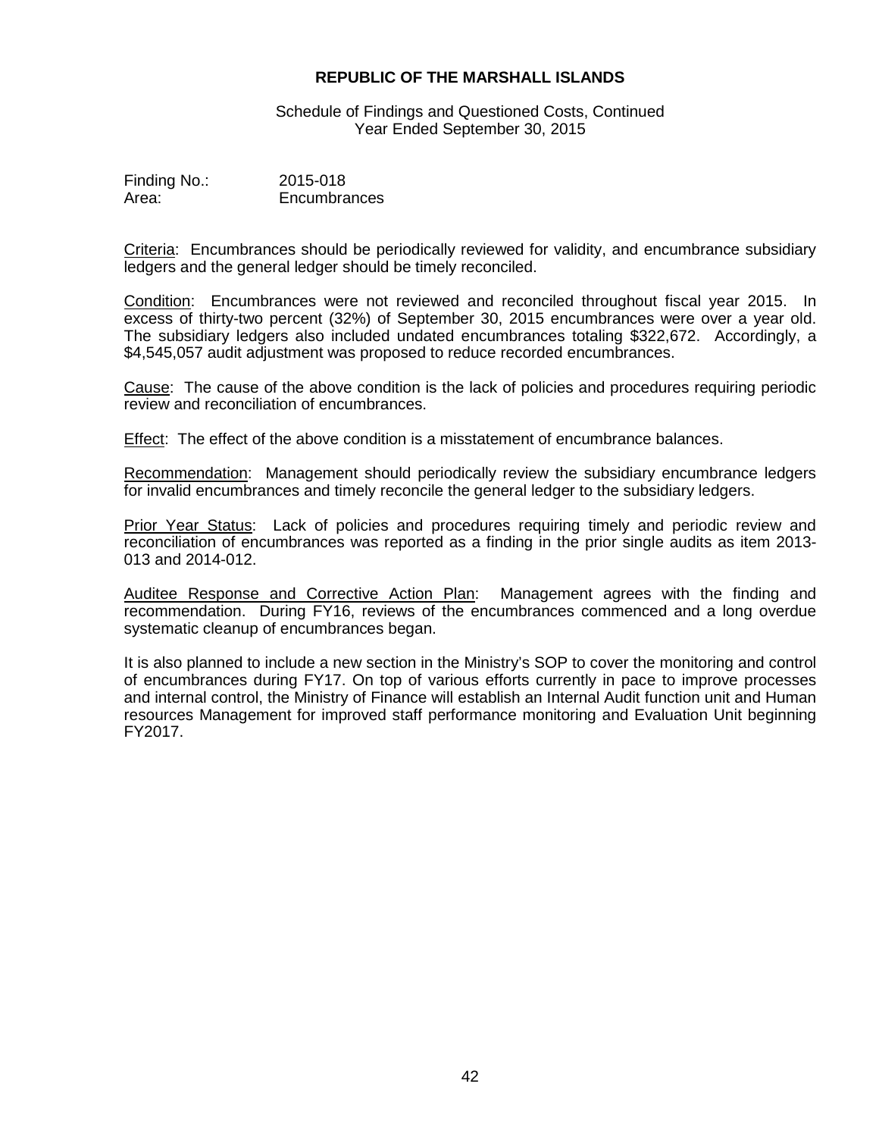Schedule of Findings and Questioned Costs, Continued Year Ended September 30, 2015

Finding No.: 2015-018<br>Area: Encumbra **Encumbrances** 

Criteria: Encumbrances should be periodically reviewed for validity, and encumbrance subsidiary ledgers and the general ledger should be timely reconciled.

Condition: Encumbrances were not reviewed and reconciled throughout fiscal year 2015. In excess of thirty-two percent (32%) of September 30, 2015 encumbrances were over a year old. The subsidiary ledgers also included undated encumbrances totaling \$322,672. Accordingly, a \$4,545,057 audit adjustment was proposed to reduce recorded encumbrances.

Cause: The cause of the above condition is the lack of policies and procedures requiring periodic review and reconciliation of encumbrances.

Effect: The effect of the above condition is a misstatement of encumbrance balances.

Recommendation: Management should periodically review the subsidiary encumbrance ledgers for invalid encumbrances and timely reconcile the general ledger to the subsidiary ledgers.

Prior Year Status: Lack of policies and procedures requiring timely and periodic review and reconciliation of encumbrances was reported as a finding in the prior single audits as item 2013- 013 and 2014-012.

Auditee Response and Corrective Action Plan: Management agrees with the finding and recommendation. During FY16, reviews of the encumbrances commenced and a long overdue systematic cleanup of encumbrances began.

It is also planned to include a new section in the Ministry's SOP to cover the monitoring and control of encumbrances during FY17. On top of various efforts currently in pace to improve processes and internal control, the Ministry of Finance will establish an Internal Audit function unit and Human resources Management for improved staff performance monitoring and Evaluation Unit beginning FY2017.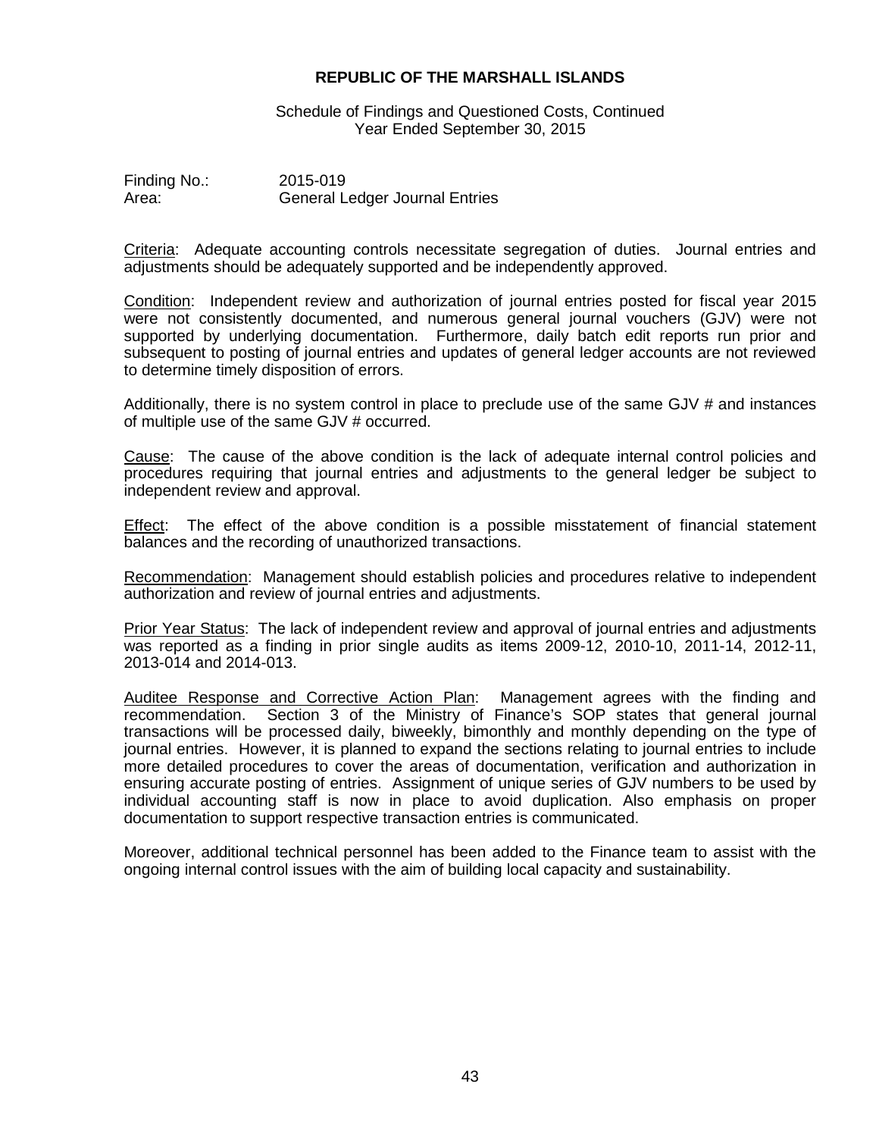Schedule of Findings and Questioned Costs, Continued Year Ended September 30, 2015

Finding No.: 2015-019<br>Area: General Lo **General Ledger Journal Entries** 

Criteria: Adequate accounting controls necessitate segregation of duties. Journal entries and adjustments should be adequately supported and be independently approved.

Condition: Independent review and authorization of journal entries posted for fiscal year 2015 were not consistently documented, and numerous general journal vouchers (GJV) were not supported by underlying documentation. Furthermore, daily batch edit reports run prior and subsequent to posting of journal entries and updates of general ledger accounts are not reviewed to determine timely disposition of errors.

Additionally, there is no system control in place to preclude use of the same GJV # and instances of multiple use of the same GJV # occurred.

Cause: The cause of the above condition is the lack of adequate internal control policies and procedures requiring that journal entries and adjustments to the general ledger be subject to independent review and approval.

Effect: The effect of the above condition is a possible misstatement of financial statement balances and the recording of unauthorized transactions.

Recommendation: Management should establish policies and procedures relative to independent authorization and review of journal entries and adjustments.

Prior Year Status: The lack of independent review and approval of journal entries and adjustments was reported as a finding in prior single audits as items 2009-12, 2010-10, 2011-14, 2012-11, 2013-014 and 2014-013.

Auditee Response and Corrective Action Plan: Management agrees with the finding and recommendation. Section 3 of the Ministry of Finance's SOP states that general journal transactions will be processed daily, biweekly, bimonthly and monthly depending on the type of journal entries. However, it is planned to expand the sections relating to journal entries to include more detailed procedures to cover the areas of documentation, verification and authorization in ensuring accurate posting of entries. Assignment of unique series of GJV numbers to be used by individual accounting staff is now in place to avoid duplication. Also emphasis on proper documentation to support respective transaction entries is communicated.

Moreover, additional technical personnel has been added to the Finance team to assist with the ongoing internal control issues with the aim of building local capacity and sustainability.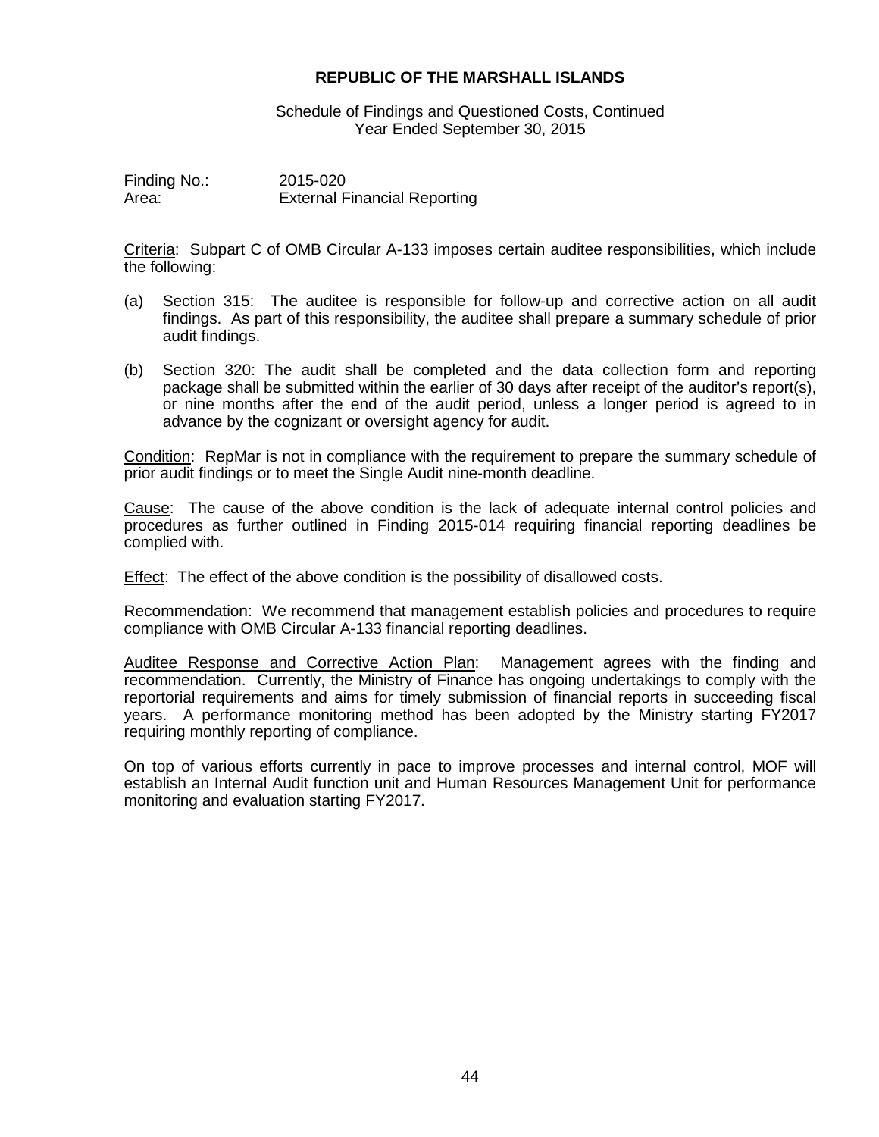Schedule of Findings and Questioned Costs, Continued Year Ended September 30, 2015

Finding No.: 2015-020<br>Area: External F **External Financial Reporting** 

Criteria: Subpart C of OMB Circular A-133 imposes certain auditee responsibilities, which include the following:

- (a) Section 315: The auditee is responsible for follow-up and corrective action on all audit findings. As part of this responsibility, the auditee shall prepare a summary schedule of prior audit findings.
- (b) Section 320: The audit shall be completed and the data collection form and reporting package shall be submitted within the earlier of 30 days after receipt of the auditor's report(s), or nine months after the end of the audit period, unless a longer period is agreed to in advance by the cognizant or oversight agency for audit.

Condition: RepMar is not in compliance with the requirement to prepare the summary schedule of prior audit findings or to meet the Single Audit nine-month deadline.

Cause: The cause of the above condition is the lack of adequate internal control policies and procedures as further outlined in Finding 2015-014 requiring financial reporting deadlines be complied with.

Effect: The effect of the above condition is the possibility of disallowed costs.

Recommendation: We recommend that management establish policies and procedures to require compliance with OMB Circular A-133 financial reporting deadlines.

Auditee Response and Corrective Action Plan: Management agrees with the finding and recommendation. Currently, the Ministry of Finance has ongoing undertakings to comply with the reportorial requirements and aims for timely submission of financial reports in succeeding fiscal years. A performance monitoring method has been adopted by the Ministry starting FY2017 requiring monthly reporting of compliance.

On top of various efforts currently in pace to improve processes and internal control, MOF will establish an Internal Audit function unit and Human Resources Management Unit for performance monitoring and evaluation starting FY2017.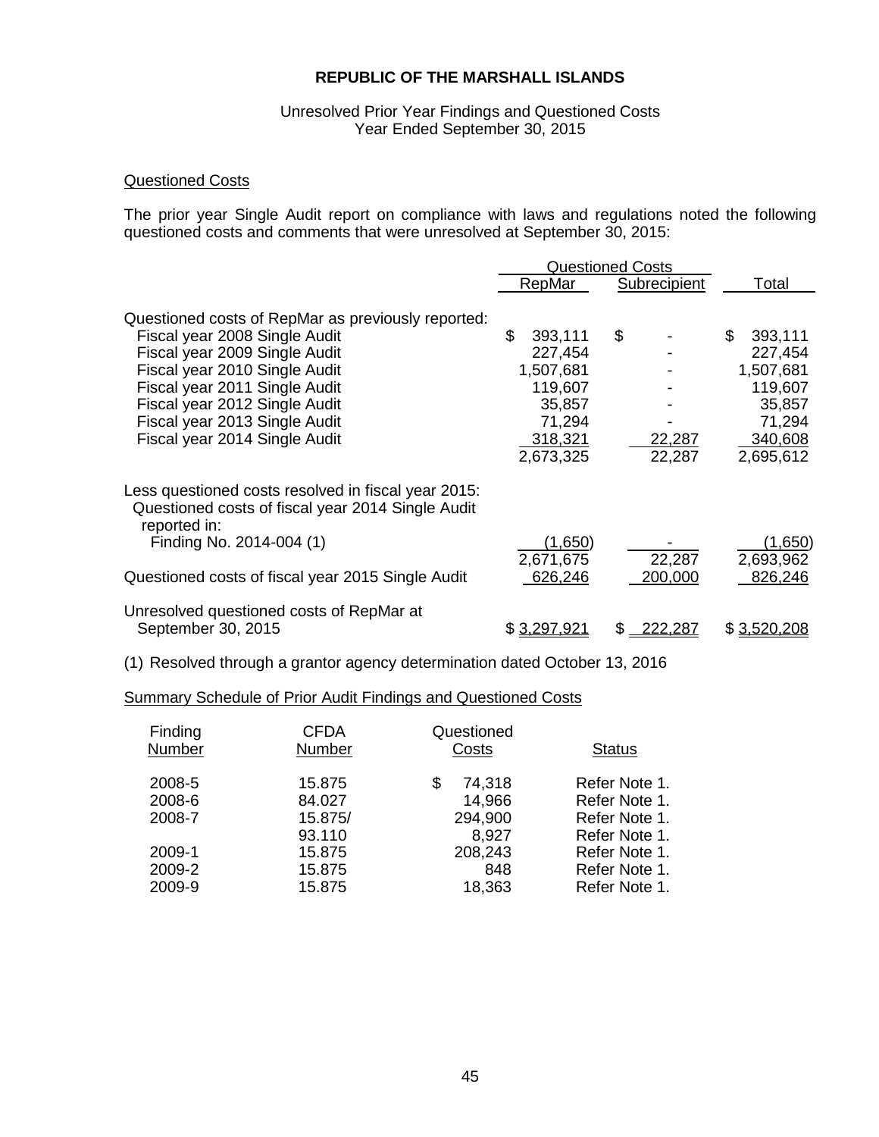#### Unresolved Prior Year Findings and Questioned Costs Year Ended September 30, 2015

# Questioned Costs

The prior year Single Audit report on compliance with laws and regulations noted the following questioned costs and comments that were unresolved at September 30, 2015:

|                                                                                                                                                                                        | <b>Questioned Costs</b>                          |                     |                                                  |
|----------------------------------------------------------------------------------------------------------------------------------------------------------------------------------------|--------------------------------------------------|---------------------|--------------------------------------------------|
|                                                                                                                                                                                        | RepMar                                           | <b>Subrecipient</b> | Total                                            |
| Questioned costs of RepMar as previously reported:<br>Fiscal year 2008 Single Audit<br>Fiscal year 2009 Single Audit<br>Fiscal year 2010 Single Audit<br>Fiscal year 2011 Single Audit | \$<br>393,111<br>227,454<br>1,507,681<br>119,607 | \$                  | \$<br>393,111<br>227,454<br>1,507,681<br>119,607 |
| Fiscal year 2012 Single Audit<br>Fiscal year 2013 Single Audit<br>Fiscal year 2014 Single Audit                                                                                        | 35,857<br>71,294<br>318,321<br>2,673,325         | 22,287<br>22,287    | 35,857<br>71,294<br>340,608<br>2,695,612         |
| Less questioned costs resolved in fiscal year 2015:<br>Questioned costs of fiscal year 2014 Single Audit<br>reported in:<br>Finding No. 2014-004 (1)                                   | (1,650)<br>2,671,675                             | 22,287              | (1,650)<br>2,693,962                             |
| Questioned costs of fiscal year 2015 Single Audit                                                                                                                                      | 626,246                                          | 200,000             | 826,246                                          |
| Unresolved questioned costs of RepMar at<br>September 30, 2015                                                                                                                         | \$3,297,921                                      | \$ 222,287          | \$3,520,208                                      |
| (1) Resolved through a grantor agency determination dated October 13, 2016                                                                                                             |                                                  |                     |                                                  |

# Summary Schedule of Prior Audit Findings and Questioned Costs

| Finding<br>Number | <b>CFDA</b><br>Number | Questioned<br>Costs | <b>Status</b> |
|-------------------|-----------------------|---------------------|---------------|
| 2008-5            | 15.875                | 74,318<br>S         | Refer Note 1. |
| 2008-6            | 84.027                | 14,966              | Refer Note 1. |
| 2008-7            | 15.875/               | 294,900             | Refer Note 1. |
|                   | 93.110                | 8,927               | Refer Note 1. |
| 2009-1            | 15.875                | 208,243             | Refer Note 1. |
| 2009-2            | 15.875                | 848                 | Refer Note 1. |
| 2009-9            | 15.875                | 18,363              | Refer Note 1. |
|                   |                       |                     |               |